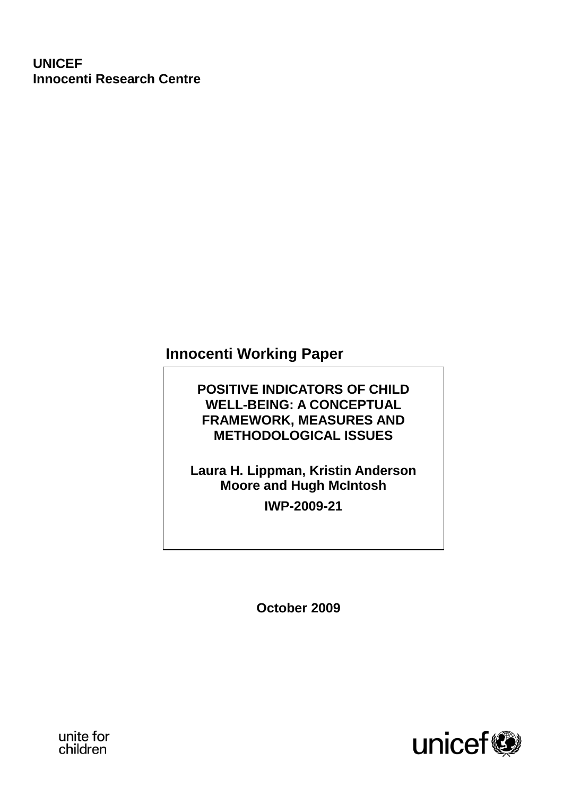# **UNICEF Innocenti Research Centre**

# **Innocenti Working Paper**

# **POSITIVE INDICATORS OF CHILD WELL-BEING: A CONCEPTUAL FRAMEWORK, MEASURES AND METHODOLOGICAL ISSUES**

# **Laura H. Lippman, Kristin Anderson Moore and Hugh McIntosh IWP-2009-21**

**October 2009**



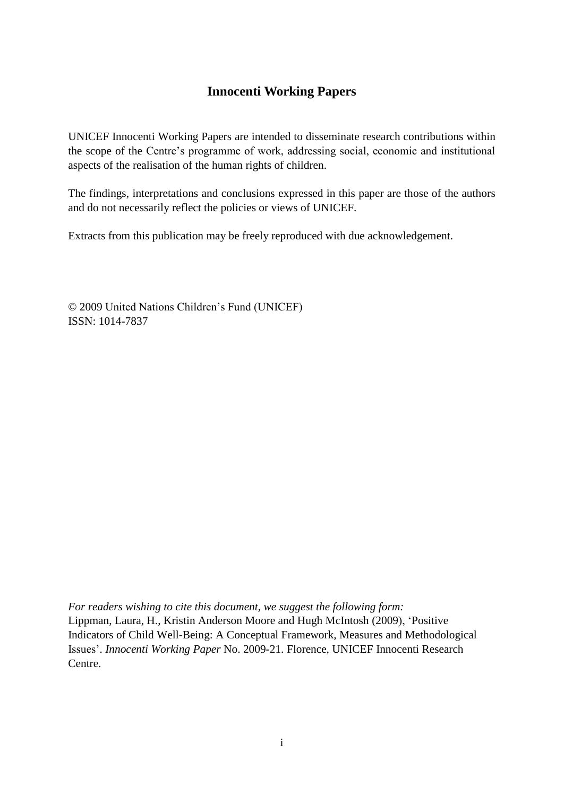# **Innocenti Working Papers**

UNICEF Innocenti Working Papers are intended to disseminate research contributions within the scope of the Centre's programme of work, addressing social, economic and institutional aspects of the realisation of the human rights of children.

The findings, interpretations and conclusions expressed in this paper are those of the authors and do not necessarily reflect the policies or views of UNICEF.

Extracts from this publication may be freely reproduced with due acknowledgement.

© 2009 United Nations Children"s Fund (UNICEF) ISSN: 1014-7837

*For readers wishing to cite this document, we suggest the following form:* Lippman, Laura, H., Kristin Anderson Moore and Hugh McIntosh (2009), "Positive Indicators of Child Well-Being: A Conceptual Framework, Measures and Methodological Issues". *Innocenti Working Paper* No. 2009-21. Florence, UNICEF Innocenti Research Centre.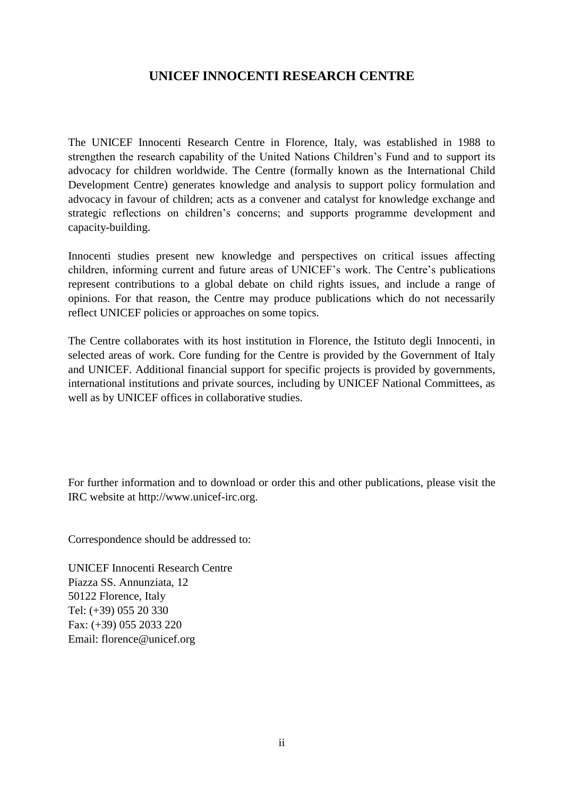# **UNICEF INNOCENTI RESEARCH CENTRE**

The UNICEF Innocenti Research Centre in Florence, Italy, was established in 1988 to strengthen the research capability of the United Nations Children"s Fund and to support its advocacy for children worldwide. The Centre (formally known as the International Child Development Centre) generates knowledge and analysis to support policy formulation and advocacy in favour of children; acts as a convener and catalyst for knowledge exchange and strategic reflections on children"s concerns; and supports programme development and capacity-building.

Innocenti studies present new knowledge and perspectives on critical issues affecting children, informing current and future areas of UNICEF's work. The Centre's publications represent contributions to a global debate on child rights issues, and include a range of opinions. For that reason, the Centre may produce publications which do not necessarily reflect UNICEF policies or approaches on some topics.

The Centre collaborates with its host institution in Florence, the Istituto degli Innocenti, in selected areas of work. Core funding for the Centre is provided by the Government of Italy and UNICEF. Additional financial support for specific projects is provided by governments, international institutions and private sources, including by UNICEF National Committees, as well as by UNICEF offices in collaborative studies.

For further information and to download or order this and other publications, please visit the IRC website at http://www.unicef-irc.org.

Correspondence should be addressed to:

UNICEF Innocenti Research Centre Piazza SS. Annunziata, 12 50122 Florence, Italy Tel: (+39) 055 20 330 Fax: (+39) 055 2033 220 Email: florence@unicef.org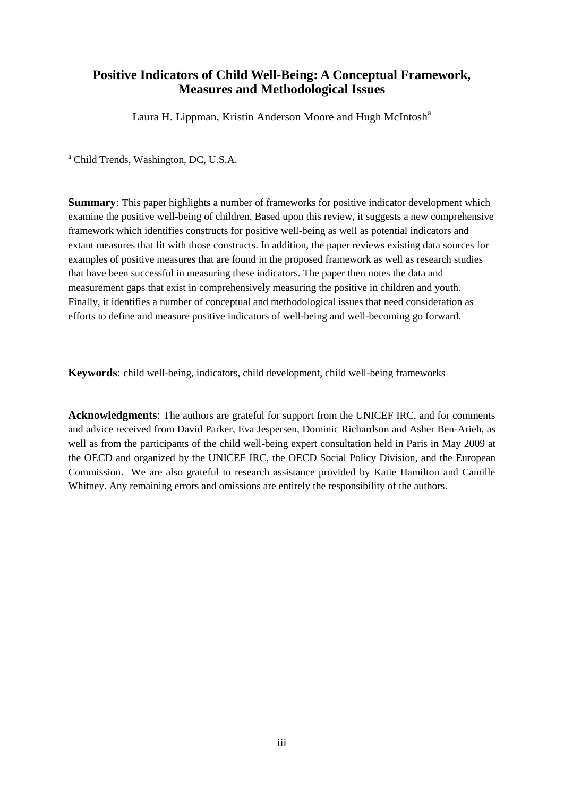### **Positive Indicators of Child Well-Being: A Conceptual Framework, Measures and Methodological Issues**

Laura H. Lippman, Kristin Anderson Moore and Hugh McIntosh<sup>a</sup>

<sup>a</sup> Child Trends, Washington, DC, U.S.A.

**Summary**: This paper highlights a number of frameworks for positive indicator development which examine the positive well-being of children. Based upon this review, it suggests a new comprehensive framework which identifies constructs for positive well-being as well as potential indicators and extant measures that fit with those constructs. In addition, the paper reviews existing data sources for examples of positive measures that are found in the proposed framework as well as research studies that have been successful in measuring these indicators. The paper then notes the data and measurement gaps that exist in comprehensively measuring the positive in children and youth. Finally, it identifies a number of conceptual and methodological issues that need consideration as efforts to define and measure positive indicators of well-being and well-becoming go forward.

**Keywords**: child well-being, indicators, child development, child well-being frameworks

**Acknowledgments**: The authors are grateful for support from the UNICEF IRC, and for comments and advice received from David Parker, Eva Jespersen, Dominic Richardson and Asher Ben-Arieh, as well as from the participants of the child well-being expert consultation held in Paris in May 2009 at the OECD and organized by the UNICEF IRC, the OECD Social Policy Division, and the European Commission. We are also grateful to research assistance provided by Katie Hamilton and Camille Whitney. Any remaining errors and omissions are entirely the responsibility of the authors.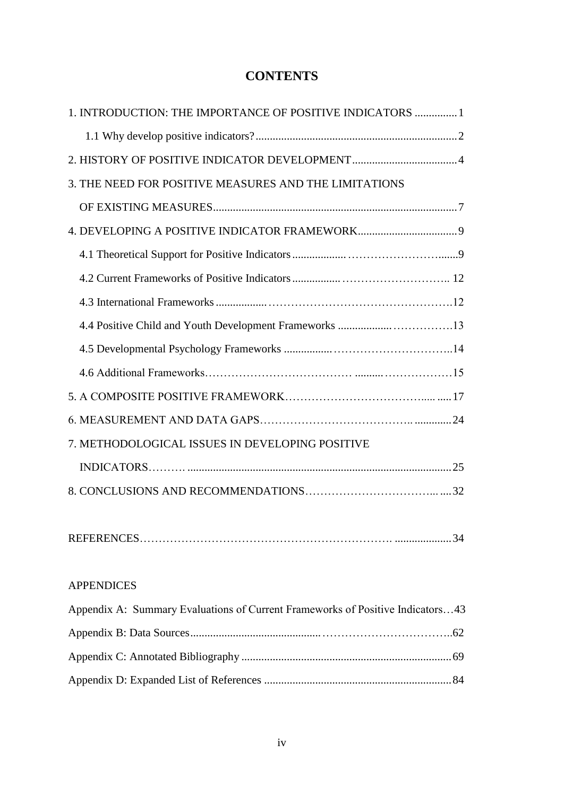# **CONTENTS**

| 1. INTRODUCTION: THE IMPORTANCE OF POSITIVE INDICATORS  1 |  |
|-----------------------------------------------------------|--|
|                                                           |  |
|                                                           |  |
| 3. THE NEED FOR POSITIVE MEASURES AND THE LIMITATIONS     |  |
|                                                           |  |
|                                                           |  |
|                                                           |  |
|                                                           |  |
|                                                           |  |
|                                                           |  |
|                                                           |  |
|                                                           |  |
|                                                           |  |
|                                                           |  |
| 7. METHODOLOGICAL ISSUES IN DEVELOPING POSITIVE           |  |
|                                                           |  |
|                                                           |  |
|                                                           |  |
|                                                           |  |
|                                                           |  |
| <b>APPENDICES</b>                                         |  |
|                                                           |  |

| Appendix A: Summary Evaluations of Current Frameworks of Positive Indicators43 |  |
|--------------------------------------------------------------------------------|--|
|                                                                                |  |
|                                                                                |  |
|                                                                                |  |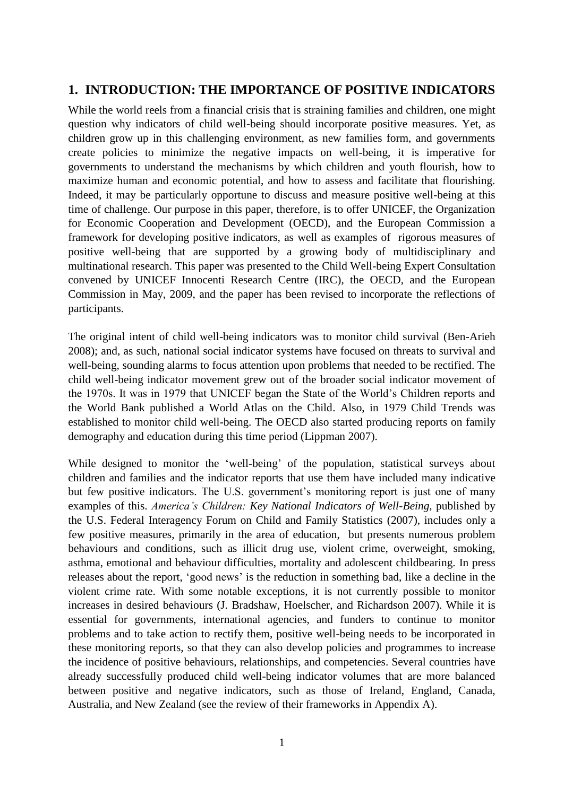## **1. INTRODUCTION: THE IMPORTANCE OF POSITIVE INDICATORS**

While the world reels from a financial crisis that is straining families and children, one might question why indicators of child well-being should incorporate positive measures. Yet, as children grow up in this challenging environment, as new families form, and governments create policies to minimize the negative impacts on well-being, it is imperative for governments to understand the mechanisms by which children and youth flourish, how to maximize human and economic potential, and how to assess and facilitate that flourishing. Indeed, it may be particularly opportune to discuss and measure positive well-being at this time of challenge. Our purpose in this paper, therefore, is to offer UNICEF, the Organization for Economic Cooperation and Development (OECD), and the European Commission a framework for developing positive indicators, as well as examples of rigorous measures of positive well-being that are supported by a growing body of multidisciplinary and multinational research. This paper was presented to the Child Well-being Expert Consultation convened by UNICEF Innocenti Research Centre (IRC), the OECD, and the European Commission in May, 2009, and the paper has been revised to incorporate the reflections of participants.

The original intent of child well-being indicators was to monitor child survival (Ben-Arieh 2008); and, as such, national social indicator systems have focused on threats to survival and well-being, sounding alarms to focus attention upon problems that needed to be rectified. The child well-being indicator movement grew out of the broader social indicator movement of the 1970s. It was in 1979 that UNICEF began the State of the World"s Children reports and the World Bank published a World Atlas on the Child. Also, in 1979 Child Trends was established to monitor child well-being. The OECD also started producing reports on family demography and education during this time period (Lippman 2007).

While designed to monitor the 'well-being' of the population, statistical surveys about children and families and the indicator reports that use them have included many indicative but few positive indicators. The U.S. government's monitoring report is just one of many examples of this. *America's Children: Key National Indicators of Well-Being,* published by the U.S. Federal Interagency Forum on Child and Family Statistics (2007), includes only a few positive measures, primarily in the area of education, but presents numerous problem behaviours and conditions, such as illicit drug use, violent crime, overweight, smoking, asthma, emotional and behaviour difficulties, mortality and adolescent childbearing. In press releases about the report, "good news" is the reduction in something bad, like a decline in the violent crime rate. With some notable exceptions, it is not currently possible to monitor increases in desired behaviours (J. Bradshaw, Hoelscher, and Richardson 2007). While it is essential for governments, international agencies, and funders to continue to monitor problems and to take action to rectify them, positive well-being needs to be incorporated in these monitoring reports, so that they can also develop policies and programmes to increase the incidence of positive behaviours, relationships, and competencies. Several countries have already successfully produced child well-being indicator volumes that are more balanced between positive and negative indicators, such as those of Ireland, England, Canada, Australia, and New Zealand (see the review of their frameworks in Appendix A).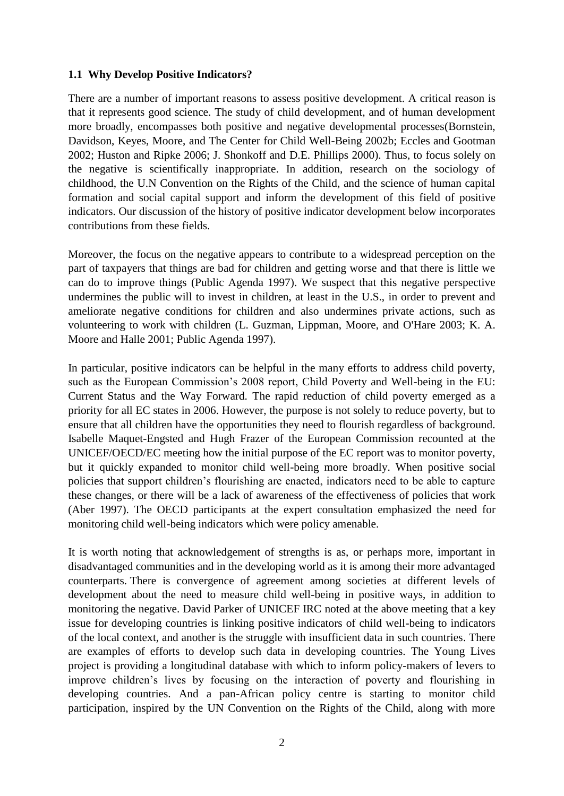#### **1.1 Why Develop Positive Indicators?**

There are a number of important reasons to assess positive development. A critical reason is that it represents good science. The study of child development, and of human development more broadly, encompasses both positive and negative developmental processes(Bornstein, Davidson, Keyes, Moore, and The Center for Child Well-Being 2002b; Eccles and Gootman 2002; Huston and Ripke 2006; J. Shonkoff and D.E. Phillips 2000). Thus, to focus solely on the negative is scientifically inappropriate. In addition, research on the sociology of childhood, the U.N Convention on the Rights of the Child, and the science of human capital formation and social capital support and inform the development of this field of positive indicators. Our discussion of the history of positive indicator development below incorporates contributions from these fields.

Moreover, the focus on the negative appears to contribute to a widespread perception on the part of taxpayers that things are bad for children and getting worse and that there is little we can do to improve things (Public Agenda 1997). We suspect that this negative perspective undermines the public will to invest in children, at least in the U.S., in order to prevent and ameliorate negative conditions for children and also undermines private actions, such as volunteering to work with children (L. Guzman, Lippman, Moore, and O'Hare 2003; K. A. Moore and Halle 2001; Public Agenda 1997).

In particular, positive indicators can be helpful in the many efforts to address child poverty, such as the European Commission's 2008 report, Child Poverty and Well-being in the EU: Current Status and the Way Forward. The rapid reduction of child poverty emerged as a priority for all EC states in 2006. However, the purpose is not solely to reduce poverty, but to ensure that all children have the opportunities they need to flourish regardless of background. Isabelle Maquet-Engsted and Hugh Frazer of the European Commission recounted at the UNICEF/OECD/EC meeting how the initial purpose of the EC report was to monitor poverty, but it quickly expanded to monitor child well-being more broadly. When positive social policies that support children"s flourishing are enacted, indicators need to be able to capture these changes, or there will be a lack of awareness of the effectiveness of policies that work (Aber 1997). The OECD participants at the expert consultation emphasized the need for monitoring child well-being indicators which were policy amenable.

It is worth noting that acknowledgement of strengths is as, or perhaps more, important in disadvantaged communities and in the developing world as it is among their more advantaged counterparts. There is convergence of agreement among societies at different levels of development about the need to measure child well-being in positive ways, in addition to monitoring the negative. David Parker of UNICEF IRC noted at the above meeting that a key issue for developing countries is linking positive indicators of child well-being to indicators of the local context, and another is the struggle with insufficient data in such countries. There are examples of efforts to develop such data in developing countries. The Young Lives project is providing a longitudinal database with which to inform policy-makers of levers to improve children"s lives by focusing on the interaction of poverty and flourishing in developing countries. And a pan-African policy centre is starting to monitor child participation, inspired by the UN Convention on the Rights of the Child, along with more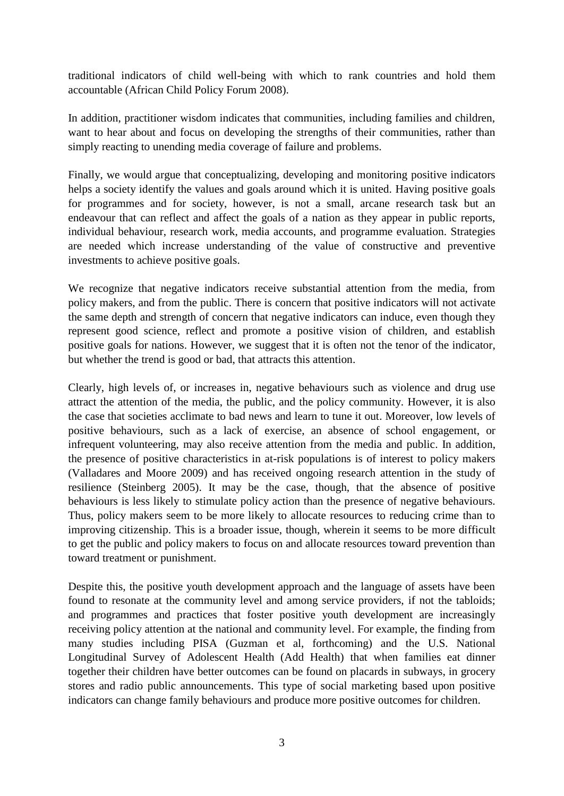traditional indicators of child well-being with which to rank countries and hold them accountable (African Child Policy Forum 2008).

In addition, practitioner wisdom indicates that communities, including families and children, want to hear about and focus on developing the strengths of their communities, rather than simply reacting to unending media coverage of failure and problems.

Finally, we would argue that conceptualizing, developing and monitoring positive indicators helps a society identify the values and goals around which it is united. Having positive goals for programmes and for society, however, is not a small, arcane research task but an endeavour that can reflect and affect the goals of a nation as they appear in public reports, individual behaviour, research work, media accounts, and programme evaluation. Strategies are needed which increase understanding of the value of constructive and preventive investments to achieve positive goals.

We recognize that negative indicators receive substantial attention from the media, from policy makers, and from the public. There is concern that positive indicators will not activate the same depth and strength of concern that negative indicators can induce, even though they represent good science, reflect and promote a positive vision of children, and establish positive goals for nations. However, we suggest that it is often not the tenor of the indicator, but whether the trend is good or bad, that attracts this attention.

Clearly, high levels of, or increases in, negative behaviours such as violence and drug use attract the attention of the media, the public, and the policy community. However, it is also the case that societies acclimate to bad news and learn to tune it out. Moreover, low levels of positive behaviours, such as a lack of exercise, an absence of school engagement, or infrequent volunteering, may also receive attention from the media and public. In addition, the presence of positive characteristics in at-risk populations is of interest to policy makers (Valladares and Moore 2009) and has received ongoing research attention in the study of resilience (Steinberg 2005). It may be the case, though, that the absence of positive behaviours is less likely to stimulate policy action than the presence of negative behaviours. Thus, policy makers seem to be more likely to allocate resources to reducing crime than to improving citizenship. This is a broader issue, though, wherein it seems to be more difficult to get the public and policy makers to focus on and allocate resources toward prevention than toward treatment or punishment.

Despite this, the positive youth development approach and the language of assets have been found to resonate at the community level and among service providers, if not the tabloids; and programmes and practices that foster positive youth development are increasingly receiving policy attention at the national and community level. For example, the finding from many studies including PISA (Guzman et al, forthcoming) and the U.S. National Longitudinal Survey of Adolescent Health (Add Health) that when families eat dinner together their children have better outcomes can be found on placards in subways, in grocery stores and radio public announcements. This type of social marketing based upon positive indicators can change family behaviours and produce more positive outcomes for children.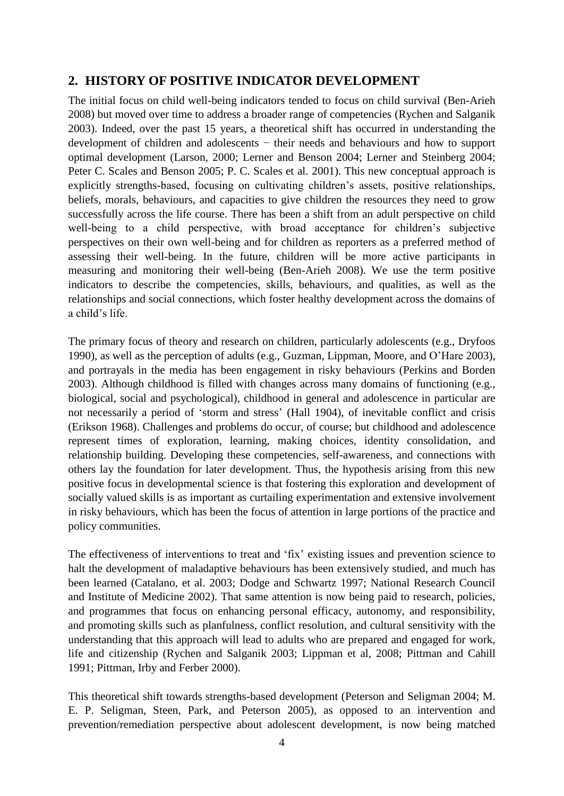# **2. HISTORY OF POSITIVE INDICATOR DEVELOPMENT**

The initial focus on child well-being indicators tended to focus on child survival (Ben-Arieh 2008) but moved over time to address a broader range of competencies (Rychen and Salganik 2003). Indeed, over the past 15 years, a theoretical shift has occurred in understanding the development of children and adolescents − their needs and behaviours and how to support optimal development (Larson, 2000; Lerner and Benson 2004; Lerner and Steinberg 2004; Peter C. Scales and Benson 2005; P. C. Scales et al. 2001). This new conceptual approach is explicitly strengths-based, focusing on cultivating children"s assets, positive relationships, beliefs, morals, behaviours, and capacities to give children the resources they need to grow successfully across the life course. There has been a shift from an adult perspective on child well-being to a child perspective, with broad acceptance for children"s subjective perspectives on their own well-being and for children as reporters as a preferred method of assessing their well-being. In the future, children will be more active participants in measuring and monitoring their well-being (Ben-Arieh 2008). We use the term positive indicators to describe the competencies, skills, behaviours, and qualities, as well as the relationships and social connections, which foster healthy development across the domains of a child"s life.

The primary focus of theory and research on children, particularly adolescents (e.g., Dryfoos 1990), as well as the perception of adults (e.g., Guzman, Lippman, Moore, and O"Hare 2003), and portrayals in the media has been engagement in risky behaviours (Perkins and Borden 2003). Although childhood is filled with changes across many domains of functioning (e.g., biological, social and psychological), childhood in general and adolescence in particular are not necessarily a period of "storm and stress" (Hall 1904), of inevitable conflict and crisis (Erikson 1968). Challenges and problems do occur, of course; but childhood and adolescence represent times of exploration, learning, making choices, identity consolidation, and relationship building. Developing these competencies, self-awareness, and connections with others lay the foundation for later development. Thus, the hypothesis arising from this new positive focus in developmental science is that fostering this exploration and development of socially valued skills is as important as curtailing experimentation and extensive involvement in risky behaviours, which has been the focus of attention in large portions of the practice and policy communities.

The effectiveness of interventions to treat and 'fix' existing issues and prevention science to halt the development of maladaptive behaviours has been extensively studied, and much has been learned (Catalano, et al. 2003; Dodge and Schwartz 1997; National Research Council and Institute of Medicine 2002). That same attention is now being paid to research, policies, and programmes that focus on enhancing personal efficacy, autonomy, and responsibility, and promoting skills such as planfulness, conflict resolution, and cultural sensitivity with the understanding that this approach will lead to adults who are prepared and engaged for work, life and citizenship (Rychen and Salganik 2003; Lippman et al, 2008; Pittman and Cahill 1991; Pittman, Irby and Ferber 2000).

This theoretical shift towards strengths-based development (Peterson and Seligman 2004; M. E. P. Seligman, Steen, Park, and Peterson 2005), as opposed to an intervention and prevention/remediation perspective about adolescent development, is now being matched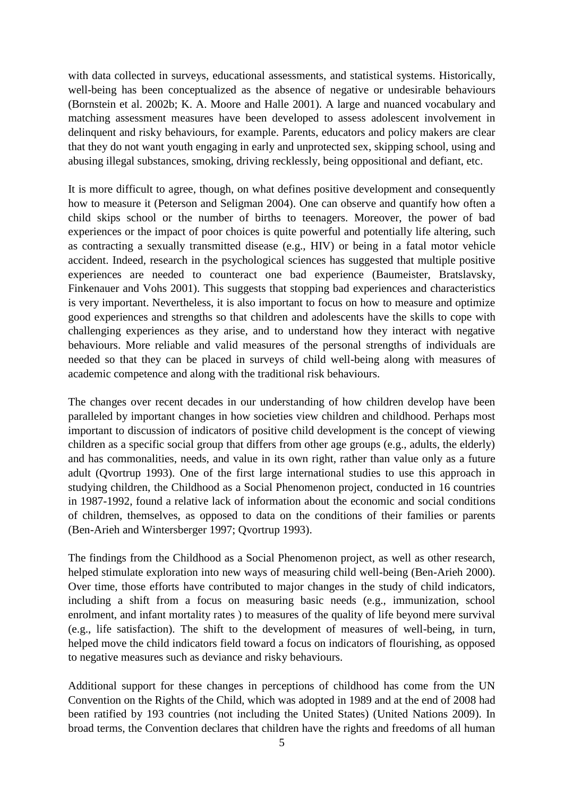with data collected in surveys, educational assessments, and statistical systems. Historically, well-being has been conceptualized as the absence of negative or undesirable behaviours (Bornstein et al. 2002b; K. A. Moore and Halle 2001). A large and nuanced vocabulary and matching assessment measures have been developed to assess adolescent involvement in delinquent and risky behaviours, for example. Parents, educators and policy makers are clear that they do not want youth engaging in early and unprotected sex, skipping school, using and abusing illegal substances, smoking, driving recklessly, being oppositional and defiant, etc.

It is more difficult to agree, though, on what defines positive development and consequently how to measure it (Peterson and Seligman 2004). One can observe and quantify how often a child skips school or the number of births to teenagers. Moreover, the power of bad experiences or the impact of poor choices is quite powerful and potentially life altering, such as contracting a sexually transmitted disease (e.g., HIV) or being in a fatal motor vehicle accident. Indeed, research in the psychological sciences has suggested that multiple positive experiences are needed to counteract one bad experience (Baumeister, Bratslavsky, Finkenauer and Vohs 2001). This suggests that stopping bad experiences and characteristics is very important. Nevertheless, it is also important to focus on how to measure and optimize good experiences and strengths so that children and adolescents have the skills to cope with challenging experiences as they arise, and to understand how they interact with negative behaviours. More reliable and valid measures of the personal strengths of individuals are needed so that they can be placed in surveys of child well-being along with measures of academic competence and along with the traditional risk behaviours.

The changes over recent decades in our understanding of how children develop have been paralleled by important changes in how societies view children and childhood. Perhaps most important to discussion of indicators of positive child development is the concept of viewing children as a specific social group that differs from other age groups (e.g., adults, the elderly) and has commonalities, needs, and value in its own right, rather than value only as a future adult (Qvortrup 1993). One of the first large international studies to use this approach in studying children, the Childhood as a Social Phenomenon project, conducted in 16 countries in 1987-1992, found a relative lack of information about the economic and social conditions of children, themselves, as opposed to data on the conditions of their families or parents (Ben-Arieh and Wintersberger 1997; Qvortrup 1993).

The findings from the Childhood as a Social Phenomenon project, as well as other research, helped stimulate exploration into new ways of measuring child well-being (Ben-Arieh 2000). Over time, those efforts have contributed to major changes in the study of child indicators, including a shift from a focus on measuring basic needs (e.g., immunization, school enrolment, and infant mortality rates ) to measures of the quality of life beyond mere survival (e.g., life satisfaction). The shift to the development of measures of well-being, in turn, helped move the child indicators field toward a focus on indicators of flourishing, as opposed to negative measures such as deviance and risky behaviours.

Additional support for these changes in perceptions of childhood has come from the UN Convention on the Rights of the Child, which was adopted in 1989 and at the end of 2008 had been ratified by 193 countries (not including the United States) (United Nations 2009). In broad terms, the Convention declares that children have the rights and freedoms of all human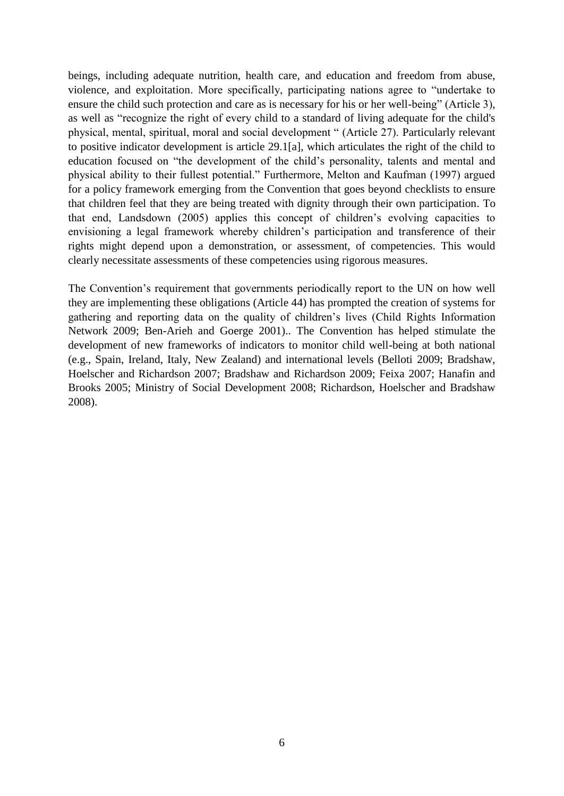beings, including adequate nutrition, health care, and education and freedom from abuse, violence, and exploitation. More specifically, participating nations agree to "undertake to ensure the child such protection and care as is necessary for his or her well-being" (Article 3), as well as "recognize the right of every child to a standard of living adequate for the child's physical, mental, spiritual, moral and social development " (Article 27). Particularly relevant to positive indicator development is article 29.1[a], which articulates the right of the child to education focused on "the development of the child"s personality, talents and mental and physical ability to their fullest potential." Furthermore, Melton and Kaufman (1997) argued for a policy framework emerging from the Convention that goes beyond checklists to ensure that children feel that they are being treated with dignity through their own participation. To that end, Landsdown (2005) applies this concept of children"s evolving capacities to envisioning a legal framework whereby children"s participation and transference of their rights might depend upon a demonstration, or assessment, of competencies. This would clearly necessitate assessments of these competencies using rigorous measures.

The Convention"s requirement that governments periodically report to the UN on how well they are implementing these obligations (Article 44) has prompted the creation of systems for gathering and reporting data on the quality of children"s lives (Child Rights Information Network 2009; Ben-Arieh and Goerge 2001).. The Convention has helped stimulate the development of new frameworks of indicators to monitor child well-being at both national (e.g., Spain, Ireland, Italy, New Zealand) and international levels (Belloti 2009; Bradshaw, Hoelscher and Richardson 2007; Bradshaw and Richardson 2009; Feixa 2007; Hanafin and Brooks 2005; Ministry of Social Development 2008; Richardson, Hoelscher and Bradshaw 2008).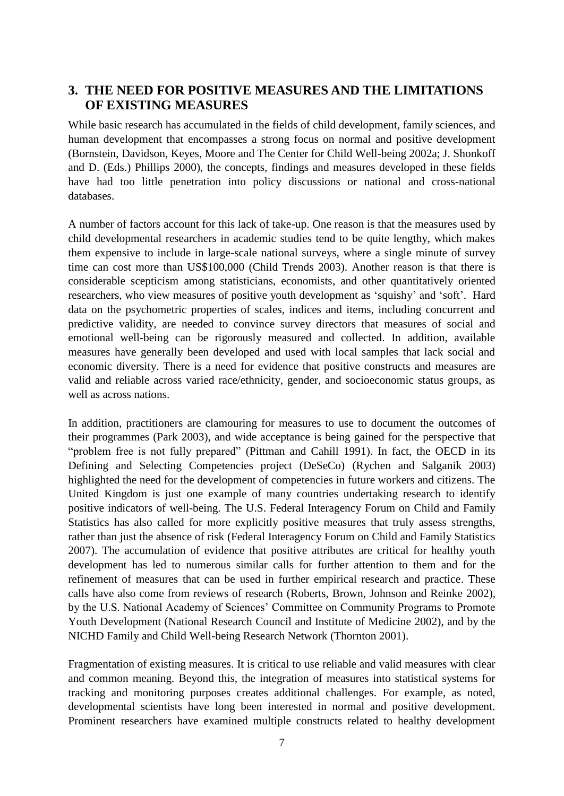# **3. THE NEED FOR POSITIVE MEASURES AND THE LIMITATIONS OF EXISTING MEASURES**

While basic research has accumulated in the fields of child development, family sciences, and human development that encompasses a strong focus on normal and positive development (Bornstein, Davidson, Keyes, Moore and The Center for Child Well-being 2002a; J. Shonkoff and D. (Eds.) Phillips 2000), the concepts, findings and measures developed in these fields have had too little penetration into policy discussions or national and cross-national databases.

A number of factors account for this lack of take-up. One reason is that the measures used by child developmental researchers in academic studies tend to be quite lengthy, which makes them expensive to include in large-scale national surveys, where a single minute of survey time can cost more than US\$100,000 (Child Trends 2003). Another reason is that there is considerable scepticism among statisticians, economists, and other quantitatively oriented researchers, who view measures of positive youth development as "squishy" and "soft". Hard data on the psychometric properties of scales, indices and items, including concurrent and predictive validity, are needed to convince survey directors that measures of social and emotional well-being can be rigorously measured and collected. In addition, available measures have generally been developed and used with local samples that lack social and economic diversity. There is a need for evidence that positive constructs and measures are valid and reliable across varied race/ethnicity, gender, and socioeconomic status groups, as well as across nations.

In addition, practitioners are clamouring for measures to use to document the outcomes of their programmes (Park 2003), and wide acceptance is being gained for the perspective that "problem free is not fully prepared" (Pittman and Cahill 1991). In fact, the OECD in its Defining and Selecting Competencies project (DeSeCo) (Rychen and Salganik 2003) highlighted the need for the development of competencies in future workers and citizens. The United Kingdom is just one example of many countries undertaking research to identify positive indicators of well-being. The U.S. Federal Interagency Forum on Child and Family Statistics has also called for more explicitly positive measures that truly assess strengths, rather than just the absence of risk (Federal Interagency Forum on Child and Family Statistics 2007). The accumulation of evidence that positive attributes are critical for healthy youth development has led to numerous similar calls for further attention to them and for the refinement of measures that can be used in further empirical research and practice. These calls have also come from reviews of research (Roberts, Brown, Johnson and Reinke 2002), by the U.S. National Academy of Sciences" Committee on Community Programs to Promote Youth Development (National Research Council and Institute of Medicine 2002), and by the NICHD Family and Child Well-being Research Network (Thornton 2001).

Fragmentation of existing measures. It is critical to use reliable and valid measures with clear and common meaning. Beyond this, the integration of measures into statistical systems for tracking and monitoring purposes creates additional challenges. For example, as noted, developmental scientists have long been interested in normal and positive development. Prominent researchers have examined multiple constructs related to healthy development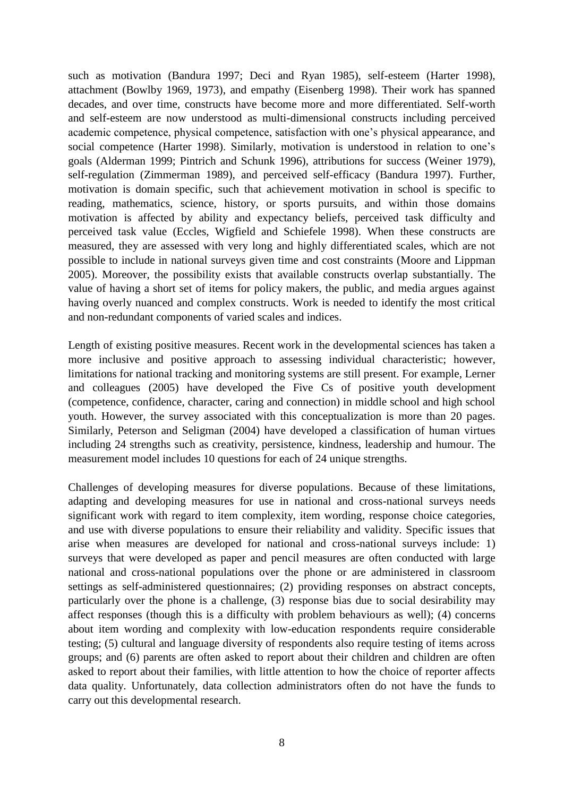such as motivation (Bandura 1997; Deci and Ryan 1985), self-esteem (Harter 1998), attachment (Bowlby 1969, 1973), and empathy (Eisenberg 1998). Their work has spanned decades, and over time, constructs have become more and more differentiated. Self-worth and self-esteem are now understood as multi-dimensional constructs including perceived academic competence, physical competence, satisfaction with one"s physical appearance, and social competence (Harter 1998). Similarly, motivation is understood in relation to one's goals (Alderman 1999; Pintrich and Schunk 1996), attributions for success (Weiner 1979), self-regulation (Zimmerman 1989), and perceived self-efficacy (Bandura 1997). Further, motivation is domain specific, such that achievement motivation in school is specific to reading, mathematics, science, history, or sports pursuits, and within those domains motivation is affected by ability and expectancy beliefs, perceived task difficulty and perceived task value (Eccles, Wigfield and Schiefele 1998). When these constructs are measured, they are assessed with very long and highly differentiated scales, which are not possible to include in national surveys given time and cost constraints (Moore and Lippman 2005). Moreover, the possibility exists that available constructs overlap substantially. The value of having a short set of items for policy makers, the public, and media argues against having overly nuanced and complex constructs. Work is needed to identify the most critical and non-redundant components of varied scales and indices.

Length of existing positive measures. Recent work in the developmental sciences has taken a more inclusive and positive approach to assessing individual characteristic; however, limitations for national tracking and monitoring systems are still present. For example, Lerner and colleagues (2005) have developed the Five Cs of positive youth development (competence, confidence, character, caring and connection) in middle school and high school youth. However, the survey associated with this conceptualization is more than 20 pages. Similarly, Peterson and Seligman (2004) have developed a classification of human virtues including 24 strengths such as creativity, persistence, kindness, leadership and humour. The measurement model includes 10 questions for each of 24 unique strengths.

Challenges of developing measures for diverse populations. Because of these limitations, adapting and developing measures for use in national and cross-national surveys needs significant work with regard to item complexity, item wording, response choice categories, and use with diverse populations to ensure their reliability and validity. Specific issues that arise when measures are developed for national and cross-national surveys include: 1) surveys that were developed as paper and pencil measures are often conducted with large national and cross-national populations over the phone or are administered in classroom settings as self-administered questionnaires; (2) providing responses on abstract concepts, particularly over the phone is a challenge, (3) response bias due to social desirability may affect responses (though this is a difficulty with problem behaviours as well); (4) concerns about item wording and complexity with low-education respondents require considerable testing; (5) cultural and language diversity of respondents also require testing of items across groups; and (6) parents are often asked to report about their children and children are often asked to report about their families, with little attention to how the choice of reporter affects data quality. Unfortunately, data collection administrators often do not have the funds to carry out this developmental research.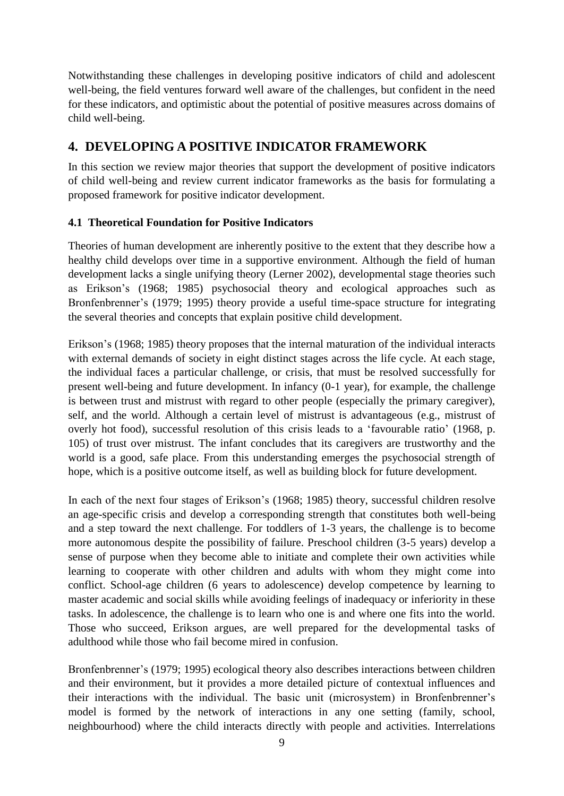Notwithstanding these challenges in developing positive indicators of child and adolescent well-being, the field ventures forward well aware of the challenges, but confident in the need for these indicators, and optimistic about the potential of positive measures across domains of child well-being.

# **4. DEVELOPING A POSITIVE INDICATOR FRAMEWORK**

In this section we review major theories that support the development of positive indicators of child well-being and review current indicator frameworks as the basis for formulating a proposed framework for positive indicator development.

#### **4.1 Theoretical Foundation for Positive Indicators**

Theories of human development are inherently positive to the extent that they describe how a healthy child develops over time in a supportive environment. Although the field of human development lacks a single unifying theory (Lerner 2002), developmental stage theories such as Erikson"s (1968; 1985) psychosocial theory and ecological approaches such as Bronfenbrenner's (1979; 1995) theory provide a useful time-space structure for integrating the several theories and concepts that explain positive child development.

Erikson"s (1968; 1985) theory proposes that the internal maturation of the individual interacts with external demands of society in eight distinct stages across the life cycle. At each stage, the individual faces a particular challenge, or crisis, that must be resolved successfully for present well-being and future development. In infancy (0-1 year), for example, the challenge is between trust and mistrust with regard to other people (especially the primary caregiver), self, and the world. Although a certain level of mistrust is advantageous (e.g., mistrust of overly hot food), successful resolution of this crisis leads to a "favourable ratio" (1968, p. 105) of trust over mistrust. The infant concludes that its caregivers are trustworthy and the world is a good, safe place. From this understanding emerges the psychosocial strength of hope, which is a positive outcome itself, as well as building block for future development.

In each of the next four stages of Erikson"s (1968; 1985) theory, successful children resolve an age-specific crisis and develop a corresponding strength that constitutes both well-being and a step toward the next challenge. For toddlers of 1-3 years, the challenge is to become more autonomous despite the possibility of failure. Preschool children (3-5 years) develop a sense of purpose when they become able to initiate and complete their own activities while learning to cooperate with other children and adults with whom they might come into conflict. School-age children (6 years to adolescence) develop competence by learning to master academic and social skills while avoiding feelings of inadequacy or inferiority in these tasks. In adolescence, the challenge is to learn who one is and where one fits into the world. Those who succeed, Erikson argues, are well prepared for the developmental tasks of adulthood while those who fail become mired in confusion.

Bronfenbrenner's (1979; 1995) ecological theory also describes interactions between children and their environment, but it provides a more detailed picture of contextual influences and their interactions with the individual. The basic unit (microsystem) in Bronfenbrenner"s model is formed by the network of interactions in any one setting (family, school, neighbourhood) where the child interacts directly with people and activities. Interrelations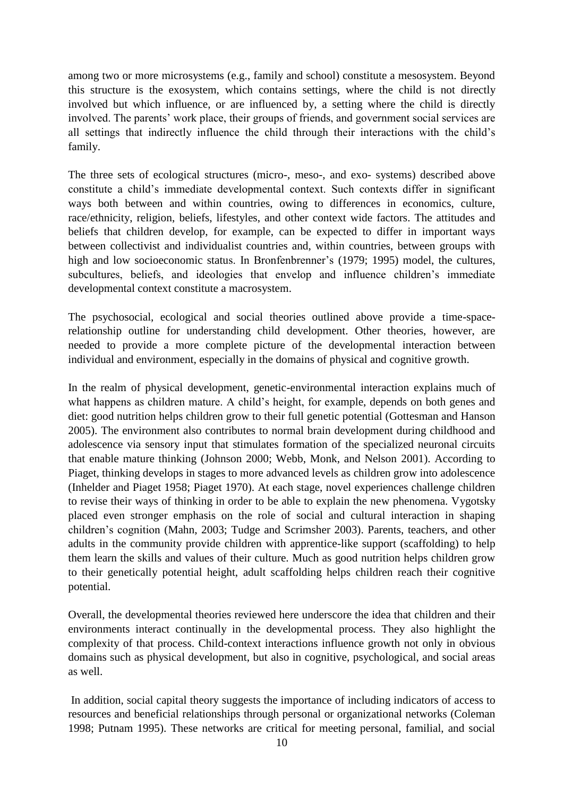among two or more microsystems (e.g., family and school) constitute a mesosystem. Beyond this structure is the exosystem, which contains settings, where the child is not directly involved but which influence, or are influenced by, a setting where the child is directly involved. The parents' work place, their groups of friends, and government social services are all settings that indirectly influence the child through their interactions with the child"s family.

The three sets of ecological structures (micro-, meso-, and exo- systems) described above constitute a child"s immediate developmental context. Such contexts differ in significant ways both between and within countries, owing to differences in economics, culture, race/ethnicity, religion, beliefs, lifestyles, and other context wide factors. The attitudes and beliefs that children develop, for example, can be expected to differ in important ways between collectivist and individualist countries and, within countries, between groups with high and low socioeconomic status. In Bronfenbrenner's (1979; 1995) model, the cultures, subcultures, beliefs, and ideologies that envelop and influence children's immediate developmental context constitute a macrosystem.

The psychosocial, ecological and social theories outlined above provide a time-spacerelationship outline for understanding child development. Other theories, however, are needed to provide a more complete picture of the developmental interaction between individual and environment, especially in the domains of physical and cognitive growth.

In the realm of physical development, genetic-environmental interaction explains much of what happens as children mature. A child's height, for example, depends on both genes and diet: good nutrition helps children grow to their full genetic potential (Gottesman and Hanson 2005). The environment also contributes to normal brain development during childhood and adolescence via sensory input that stimulates formation of the specialized neuronal circuits that enable mature thinking (Johnson 2000; Webb, Monk, and Nelson 2001). According to Piaget, thinking develops in stages to more advanced levels as children grow into adolescence (Inhelder and Piaget 1958; Piaget 1970). At each stage, novel experiences challenge children to revise their ways of thinking in order to be able to explain the new phenomena. Vygotsky placed even stronger emphasis on the role of social and cultural interaction in shaping children"s cognition (Mahn, 2003; Tudge and Scrimsher 2003). Parents, teachers, and other adults in the community provide children with apprentice-like support (scaffolding) to help them learn the skills and values of their culture. Much as good nutrition helps children grow to their genetically potential height, adult scaffolding helps children reach their cognitive potential.

Overall, the developmental theories reviewed here underscore the idea that children and their environments interact continually in the developmental process. They also highlight the complexity of that process. Child-context interactions influence growth not only in obvious domains such as physical development, but also in cognitive, psychological, and social areas as well.

In addition, social capital theory suggests the importance of including indicators of access to resources and beneficial relationships through personal or organizational networks (Coleman 1998; Putnam 1995). These networks are critical for meeting personal, familial, and social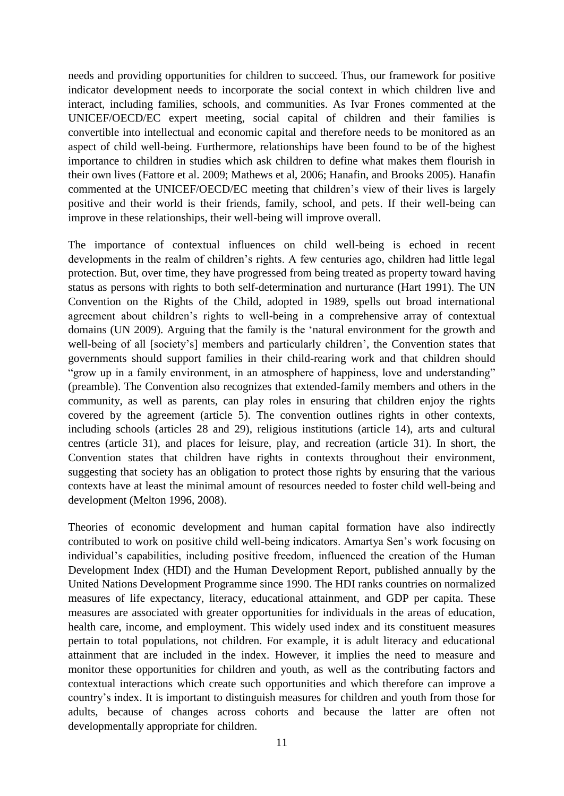needs and providing opportunities for children to succeed. Thus, our framework for positive indicator development needs to incorporate the social context in which children live and interact, including families, schools, and communities. As Ivar Frones commented at the UNICEF/OECD/EC expert meeting, social capital of children and their families is convertible into intellectual and economic capital and therefore needs to be monitored as an aspect of child well-being. Furthermore, relationships have been found to be of the highest importance to children in studies which ask children to define what makes them flourish in their own lives (Fattore et al. 2009; Mathews et al, 2006; Hanafin, and Brooks 2005). Hanafin commented at the UNICEF/OECD/EC meeting that children"s view of their lives is largely positive and their world is their friends, family, school, and pets. If their well-being can improve in these relationships, their well-being will improve overall.

The importance of contextual influences on child well-being is echoed in recent developments in the realm of children"s rights. A few centuries ago, children had little legal protection. But, over time, they have progressed from being treated as property toward having status as persons with rights to both self-determination and nurturance (Hart 1991). The UN Convention on the Rights of the Child, adopted in 1989, spells out broad international agreement about children"s rights to well-being in a comprehensive array of contextual domains (UN 2009). Arguing that the family is the "natural environment for the growth and well-being of all [society's] members and particularly children', the Convention states that governments should support families in their child-rearing work and that children should "grow up in a family environment, in an atmosphere of happiness, love and understanding" (preamble). The Convention also recognizes that extended-family members and others in the community, as well as parents, can play roles in ensuring that children enjoy the rights covered by the agreement (article 5). The convention outlines rights in other contexts, including schools (articles 28 and 29), religious institutions (article 14), arts and cultural centres (article 31), and places for leisure, play, and recreation (article 31). In short, the Convention states that children have rights in contexts throughout their environment, suggesting that society has an obligation to protect those rights by ensuring that the various contexts have at least the minimal amount of resources needed to foster child well-being and development (Melton 1996, 2008).

Theories of economic development and human capital formation have also indirectly contributed to work on positive child well-being indicators. Amartya Sen"s work focusing on individual"s capabilities, including positive freedom, influenced the creation of the Human Development Index (HDI) and the [Human Development Report,](http://en.wikipedia.org/wiki/Human_Development_Report) published annually by the [United Nations Development Programme](http://en.wikipedia.org/wiki/United_Nations_Development_Programme) since 1990. The HDI ranks countries on normalized measures of [life expectancy,](http://en.wikipedia.org/wiki/Life_expectancy) [literacy,](http://en.wikipedia.org/wiki/Literacy) [educational attainment,](http://en.wikipedia.org/wiki/Educational_attainment) and [GDP per capita.](http://en.wikipedia.org/wiki/GDP_per_capita) These measures are associated with greater opportunities for individuals in the areas of education, health care, income, and employment. This widely used index and its constituent measures pertain to total populations, not children. For example, it is adult literacy and educational attainment that are included in the index. However, it implies the need to measure and monitor these opportunities for children and youth, as well as the contributing factors and contextual interactions which create such opportunities and which therefore can improve a country"s index. It is important to distinguish measures for children and youth from those for adults, because of changes across cohorts and because the latter are often not developmentally appropriate for children.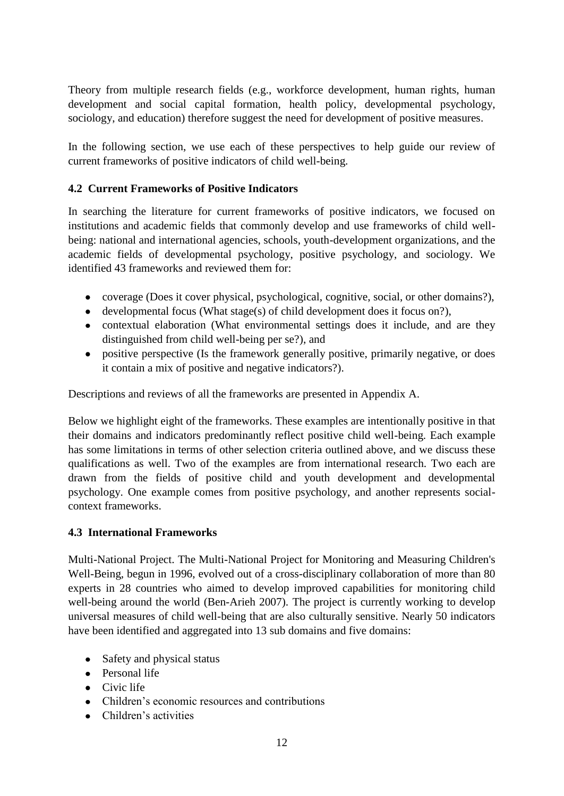Theory from multiple research fields (e.g., workforce development, human rights, human development and social capital formation, health policy, developmental psychology, sociology, and education) therefore suggest the need for development of positive measures.

In the following section, we use each of these perspectives to help guide our review of current frameworks of positive indicators of child well-being.

### **4.2 Current Frameworks of Positive Indicators**

In searching the literature for current frameworks of positive indicators, we focused on institutions and academic fields that commonly develop and use frameworks of child wellbeing: national and international agencies, schools, youth-development organizations, and the academic fields of developmental psychology, positive psychology, and sociology. We identified 43 frameworks and reviewed them for:

- coverage (Does it cover physical, psychological, cognitive, social, or other domains?),
- developmental focus (What stage(s) of child development does it focus on?),
- contextual elaboration (What environmental settings does it include, and are they distinguished from child well-being per se?), and
- positive perspective (Is the framework generally positive, primarily negative, or does it contain a mix of positive and negative indicators?).

Descriptions and reviews of all the frameworks are presented in Appendix A.

Below we highlight eight of the frameworks. These examples are intentionally positive in that their domains and indicators predominantly reflect positive child well-being. Each example has some limitations in terms of other selection criteria outlined above, and we discuss these qualifications as well. Two of the examples are from international research. Two each are drawn from the fields of positive child and youth development and developmental psychology. One example comes from positive psychology, and another represents socialcontext frameworks.

#### **4.3 International Frameworks**

Multi-National Project. The Multi-National Project for Monitoring and Measuring Children's Well-Being, begun in 1996, evolved out of a cross-disciplinary collaboration of more than 80 experts in 28 countries who aimed to develop improved capabilities for monitoring child well-being around the world (Ben-Arieh 2007). The project is currently working to develop universal measures of child well-being that are also culturally sensitive. Nearly 50 indicators have been identified and aggregated into 13 sub domains and five domains:

- Safety and physical status
- Personal life
- Civic life
- Children's economic resources and contributions
- Children's activities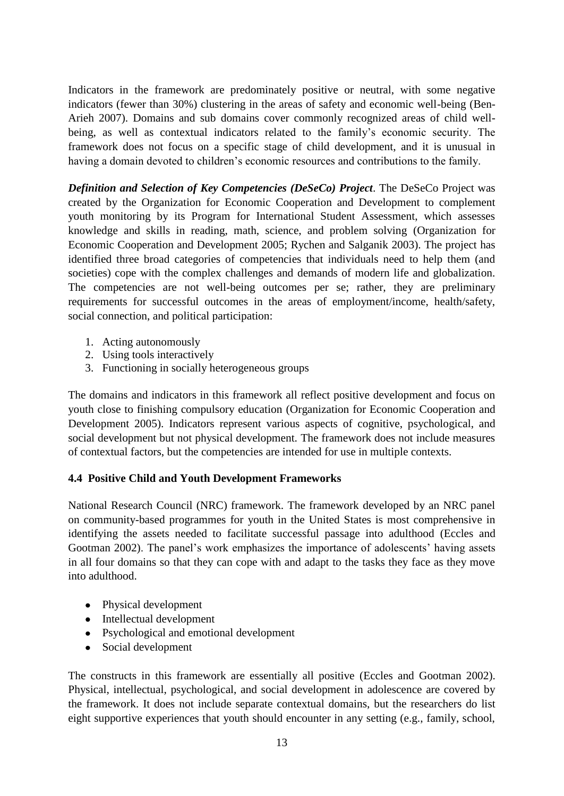Indicators in the framework are predominately positive or neutral, with some negative indicators (fewer than 30%) clustering in the areas of safety and economic well-being (Ben-Arieh 2007). Domains and sub domains cover commonly recognized areas of child wellbeing, as well as contextual indicators related to the family's economic security. The framework does not focus on a specific stage of child development, and it is unusual in having a domain devoted to children"s economic resources and contributions to the family.

*Definition and Selection of Key Competencies (DeSeCo) Project*. The DeSeCo Project was created by the Organization for Economic Cooperation and Development to complement youth monitoring by its Program for International Student Assessment, which assesses knowledge and skills in reading, math, science, and problem solving (Organization for Economic Cooperation and Development 2005; Rychen and Salganik 2003). The project has identified three broad categories of competencies that individuals need to help them (and societies) cope with the complex challenges and demands of modern life and globalization. The competencies are not well-being outcomes per se; rather, they are preliminary requirements for successful outcomes in the areas of employment/income, health/safety, social connection, and political participation:

- 1. Acting autonomously
- 2. Using tools interactively
- 3. Functioning in socially heterogeneous groups

The domains and indicators in this framework all reflect positive development and focus on youth close to finishing compulsory education (Organization for Economic Cooperation and Development 2005). Indicators represent various aspects of cognitive, psychological, and social development but not physical development. The framework does not include measures of contextual factors, but the competencies are intended for use in multiple contexts.

#### **4.4 Positive Child and Youth Development Frameworks**

National Research Council (NRC) framework. The framework developed by an NRC panel on community-based programmes for youth in the United States is most comprehensive in identifying the assets needed to facilitate successful passage into adulthood (Eccles and Gootman 2002). The panel's work emphasizes the importance of adolescents' having assets in all four domains so that they can cope with and adapt to the tasks they face as they move into adulthood.

- Physical development
- Intellectual development
- Psychological and emotional development
- Social development

The constructs in this framework are essentially all positive (Eccles and Gootman 2002). Physical, intellectual, psychological, and social development in adolescence are covered by the framework. It does not include separate contextual domains, but the researchers do list eight supportive experiences that youth should encounter in any setting (e.g., family, school,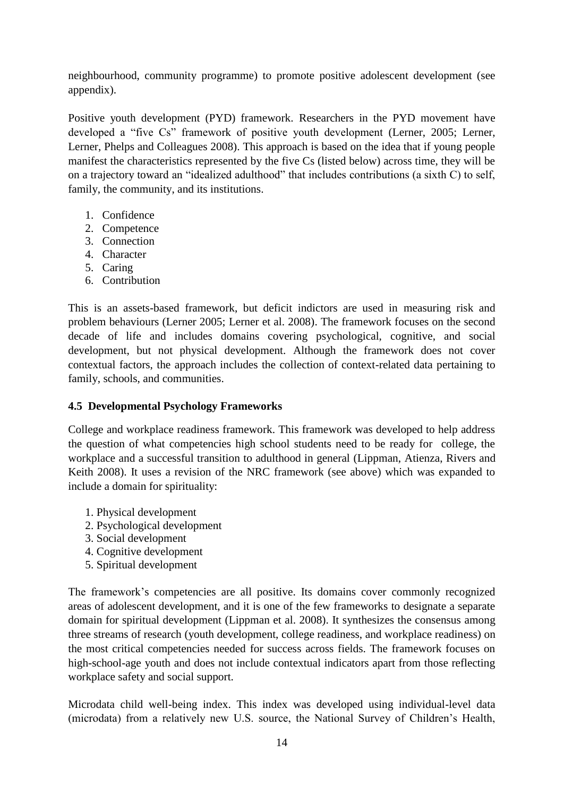neighbourhood, community programme) to promote positive adolescent development (see appendix).

Positive youth development (PYD) framework. Researchers in the PYD movement have developed a "five Cs" framework of positive youth development (Lerner, 2005; Lerner, Lerner, Phelps and Colleagues 2008). This approach is based on the idea that if young people manifest the characteristics represented by the five Cs (listed below) across time, they will be on a trajectory toward an "idealized adulthood" that includes contributions (a sixth C) to self, family, the community, and its institutions.

- 1. Confidence
- 2. Competence
- 3. Connection
- 4. Character
- 5. Caring
- 6. Contribution

This is an assets-based framework, but deficit indictors are used in measuring risk and problem behaviours (Lerner 2005; Lerner et al. 2008). The framework focuses on the second decade of life and includes domains covering psychological, cognitive, and social development, but not physical development. Although the framework does not cover contextual factors, the approach includes the collection of context-related data pertaining to family, schools, and communities.

#### **4.5 Developmental Psychology Frameworks**

College and workplace readiness framework. This framework was developed to help address the question of what competencies high school students need to be ready for college, the workplace and a successful transition to adulthood in general (Lippman, Atienza, Rivers and Keith 2008). It uses a revision of the NRC framework (see above) which was expanded to include a domain for spirituality:

- 1. Physical development
- 2. Psychological development
- 3. Social development
- 4. Cognitive development
- 5. Spiritual development

The framework"s competencies are all positive. Its domains cover commonly recognized areas of adolescent development, and it is one of the few frameworks to designate a separate domain for spiritual development (Lippman et al. 2008). It synthesizes the consensus among three streams of research (youth development, college readiness, and workplace readiness) on the most critical competencies needed for success across fields. The framework focuses on high-school-age youth and does not include contextual indicators apart from those reflecting workplace safety and social support.

Microdata child well-being index. This index was developed using individual-level data (microdata) from a relatively new U.S. source, the National Survey of Children"s Health,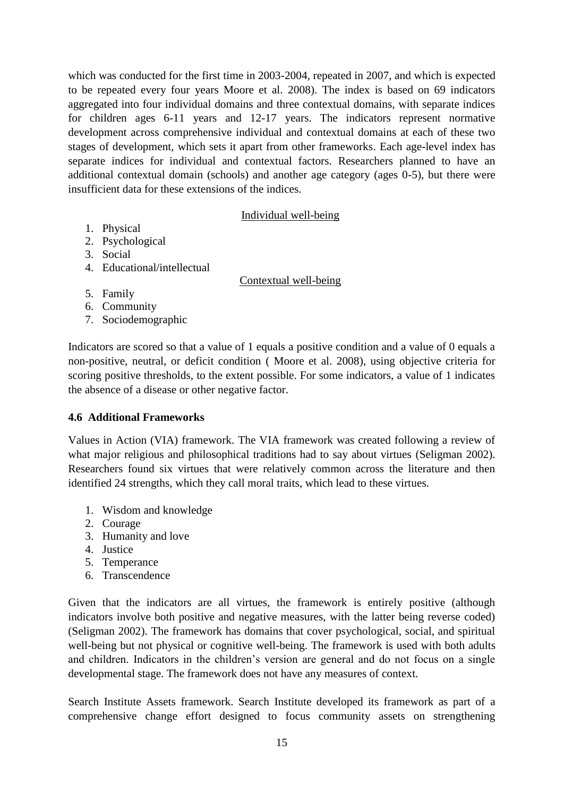which was conducted for the first time in 2003-2004, repeated in 2007, and which is expected to be repeated every four years Moore et al. 2008). The index is based on 69 indicators aggregated into four individual domains and three contextual domains, with separate indices for children ages 6-11 years and 12-17 years. The indicators represent normative development across comprehensive individual and contextual domains at each of these two stages of development, which sets it apart from other frameworks. Each age-level index has separate indices for individual and contextual factors. Researchers planned to have an additional contextual domain (schools) and another age category (ages 0-5), but there were insufficient data for these extensions of the indices.

#### Individual well-being

- 1. Physical
- 2. Psychological
- 3. Social
- 4. Educational/intellectual

#### Contextual well-being

- 5. Family
- 6. Community
- 7. Sociodemographic

Indicators are scored so that a value of 1 equals a positive condition and a value of 0 equals a non-positive, neutral, or deficit condition ( Moore et al. 2008), using objective criteria for scoring positive thresholds, to the extent possible. For some indicators, a value of 1 indicates the absence of a disease or other negative factor.

#### **4.6 Additional Frameworks**

Values in Action (VIA) framework. The VIA framework was created following a review of what major religious and philosophical traditions had to say about virtues (Seligman 2002). Researchers found six virtues that were relatively common across the literature and then identified 24 strengths, which they call moral traits, which lead to these virtues.

- 1. Wisdom and knowledge
- 2. Courage
- 3. Humanity and love
- 4. Justice
- 5. Temperance
- 6. Transcendence

Given that the indicators are all virtues, the framework is entirely positive (although indicators involve both positive and negative measures, with the latter being reverse coded) (Seligman 2002). The framework has domains that cover psychological, social, and spiritual well-being but not physical or cognitive well-being. The framework is used with both adults and children. Indicators in the children"s version are general and do not focus on a single developmental stage. The framework does not have any measures of context.

Search Institute Assets framework. Search Institute developed its framework as part of a comprehensive change effort designed to focus community assets on strengthening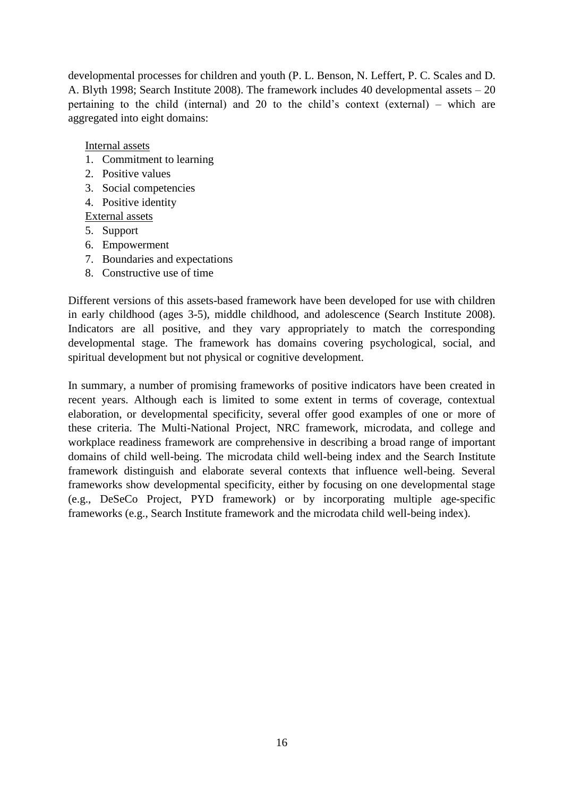developmental processes for children and youth (P. L. Benson, N. Leffert, P. C. Scales and D. A. Blyth 1998; Search Institute 2008). The framework includes 40 developmental assets – 20 pertaining to the child (internal) and 20 to the child"s context (external) – which are aggregated into eight domains:

Internal assets

- 1. Commitment to learning
- 2. Positive values
- 3. Social competencies
- 4. Positive identity

External assets

- 5. Support
- 6. Empowerment
- 7. Boundaries and expectations
- 8. Constructive use of time

Different versions of this assets-based framework have been developed for use with children in early childhood (ages 3-5), middle childhood, and adolescence (Search Institute 2008). Indicators are all positive, and they vary appropriately to match the corresponding developmental stage. The framework has domains covering psychological, social, and spiritual development but not physical or cognitive development.

In summary, a number of promising frameworks of positive indicators have been created in recent years. Although each is limited to some extent in terms of coverage, contextual elaboration, or developmental specificity, several offer good examples of one or more of these criteria. The Multi-National Project, NRC framework, microdata, and college and workplace readiness framework are comprehensive in describing a broad range of important domains of child well-being. The microdata child well-being index and the Search Institute framework distinguish and elaborate several contexts that influence well-being. Several frameworks show developmental specificity, either by focusing on one developmental stage (e.g., DeSeCo Project, PYD framework) or by incorporating multiple age-specific frameworks (e.g., Search Institute framework and the microdata child well-being index).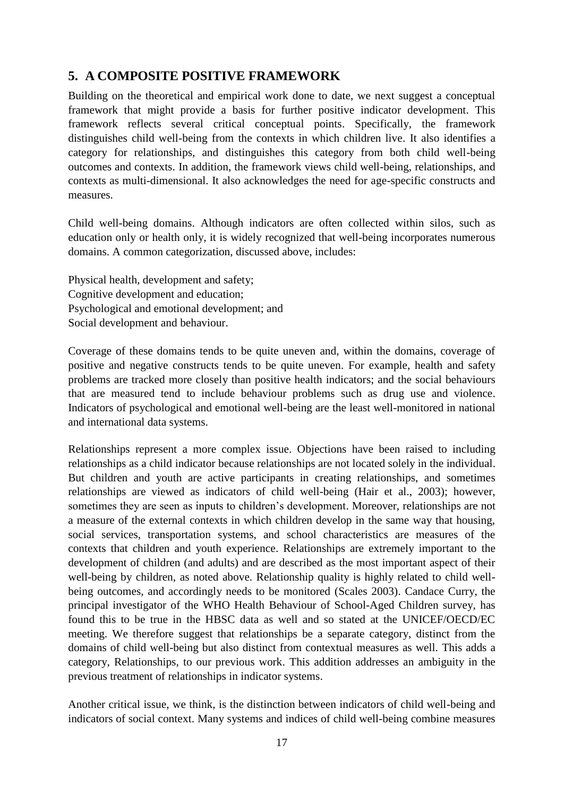# **5. A COMPOSITE POSITIVE FRAMEWORK**

Building on the theoretical and empirical work done to date, we next suggest a conceptual framework that might provide a basis for further positive indicator development. This framework reflects several critical conceptual points. Specifically, the framework distinguishes child well-being from the contexts in which children live. It also identifies a category for relationships, and distinguishes this category from both child well-being outcomes and contexts. In addition, the framework views child well-being, relationships, and contexts as multi-dimensional. It also acknowledges the need for age-specific constructs and measures.

Child well-being domains. Although indicators are often collected within silos, such as education only or health only, it is widely recognized that well-being incorporates numerous domains. A common categorization, discussed above, includes:

Physical health, development and safety; Cognitive development and education; Psychological and emotional development; and Social development and behaviour.

Coverage of these domains tends to be quite uneven and, within the domains, coverage of positive and negative constructs tends to be quite uneven. For example, health and safety problems are tracked more closely than positive health indicators; and the social behaviours that are measured tend to include behaviour problems such as drug use and violence. Indicators of psychological and emotional well-being are the least well-monitored in national and international data systems.

Relationships represent a more complex issue. Objections have been raised to including relationships as a child indicator because relationships are not located solely in the individual. But children and youth are active participants in creating relationships, and sometimes relationships are viewed as indicators of child well-being (Hair et al., 2003); however, sometimes they are seen as inputs to children"s development. Moreover, relationships are not a measure of the external contexts in which children develop in the same way that housing, social services, transportation systems, and school characteristics are measures of the contexts that children and youth experience. Relationships are extremely important to the development of children (and adults) and are described as the most important aspect of their well-being by children, as noted above. Relationship quality is highly related to child wellbeing outcomes, and accordingly needs to be monitored (Scales 2003). Candace Curry, the principal investigator of the WHO Health Behaviour of School-Aged Children survey, has found this to be true in the HBSC data as well and so stated at the UNICEF/OECD/EC meeting. We therefore suggest that relationships be a separate category, distinct from the domains of child well-being but also distinct from contextual measures as well. This adds a category, Relationships, to our previous work. This addition addresses an ambiguity in the previous treatment of relationships in indicator systems.

Another critical issue, we think, is the distinction between indicators of child well-being and indicators of social context. Many systems and indices of child well-being combine measures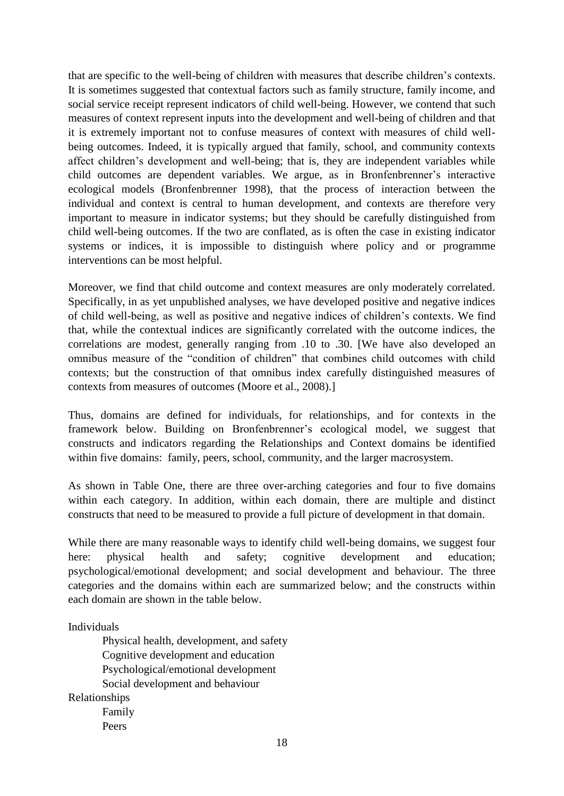that are specific to the well-being of children with measures that describe children"s contexts. It is sometimes suggested that contextual factors such as family structure, family income, and social service receipt represent indicators of child well-being. However, we contend that such measures of context represent inputs into the development and well-being of children and that it is extremely important not to confuse measures of context with measures of child wellbeing outcomes. Indeed, it is typically argued that family, school, and community contexts affect children"s development and well-being; that is, they are independent variables while child outcomes are dependent variables. We argue, as in Bronfenbrenner's interactive ecological models (Bronfenbrenner 1998), that the process of interaction between the individual and context is central to human development, and contexts are therefore very important to measure in indicator systems; but they should be carefully distinguished from child well-being outcomes. If the two are conflated, as is often the case in existing indicator systems or indices, it is impossible to distinguish where policy and or programme interventions can be most helpful.

Moreover, we find that child outcome and context measures are only moderately correlated. Specifically, in as yet unpublished analyses, we have developed positive and negative indices of child well-being, as well as positive and negative indices of children"s contexts. We find that, while the contextual indices are significantly correlated with the outcome indices, the correlations are modest, generally ranging from .10 to .30. [We have also developed an omnibus measure of the "condition of children" that combines child outcomes with child contexts; but the construction of that omnibus index carefully distinguished measures of contexts from measures of outcomes (Moore et al., 2008).]

Thus, domains are defined for individuals, for relationships, and for contexts in the framework below. Building on Bronfenbrenner"s ecological model, we suggest that constructs and indicators regarding the Relationships and Context domains be identified within five domains: family, peers, school, community, and the larger macrosystem.

As shown in Table One, there are three over-arching categories and four to five domains within each category. In addition, within each domain, there are multiple and distinct constructs that need to be measured to provide a full picture of development in that domain.

While there are many reasonable ways to identify child well-being domains, we suggest four here: physical health and safety; cognitive development and education; psychological/emotional development; and social development and behaviour. The three categories and the domains within each are summarized below; and the constructs within each domain are shown in the table below.

Individuals

Physical health, development, and safety Cognitive development and education Psychological/emotional development Social development and behaviour Relationships Family Peers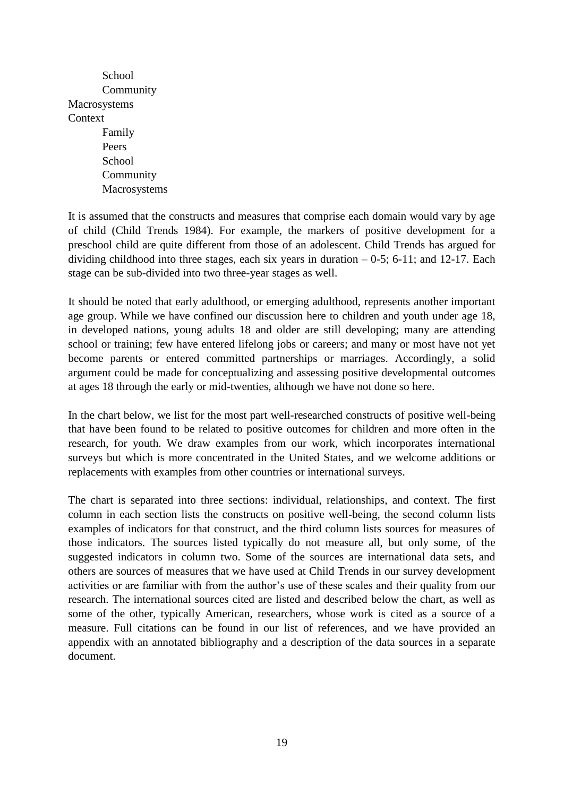School Community Macrosystems **Context** Family Peers School Community Macrosystems

It is assumed that the constructs and measures that comprise each domain would vary by age of child (Child Trends 1984). For example, the markers of positive development for a preschool child are quite different from those of an adolescent. Child Trends has argued for dividing childhood into three stages, each six years in duration  $-0.5$ ; 6-11; and 12-17. Each stage can be sub-divided into two three-year stages as well.

It should be noted that early adulthood, or emerging adulthood, represents another important age group. While we have confined our discussion here to children and youth under age 18, in developed nations, young adults 18 and older are still developing; many are attending school or training; few have entered lifelong jobs or careers; and many or most have not yet become parents or entered committed partnerships or marriages. Accordingly, a solid argument could be made for conceptualizing and assessing positive developmental outcomes at ages 18 through the early or mid-twenties, although we have not done so here.

In the chart below, we list for the most part well-researched constructs of positive well-being that have been found to be related to positive outcomes for children and more often in the research, for youth. We draw examples from our work, which incorporates international surveys but which is more concentrated in the United States, and we welcome additions or replacements with examples from other countries or international surveys.

The chart is separated into three sections: individual, relationships, and context. The first column in each section lists the constructs on positive well-being, the second column lists examples of indicators for that construct, and the third column lists sources for measures of those indicators. The sources listed typically do not measure all, but only some, of the suggested indicators in column two. Some of the sources are international data sets, and others are sources of measures that we have used at Child Trends in our survey development activities or are familiar with from the author"s use of these scales and their quality from our research. The international sources cited are listed and described below the chart, as well as some of the other, typically American, researchers, whose work is cited as a source of a measure. Full citations can be found in our list of references, and we have provided an appendix with an annotated bibliography and a description of the data sources in a separate document.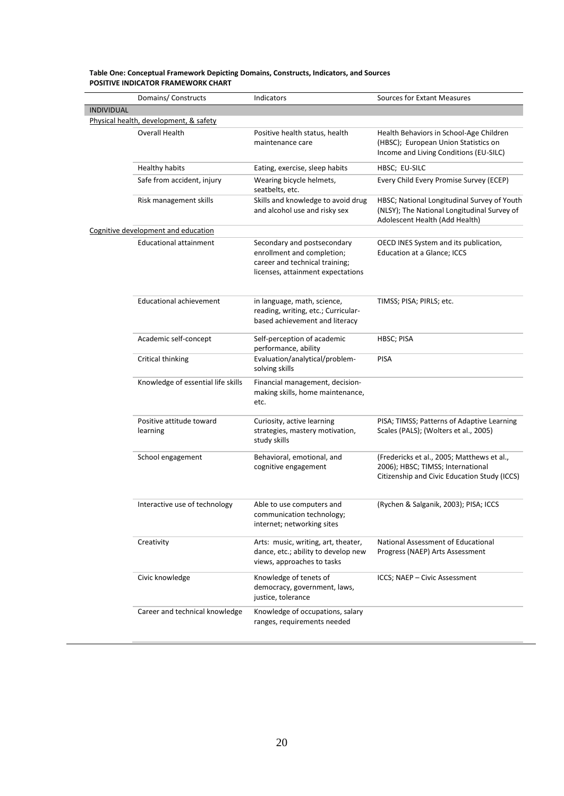|                   | Domains/ Constructs                                      | Indicators                                                                                                                       | <b>Sources for Extant Measures</b>                                                                                              |
|-------------------|----------------------------------------------------------|----------------------------------------------------------------------------------------------------------------------------------|---------------------------------------------------------------------------------------------------------------------------------|
| <b>INDIVIDUAL</b> |                                                          |                                                                                                                                  |                                                                                                                                 |
|                   | Physical health, development, & safety<br>Overall Health | Positive health status, health<br>maintenance care                                                                               | Health Behaviors in School-Age Children<br>(HBSC); European Union Statistics on<br>Income and Living Conditions (EU-SILC)       |
|                   | <b>Healthy habits</b>                                    | Eating, exercise, sleep habits                                                                                                   | HBSC; EU-SILC                                                                                                                   |
|                   | Safe from accident, injury                               | Wearing bicycle helmets,<br>seatbelts, etc.                                                                                      | Every Child Every Promise Survey (ECEP)                                                                                         |
|                   | Risk management skills                                   | Skills and knowledge to avoid drug<br>and alcohol use and risky sex                                                              | HBSC; National Longitudinal Survey of Youth<br>(NLSY); The National Longitudinal Survey of<br>Adolescent Health (Add Health)    |
|                   | Cognitive development and education                      |                                                                                                                                  |                                                                                                                                 |
|                   | Educational attainment                                   | Secondary and postsecondary<br>enrollment and completion;<br>career and technical training;<br>licenses, attainment expectations | OECD INES System and its publication,<br>Education at a Glance; ICCS                                                            |
|                   | <b>Educational achievement</b>                           | in language, math, science,<br>reading, writing, etc.; Curricular-<br>based achievement and literacy                             | TIMSS; PISA; PIRLS; etc.                                                                                                        |
|                   | Academic self-concept                                    | Self-perception of academic<br>performance, ability                                                                              | HBSC; PISA                                                                                                                      |
|                   | Critical thinking                                        | Evaluation/analytical/problem-<br>solving skills                                                                                 | <b>PISA</b>                                                                                                                     |
|                   | Knowledge of essential life skills                       | Financial management, decision-<br>making skills, home maintenance,<br>etc.                                                      |                                                                                                                                 |
|                   | Positive attitude toward<br>learning                     | Curiosity, active learning<br>strategies, mastery motivation,<br>study skills                                                    | PISA; TIMSS; Patterns of Adaptive Learning<br>Scales (PALS); (Wolters et al., 2005)                                             |
|                   | School engagement                                        | Behavioral, emotional, and<br>cognitive engagement                                                                               | (Fredericks et al., 2005; Matthews et al.,<br>2006); HBSC; TIMSS; International<br>Citizenship and Civic Education Study (ICCS) |
|                   | Interactive use of technology                            | Able to use computers and<br>communication technology;<br>internet; networking sites                                             | (Rychen & Salganik, 2003); PISA; ICCS                                                                                           |
|                   | Creativity                                               | Arts: music, writing, art, theater,<br>dance, etc.; ability to develop new<br>views, approaches to tasks                         | National Assessment of Educational<br>Progress (NAEP) Arts Assessment                                                           |
|                   | Civic knowledge                                          | Knowledge of tenets of<br>democracy, government, laws,<br>justice, tolerance                                                     | ICCS; NAEP - Civic Assessment                                                                                                   |
|                   | Career and technical knowledge                           | Knowledge of occupations, salary<br>ranges, requirements needed                                                                  |                                                                                                                                 |

#### **Table One: Conceptual Framework Depicting Domains, Constructs, Indicators, and Sources POSITIVE INDICATOR FRAMEWORK CHART**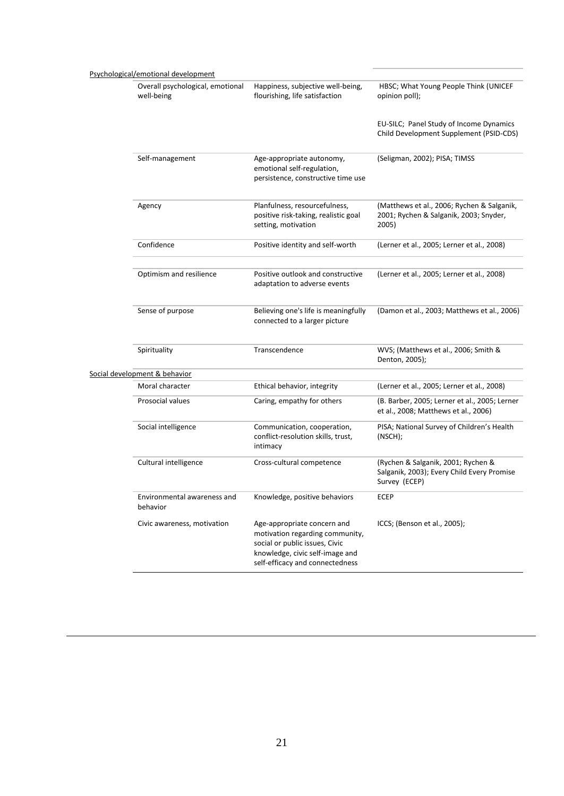| Psychological/emotional development            |                                                                                                                                                                        |                                                                                                   |
|------------------------------------------------|------------------------------------------------------------------------------------------------------------------------------------------------------------------------|---------------------------------------------------------------------------------------------------|
| Overall psychological, emotional<br>well-being | Happiness, subjective well-being,<br>flourishing, life satisfaction                                                                                                    | HBSC; What Young People Think (UNICEF<br>opinion poll);                                           |
|                                                |                                                                                                                                                                        | EU-SILC; Panel Study of Income Dynamics<br>Child Development Supplement (PSID-CDS)                |
| Self-management                                | Age-appropriate autonomy,<br>emotional self-regulation,<br>persistence, constructive time use                                                                          | (Seligman, 2002); PISA; TIMSS                                                                     |
| Agency                                         | Planfulness, resourcefulness,<br>positive risk-taking, realistic goal<br>setting, motivation                                                                           | (Matthews et al., 2006; Rychen & Salganik,<br>2001; Rychen & Salganik, 2003; Snyder,<br>2005)     |
| Confidence                                     | Positive identity and self-worth                                                                                                                                       | (Lerner et al., 2005; Lerner et al., 2008)                                                        |
| Optimism and resilience                        | Positive outlook and constructive<br>adaptation to adverse events                                                                                                      | (Lerner et al., 2005; Lerner et al., 2008)                                                        |
| Sense of purpose                               | Believing one's life is meaningfully<br>connected to a larger picture                                                                                                  | (Damon et al., 2003; Matthews et al., 2006)                                                       |
| Spirituality                                   | Transcendence                                                                                                                                                          | WVS; (Matthews et al., 2006; Smith &<br>Denton, 2005);                                            |
| Social development & behavior                  |                                                                                                                                                                        |                                                                                                   |
| Moral character                                | Ethical behavior, integrity                                                                                                                                            | (Lerner et al., 2005; Lerner et al., 2008)                                                        |
| Prosocial values                               | Caring, empathy for others                                                                                                                                             | (B. Barber, 2005; Lerner et al., 2005; Lerner<br>et al., 2008; Matthews et al., 2006)             |
| Social intelligence                            | Communication, cooperation,<br>conflict-resolution skills, trust,<br>intimacy                                                                                          | PISA; National Survey of Children's Health<br>(NSCH);                                             |
| Cultural intelligence                          | Cross-cultural competence                                                                                                                                              | (Rychen & Salganik, 2001; Rychen &<br>Salganik, 2003); Every Child Every Promise<br>Survey (ECEP) |
| Environmental awareness and<br>behavior        | Knowledge, positive behaviors                                                                                                                                          | ECEP                                                                                              |
| Civic awareness, motivation                    | Age-appropriate concern and<br>motivation regarding community,<br>social or public issues, Civic<br>knowledge, civic self-image and<br>self-efficacy and connectedness | ICCS; (Benson et al., 2005);                                                                      |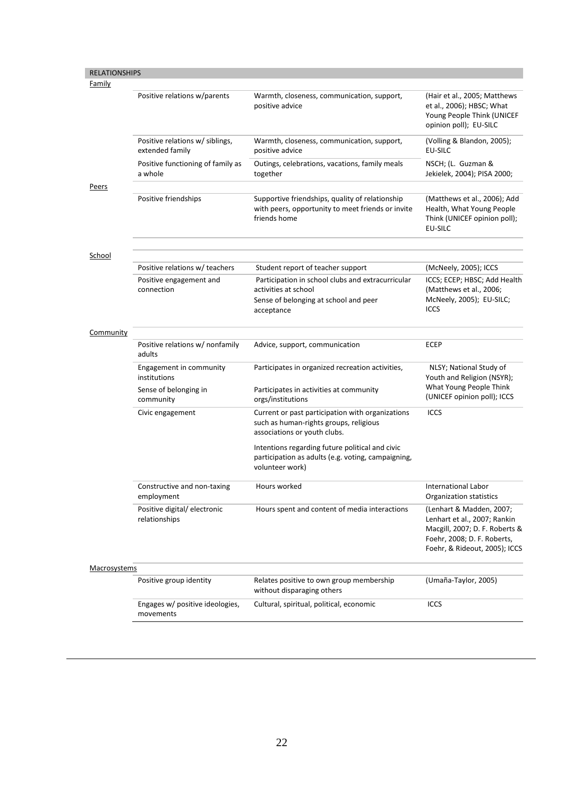| <b>RELATIONSHIPS</b><br>Family |                                                    |                                                                                                                            |                                                                                                                                                            |
|--------------------------------|----------------------------------------------------|----------------------------------------------------------------------------------------------------------------------------|------------------------------------------------------------------------------------------------------------------------------------------------------------|
|                                | Positive relations w/parents                       | Warmth, closeness, communication, support,<br>positive advice                                                              | (Hair et al., 2005; Matthews<br>et al., 2006); HBSC; What<br>Young People Think (UNICEF<br>opinion poll); EU-SILC                                          |
|                                | Positive relations w/ siblings,<br>extended family | Warmth, closeness, communication, support,<br>positive advice                                                              | (Volling & Blandon, 2005);<br><b>EU-SILC</b>                                                                                                               |
|                                | Positive functioning of family as<br>a whole       | Outings, celebrations, vacations, family meals<br>together                                                                 | NSCH; (L. Guzman &<br>Jekielek, 2004); PISA 2000;                                                                                                          |
| <u>Peers</u>                   |                                                    |                                                                                                                            |                                                                                                                                                            |
|                                | Positive friendships                               | Supportive friendships, quality of relationship<br>with peers, opportunity to meet friends or invite<br>friends home       | (Matthews et al., 2006); Add<br>Health, What Young People<br>Think (UNICEF opinion poll);<br>EU-SILC                                                       |
| School                         |                                                    |                                                                                                                            |                                                                                                                                                            |
|                                | Positive relations w/ teachers                     | Student report of teacher support                                                                                          | (McNeely, 2005); ICCS                                                                                                                                      |
|                                | Positive engagement and<br>connection              | Participation in school clubs and extracurricular<br>activities at school                                                  | ICCS; ECEP; HBSC; Add Health<br>(Matthews et al., 2006;                                                                                                    |
|                                |                                                    | Sense of belonging at school and peer<br>acceptance                                                                        | McNeely, 2005); EU-SILC;<br><b>ICCS</b>                                                                                                                    |
| <b>Community</b>               |                                                    |                                                                                                                            |                                                                                                                                                            |
|                                | Positive relations w/ nonfamily<br>adults          | Advice, support, communication                                                                                             | <b>ECEP</b>                                                                                                                                                |
|                                | Engagement in community<br>institutions            | Participates in organized recreation activities,                                                                           | NLSY; National Study of<br>Youth and Religion (NSYR);                                                                                                      |
|                                | Sense of belonging in<br>community                 | Participates in activities at community<br>orgs/institutions                                                               | What Young People Think<br>(UNICEF opinion poll); ICCS                                                                                                     |
|                                | Civic engagement                                   | Current or past participation with organizations<br>such as human-rights groups, religious<br>associations or youth clubs. | <b>ICCS</b>                                                                                                                                                |
|                                |                                                    | Intentions regarding future political and civic<br>participation as adults (e.g. voting, campaigning,<br>volunteer work)   |                                                                                                                                                            |
|                                | Constructive and non-taxing<br>employment          | Hours worked                                                                                                               | <b>International Labor</b><br>Organization statistics                                                                                                      |
|                                | Positive digital/ electronic<br>relationships      | Hours spent and content of media interactions                                                                              | (Lenhart & Madden, 2007;<br>Lenhart et al., 2007; Rankin<br>Macgill, 2007; D. F. Roberts &<br>Foehr, 2008; D. F. Roberts,<br>Foehr, & Rideout, 2005); ICCS |
| Macrosystems                   |                                                    |                                                                                                                            |                                                                                                                                                            |
|                                | Positive group identity                            | Relates positive to own group membership<br>without disparaging others                                                     | (Umaña-Taylor, 2005)                                                                                                                                       |
|                                | Engages w/ positive ideologies,<br>movements       | Cultural, spiritual, political, economic                                                                                   | <b>ICCS</b>                                                                                                                                                |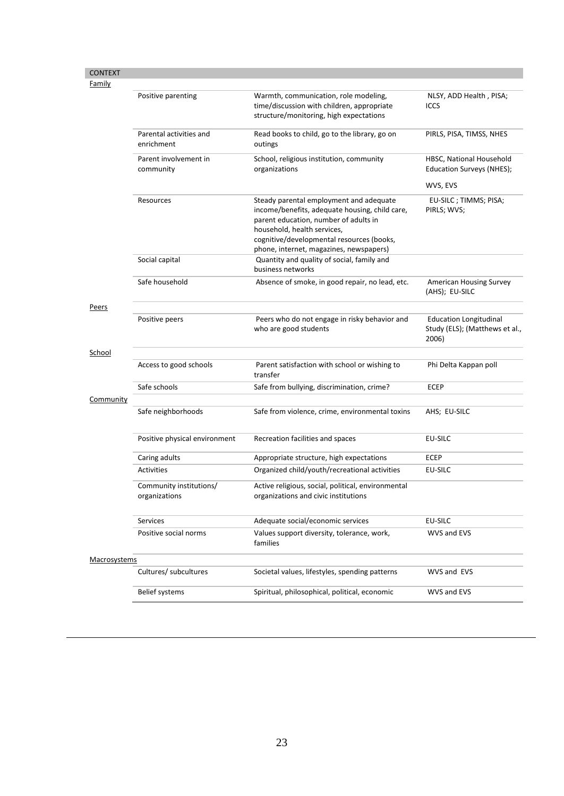| <b>CONTEXT</b>      |                                          |                                                                                                                                                                                                                                                           |                                                                          |
|---------------------|------------------------------------------|-----------------------------------------------------------------------------------------------------------------------------------------------------------------------------------------------------------------------------------------------------------|--------------------------------------------------------------------------|
| Family              |                                          |                                                                                                                                                                                                                                                           |                                                                          |
|                     | Positive parenting                       | Warmth, communication, role modeling,<br>time/discussion with children, appropriate<br>structure/monitoring, high expectations                                                                                                                            | NLSY, ADD Health, PISA;<br><b>ICCS</b>                                   |
|                     | Parental activities and<br>enrichment    | Read books to child, go to the library, go on<br>outings                                                                                                                                                                                                  | PIRLS, PISA, TIMSS, NHES                                                 |
|                     | Parent involvement in<br>community       | School, religious institution, community<br>organizations                                                                                                                                                                                                 | HBSC, National Household<br>Education Surveys (NHES);                    |
|                     |                                          |                                                                                                                                                                                                                                                           | WVS, EVS                                                                 |
|                     | Resources                                | Steady parental employment and adequate<br>income/benefits, adequate housing, child care,<br>parent education, number of adults in<br>household, health services,<br>cognitive/developmental resources (books,<br>phone, internet, magazines, newspapers) | EU-SILC; TIMMS; PISA;<br>PIRLS; WVS;                                     |
|                     | Social capital                           | Quantity and quality of social, family and<br>business networks                                                                                                                                                                                           |                                                                          |
|                     | Safe household                           | Absence of smoke, in good repair, no lead, etc.                                                                                                                                                                                                           | <b>American Housing Survey</b><br>(AHS); EU-SILC                         |
| Peers               |                                          |                                                                                                                                                                                                                                                           |                                                                          |
|                     | Positive peers                           | Peers who do not engage in risky behavior and<br>who are good students                                                                                                                                                                                    | <b>Education Longitudinal</b><br>Study (ELS); (Matthews et al.,<br>2006) |
| <b>School</b>       |                                          |                                                                                                                                                                                                                                                           |                                                                          |
|                     | Access to good schools                   | Parent satisfaction with school or wishing to<br>transfer                                                                                                                                                                                                 | Phi Delta Kappan poll                                                    |
|                     | Safe schools                             | Safe from bullying, discrimination, crime?                                                                                                                                                                                                                | <b>ECEP</b>                                                              |
| Community           |                                          |                                                                                                                                                                                                                                                           |                                                                          |
|                     | Safe neighborhoods                       | Safe from violence, crime, environmental toxins                                                                                                                                                                                                           | AHS; EU-SILC                                                             |
|                     | Positive physical environment            | Recreation facilities and spaces                                                                                                                                                                                                                          | EU-SILC                                                                  |
|                     | Caring adults                            | Appropriate structure, high expectations                                                                                                                                                                                                                  | <b>ECEP</b>                                                              |
|                     | <b>Activities</b>                        | Organized child/youth/recreational activities                                                                                                                                                                                                             | EU-SILC                                                                  |
|                     | Community institutions/<br>organizations | Active religious, social, political, environmental<br>organizations and civic institutions                                                                                                                                                                |                                                                          |
|                     | Services                                 | Adequate social/economic services                                                                                                                                                                                                                         | EU-SILC                                                                  |
|                     | Positive social norms                    | Values support diversity, tolerance, work,<br>families                                                                                                                                                                                                    | WVS and EVS                                                              |
| <b>Macrosystems</b> |                                          |                                                                                                                                                                                                                                                           |                                                                          |
|                     | Cultures/ subcultures                    | Societal values, lifestyles, spending patterns                                                                                                                                                                                                            | WVS and EVS                                                              |
|                     | <b>Belief systems</b>                    | Spiritual, philosophical, political, economic                                                                                                                                                                                                             | WVS and EVS                                                              |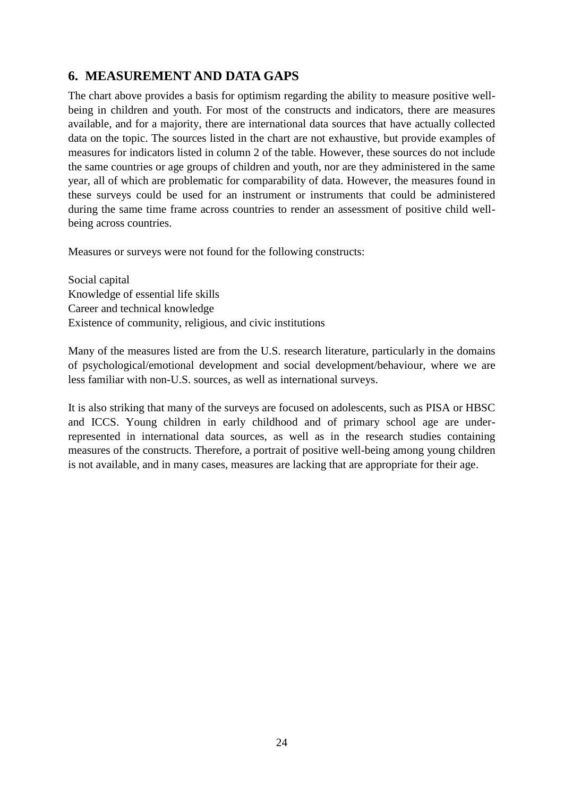# **6. MEASUREMENT AND DATA GAPS**

The chart above provides a basis for optimism regarding the ability to measure positive wellbeing in children and youth. For most of the constructs and indicators, there are measures available, and for a majority, there are international data sources that have actually collected data on the topic. The sources listed in the chart are not exhaustive, but provide examples of measures for indicators listed in column 2 of the table. However, these sources do not include the same countries or age groups of children and youth, nor are they administered in the same year, all of which are problematic for comparability of data. However, the measures found in these surveys could be used for an instrument or instruments that could be administered during the same time frame across countries to render an assessment of positive child wellbeing across countries.

Measures or surveys were not found for the following constructs:

Social capital Knowledge of essential life skills Career and technical knowledge Existence of community, religious, and civic institutions

Many of the measures listed are from the U.S. research literature, particularly in the domains of psychological/emotional development and social development/behaviour, where we are less familiar with non-U.S. sources, as well as international surveys.

It is also striking that many of the surveys are focused on adolescents, such as PISA or HBSC and ICCS. Young children in early childhood and of primary school age are underrepresented in international data sources, as well as in the research studies containing measures of the constructs. Therefore, a portrait of positive well-being among young children is not available, and in many cases, measures are lacking that are appropriate for their age.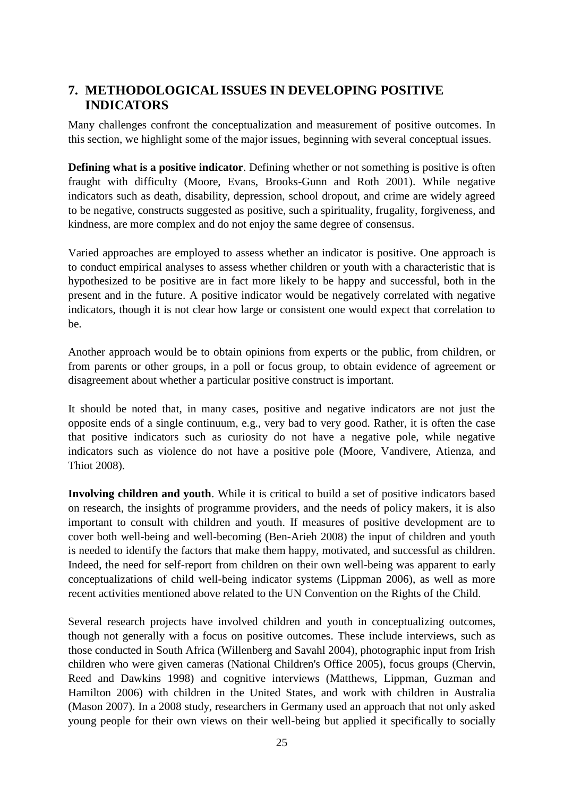# **7. METHODOLOGICAL ISSUES IN DEVELOPING POSITIVE INDICATORS**

Many challenges confront the conceptualization and measurement of positive outcomes. In this section, we highlight some of the major issues, beginning with several conceptual issues.

**Defining what is a positive indicator**. Defining whether or not something is positive is often fraught with difficulty (Moore, Evans, Brooks-Gunn and Roth 2001). While negative indicators such as death, disability, depression, school dropout, and crime are widely agreed to be negative, constructs suggested as positive, such a spirituality, frugality, forgiveness, and kindness, are more complex and do not enjoy the same degree of consensus.

Varied approaches are employed to assess whether an indicator is positive. One approach is to conduct empirical analyses to assess whether children or youth with a characteristic that is hypothesized to be positive are in fact more likely to be happy and successful, both in the present and in the future. A positive indicator would be negatively correlated with negative indicators, though it is not clear how large or consistent one would expect that correlation to be.

Another approach would be to obtain opinions from experts or the public, from children, or from parents or other groups, in a poll or focus group, to obtain evidence of agreement or disagreement about whether a particular positive construct is important.

It should be noted that, in many cases, positive and negative indicators are not just the opposite ends of a single continuum, e.g., very bad to very good. Rather, it is often the case that positive indicators such as curiosity do not have a negative pole, while negative indicators such as violence do not have a positive pole (Moore, Vandivere, Atienza, and Thiot 2008).

**Involving children and youth**. While it is critical to build a set of positive indicators based on research, the insights of programme providers, and the needs of policy makers, it is also important to consult with children and youth. If measures of positive development are to cover both well-being and well-becoming (Ben-Arieh 2008) the input of children and youth is needed to identify the factors that make them happy, motivated, and successful as children. Indeed, the need for self-report from children on their own well-being was apparent to early conceptualizations of child well-being indicator systems (Lippman 2006), as well as more recent activities mentioned above related to the UN Convention on the Rights of the Child.

Several research projects have involved children and youth in conceptualizing outcomes, though not generally with a focus on positive outcomes. These include interviews, such as those conducted in South Africa (Willenberg and Savahl 2004), photographic input from Irish children who were given cameras (National Children's Office 2005), focus groups (Chervin, Reed and Dawkins 1998) and cognitive interviews (Matthews, Lippman, Guzman and Hamilton 2006) with children in the United States, and work with children in Australia (Mason 2007). In a 2008 study, researchers in Germany used an approach that not only asked young people for their own views on their well-being but applied it specifically to socially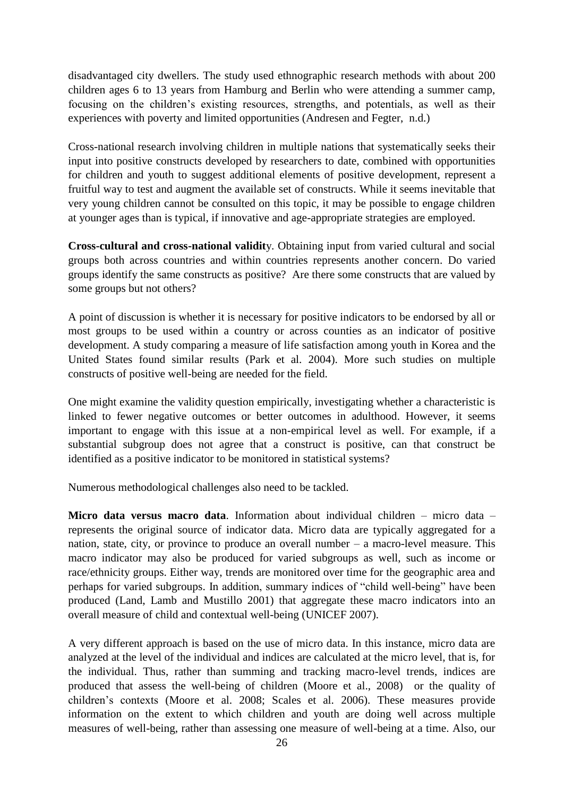disadvantaged city dwellers. The study used ethnographic research methods with about 200 children ages 6 to 13 years from Hamburg and Berlin who were attending a summer camp, focusing on the children"s existing resources, strengths, and potentials, as well as their experiences with poverty and limited opportunities (Andresen and Fegter, n.d.)

Cross-national research involving children in multiple nations that systematically seeks their input into positive constructs developed by researchers to date, combined with opportunities for children and youth to suggest additional elements of positive development, represent a fruitful way to test and augment the available set of constructs. While it seems inevitable that very young children cannot be consulted on this topic, it may be possible to engage children at younger ages than is typical, if innovative and age-appropriate strategies are employed.

**Cross-cultural and cross-national validit**y. Obtaining input from varied cultural and social groups both across countries and within countries represents another concern. Do varied groups identify the same constructs as positive? Are there some constructs that are valued by some groups but not others?

A point of discussion is whether it is necessary for positive indicators to be endorsed by all or most groups to be used within a country or across counties as an indicator of positive development. A study comparing a measure of life satisfaction among youth in Korea and the United States found similar results (Park et al. 2004). More such studies on multiple constructs of positive well-being are needed for the field.

One might examine the validity question empirically, investigating whether a characteristic is linked to fewer negative outcomes or better outcomes in adulthood. However, it seems important to engage with this issue at a non-empirical level as well. For example, if a substantial subgroup does not agree that a construct is positive, can that construct be identified as a positive indicator to be monitored in statistical systems?

Numerous methodological challenges also need to be tackled.

**Micro data versus macro data**. Information about individual children – micro data – represents the original source of indicator data. Micro data are typically aggregated for a nation, state, city, or province to produce an overall number – a macro-level measure. This macro indicator may also be produced for varied subgroups as well, such as income or race/ethnicity groups. Either way, trends are monitored over time for the geographic area and perhaps for varied subgroups. In addition, summary indices of "child well-being" have been produced (Land, Lamb and Mustillo 2001) that aggregate these macro indicators into an overall measure of child and contextual well-being (UNICEF 2007).

A very different approach is based on the use of micro data. In this instance, micro data are analyzed at the level of the individual and indices are calculated at the micro level, that is, for the individual. Thus, rather than summing and tracking macro-level trends, indices are produced that assess the well-being of children (Moore et al., 2008) or the quality of children"s contexts (Moore et al. 2008; Scales et al. 2006). These measures provide information on the extent to which children and youth are doing well across multiple measures of well-being, rather than assessing one measure of well-being at a time. Also, our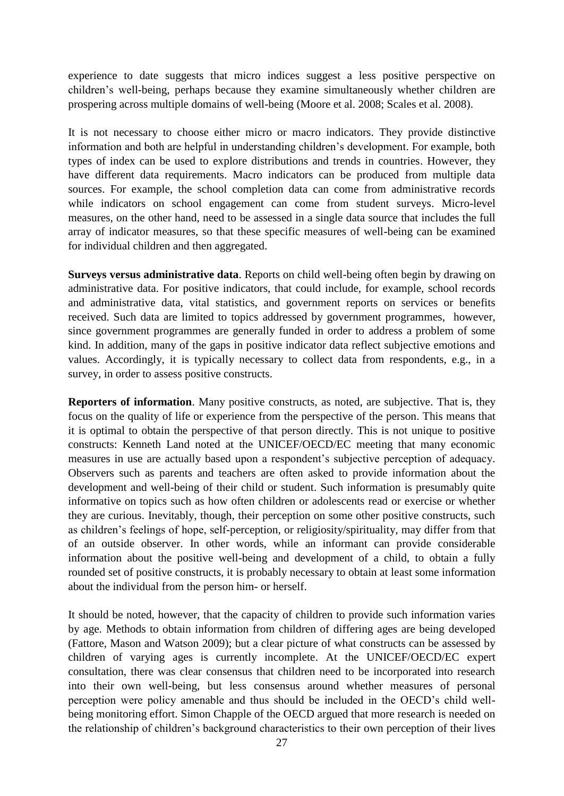experience to date suggests that micro indices suggest a less positive perspective on children"s well-being, perhaps because they examine simultaneously whether children are prospering across multiple domains of well-being (Moore et al. 2008; Scales et al. 2008).

It is not necessary to choose either micro or macro indicators. They provide distinctive information and both are helpful in understanding children"s development. For example, both types of index can be used to explore distributions and trends in countries. However, they have different data requirements. Macro indicators can be produced from multiple data sources. For example, the school completion data can come from administrative records while indicators on school engagement can come from student surveys. Micro-level measures, on the other hand, need to be assessed in a single data source that includes the full array of indicator measures, so that these specific measures of well-being can be examined for individual children and then aggregated.

**Surveys versus administrative data**. Reports on child well-being often begin by drawing on administrative data. For positive indicators, that could include, for example, school records and administrative data, vital statistics, and government reports on services or benefits received. Such data are limited to topics addressed by government programmes, however, since government programmes are generally funded in order to address a problem of some kind. In addition, many of the gaps in positive indicator data reflect subjective emotions and values. Accordingly, it is typically necessary to collect data from respondents, e.g., in a survey, in order to assess positive constructs.

**Reporters of information.** Many positive constructs, as noted, are subjective. That is, they focus on the quality of life or experience from the perspective of the person. This means that it is optimal to obtain the perspective of that person directly. This is not unique to positive constructs: Kenneth Land noted at the UNICEF/OECD/EC meeting that many economic measures in use are actually based upon a respondent's subjective perception of adequacy. Observers such as parents and teachers are often asked to provide information about the development and well-being of their child or student. Such information is presumably quite informative on topics such as how often children or adolescents read or exercise or whether they are curious. Inevitably, though, their perception on some other positive constructs, such as children"s feelings of hope, self-perception, or religiosity/spirituality, may differ from that of an outside observer. In other words, while an informant can provide considerable information about the positive well-being and development of a child, to obtain a fully rounded set of positive constructs, it is probably necessary to obtain at least some information about the individual from the person him- or herself.

It should be noted, however, that the capacity of children to provide such information varies by age. Methods to obtain information from children of differing ages are being developed (Fattore, Mason and Watson 2009); but a clear picture of what constructs can be assessed by children of varying ages is currently incomplete. At the UNICEF/OECD/EC expert consultation, there was clear consensus that children need to be incorporated into research into their own well-being, but less consensus around whether measures of personal perception were policy amenable and thus should be included in the OECD"s child wellbeing monitoring effort. Simon Chapple of the OECD argued that more research is needed on the relationship of children"s background characteristics to their own perception of their lives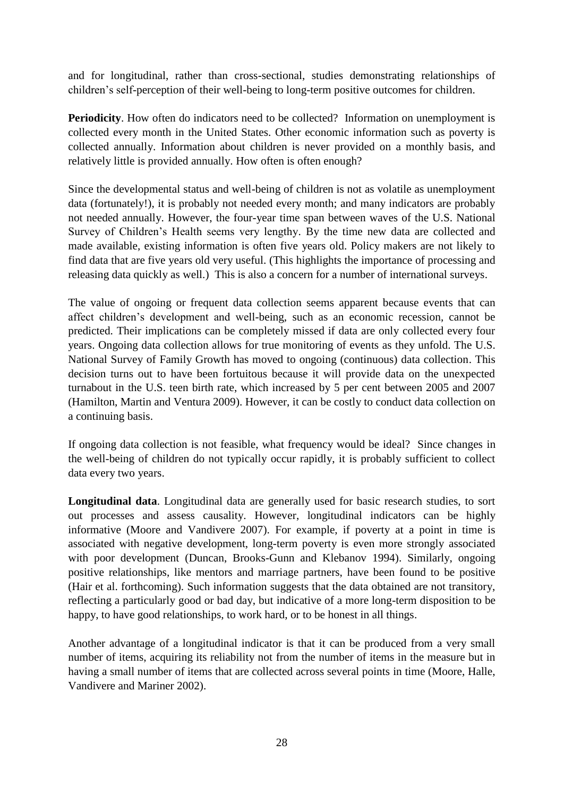and for longitudinal, rather than cross-sectional, studies demonstrating relationships of children"s self-perception of their well-being to long-term positive outcomes for children.

**Periodicity**. How often do indicators need to be collected? Information on unemployment is collected every month in the United States. Other economic information such as poverty is collected annually. Information about children is never provided on a monthly basis, and relatively little is provided annually. How often is often enough?

Since the developmental status and well-being of children is not as volatile as unemployment data (fortunately!), it is probably not needed every month; and many indicators are probably not needed annually. However, the four-year time span between waves of the U.S. National Survey of Children"s Health seems very lengthy. By the time new data are collected and made available, existing information is often five years old. Policy makers are not likely to find data that are five years old very useful. (This highlights the importance of processing and releasing data quickly as well.) This is also a concern for a number of international surveys.

The value of ongoing or frequent data collection seems apparent because events that can affect children"s development and well-being, such as an economic recession, cannot be predicted. Their implications can be completely missed if data are only collected every four years. Ongoing data collection allows for true monitoring of events as they unfold. The U.S. National Survey of Family Growth has moved to ongoing (continuous) data collection. This decision turns out to have been fortuitous because it will provide data on the unexpected turnabout in the U.S. teen birth rate, which increased by 5 per cent between 2005 and 2007 (Hamilton, Martin and Ventura 2009). However, it can be costly to conduct data collection on a continuing basis.

If ongoing data collection is not feasible, what frequency would be ideal? Since changes in the well-being of children do not typically occur rapidly, it is probably sufficient to collect data every two years.

**Longitudinal data**. Longitudinal data are generally used for basic research studies, to sort out processes and assess causality. However, longitudinal indicators can be highly informative (Moore and Vandivere 2007). For example, if poverty at a point in time is associated with negative development, long-term poverty is even more strongly associated with poor development (Duncan, Brooks-Gunn and Klebanov 1994). Similarly, ongoing positive relationships, like mentors and marriage partners, have been found to be positive (Hair et al. forthcoming). Such information suggests that the data obtained are not transitory, reflecting a particularly good or bad day, but indicative of a more long-term disposition to be happy, to have good relationships, to work hard, or to be honest in all things.

Another advantage of a longitudinal indicator is that it can be produced from a very small number of items, acquiring its reliability not from the number of items in the measure but in having a small number of items that are collected across several points in time (Moore, Halle, Vandivere and Mariner 2002).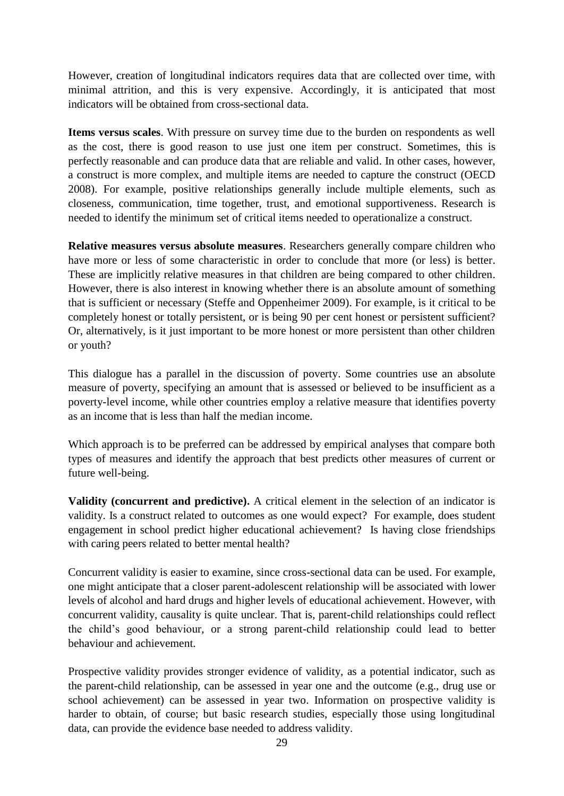However, creation of longitudinal indicators requires data that are collected over time, with minimal attrition, and this is very expensive. Accordingly, it is anticipated that most indicators will be obtained from cross-sectional data.

**Items versus scales**. With pressure on survey time due to the burden on respondents as well as the cost, there is good reason to use just one item per construct. Sometimes, this is perfectly reasonable and can produce data that are reliable and valid. In other cases, however, a construct is more complex, and multiple items are needed to capture the construct (OECD 2008). For example, positive relationships generally include multiple elements, such as closeness, communication, time together, trust, and emotional supportiveness. Research is needed to identify the minimum set of critical items needed to operationalize a construct.

**Relative measures versus absolute measures**. Researchers generally compare children who have more or less of some characteristic in order to conclude that more (or less) is better. These are implicitly relative measures in that children are being compared to other children. However, there is also interest in knowing whether there is an absolute amount of something that is sufficient or necessary (Steffe and Oppenheimer 2009). For example, is it critical to be completely honest or totally persistent, or is being 90 per cent honest or persistent sufficient? Or, alternatively, is it just important to be more honest or more persistent than other children or youth?

This dialogue has a parallel in the discussion of poverty. Some countries use an absolute measure of poverty, specifying an amount that is assessed or believed to be insufficient as a poverty-level income, while other countries employ a relative measure that identifies poverty as an income that is less than half the median income.

Which approach is to be preferred can be addressed by empirical analyses that compare both types of measures and identify the approach that best predicts other measures of current or future well-being.

**Validity (concurrent and predictive).** A critical element in the selection of an indicator is validity. Is a construct related to outcomes as one would expect? For example, does student engagement in school predict higher educational achievement? Is having close friendships with caring peers related to better mental health?

Concurrent validity is easier to examine, since cross-sectional data can be used. For example, one might anticipate that a closer parent-adolescent relationship will be associated with lower levels of alcohol and hard drugs and higher levels of educational achievement. However, with concurrent validity, causality is quite unclear. That is, parent-child relationships could reflect the child"s good behaviour, or a strong parent-child relationship could lead to better behaviour and achievement.

Prospective validity provides stronger evidence of validity, as a potential indicator, such as the parent-child relationship, can be assessed in year one and the outcome (e.g., drug use or school achievement) can be assessed in year two. Information on prospective validity is harder to obtain, of course; but basic research studies, especially those using longitudinal data, can provide the evidence base needed to address validity.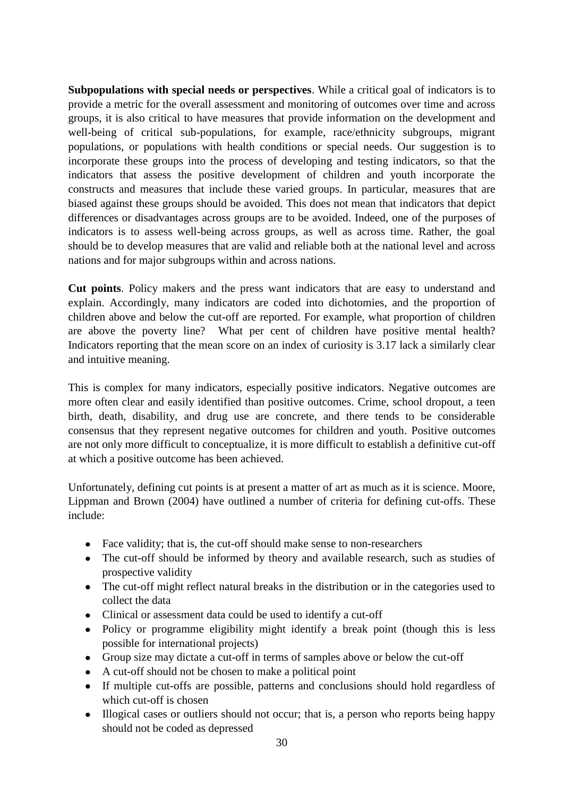**Subpopulations with special needs or perspectives**. While a critical goal of indicators is to provide a metric for the overall assessment and monitoring of outcomes over time and across groups, it is also critical to have measures that provide information on the development and well-being of critical sub-populations, for example, race/ethnicity subgroups, migrant populations, or populations with health conditions or special needs. Our suggestion is to incorporate these groups into the process of developing and testing indicators, so that the indicators that assess the positive development of children and youth incorporate the constructs and measures that include these varied groups. In particular, measures that are biased against these groups should be avoided. This does not mean that indicators that depict differences or disadvantages across groups are to be avoided. Indeed, one of the purposes of indicators is to assess well-being across groups, as well as across time. Rather, the goal should be to develop measures that are valid and reliable both at the national level and across nations and for major subgroups within and across nations.

**Cut points**. Policy makers and the press want indicators that are easy to understand and explain. Accordingly, many indicators are coded into dichotomies, and the proportion of children above and below the cut-off are reported. For example, what proportion of children are above the poverty line? What per cent of children have positive mental health? Indicators reporting that the mean score on an index of curiosity is 3.17 lack a similarly clear and intuitive meaning.

This is complex for many indicators, especially positive indicators. Negative outcomes are more often clear and easily identified than positive outcomes. Crime, school dropout, a teen birth, death, disability, and drug use are concrete, and there tends to be considerable consensus that they represent negative outcomes for children and youth. Positive outcomes are not only more difficult to conceptualize, it is more difficult to establish a definitive cut-off at which a positive outcome has been achieved.

Unfortunately, defining cut points is at present a matter of art as much as it is science. Moore, Lippman and Brown (2004) have outlined a number of criteria for defining cut-offs. These include:

- Face validity; that is, the cut-off should make sense to non-researchers
- The cut-off should be informed by theory and available research, such as studies of prospective validity
- The cut-off might reflect natural breaks in the distribution or in the categories used to collect the data
- Clinical or assessment data could be used to identify a cut-off
- Policy or programme eligibility might identify a break point (though this is less possible for international projects)
- Group size may dictate a cut-off in terms of samples above or below the cut-off
- A cut-off should not be chosen to make a political point
- If multiple cut-offs are possible, patterns and conclusions should hold regardless of which cut-off is chosen
- Illogical cases or outliers should not occur; that is, a person who reports being happy should not be coded as depressed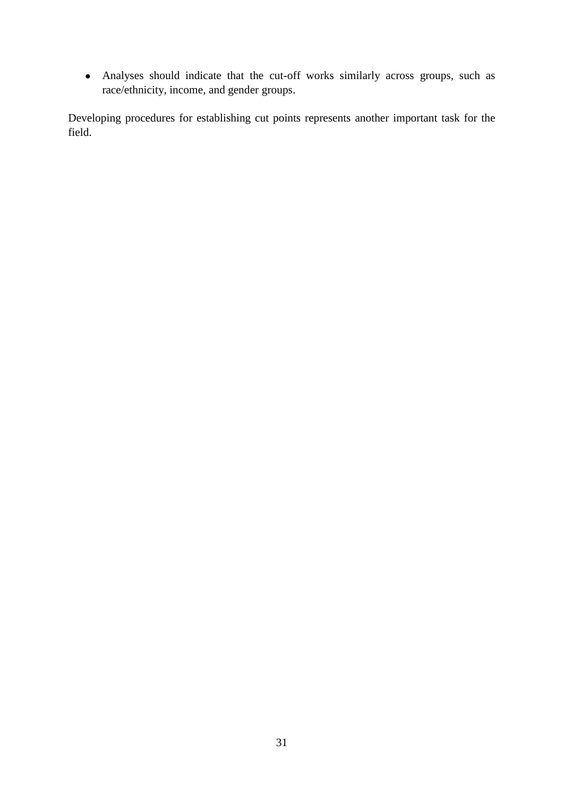Analyses should indicate that the cut-off works similarly across groups, such as race/ethnicity, income, and gender groups.

Developing procedures for establishing cut points represents another important task for the field.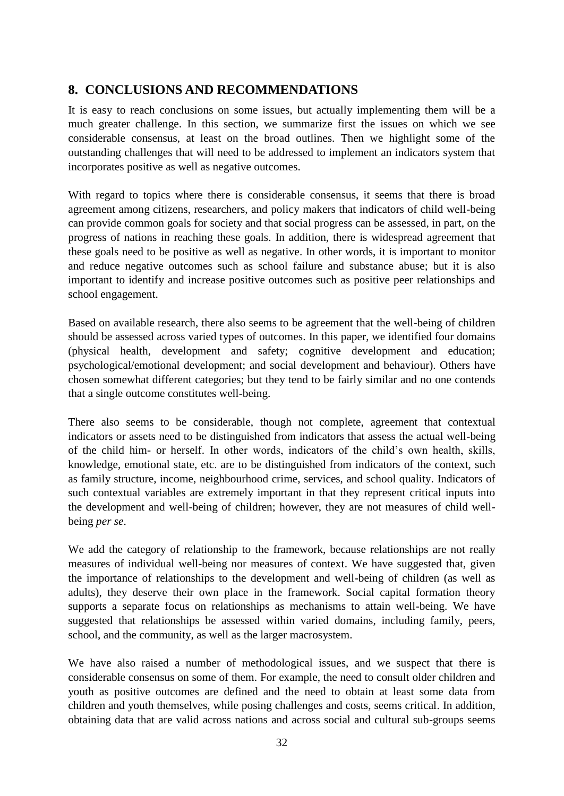# **8. CONCLUSIONS AND RECOMMENDATIONS**

It is easy to reach conclusions on some issues, but actually implementing them will be a much greater challenge. In this section, we summarize first the issues on which we see considerable consensus, at least on the broad outlines. Then we highlight some of the outstanding challenges that will need to be addressed to implement an indicators system that incorporates positive as well as negative outcomes.

With regard to topics where there is considerable consensus, it seems that there is broad agreement among citizens, researchers, and policy makers that indicators of child well-being can provide common goals for society and that social progress can be assessed, in part, on the progress of nations in reaching these goals. In addition, there is widespread agreement that these goals need to be positive as well as negative. In other words, it is important to monitor and reduce negative outcomes such as school failure and substance abuse; but it is also important to identify and increase positive outcomes such as positive peer relationships and school engagement.

Based on available research, there also seems to be agreement that the well-being of children should be assessed across varied types of outcomes. In this paper, we identified four domains (physical health, development and safety; cognitive development and education; psychological/emotional development; and social development and behaviour). Others have chosen somewhat different categories; but they tend to be fairly similar and no one contends that a single outcome constitutes well-being.

There also seems to be considerable, though not complete, agreement that contextual indicators or assets need to be distinguished from indicators that assess the actual well-being of the child him- or herself. In other words, indicators of the child"s own health, skills, knowledge, emotional state, etc. are to be distinguished from indicators of the context, such as family structure, income, neighbourhood crime, services, and school quality. Indicators of such contextual variables are extremely important in that they represent critical inputs into the development and well-being of children; however, they are not measures of child wellbeing *per se*.

We add the category of relationship to the framework, because relationships are not really measures of individual well-being nor measures of context. We have suggested that, given the importance of relationships to the development and well-being of children (as well as adults), they deserve their own place in the framework. Social capital formation theory supports a separate focus on relationships as mechanisms to attain well-being. We have suggested that relationships be assessed within varied domains, including family, peers, school, and the community, as well as the larger macrosystem.

We have also raised a number of methodological issues, and we suspect that there is considerable consensus on some of them. For example, the need to consult older children and youth as positive outcomes are defined and the need to obtain at least some data from children and youth themselves, while posing challenges and costs, seems critical. In addition, obtaining data that are valid across nations and across social and cultural sub-groups seems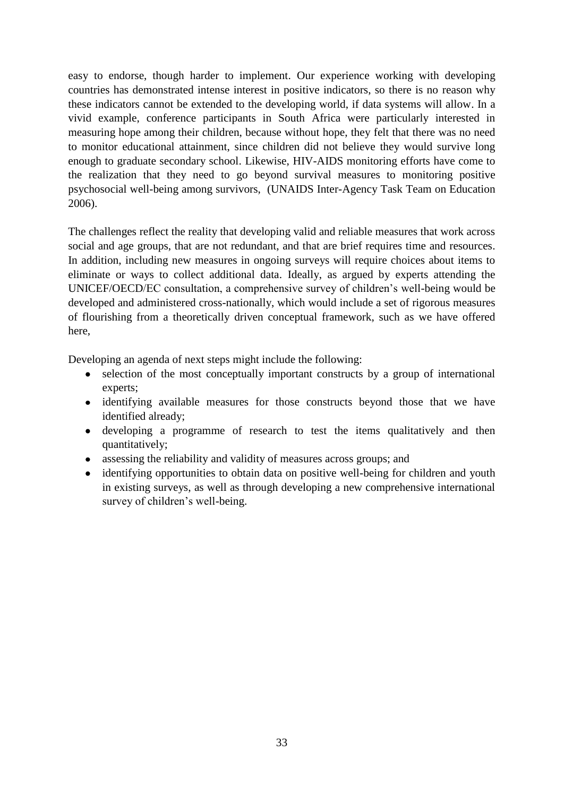easy to endorse, though harder to implement. Our experience working with developing countries has demonstrated intense interest in positive indicators, so there is no reason why these indicators cannot be extended to the developing world, if data systems will allow. In a vivid example, conference participants in South Africa were particularly interested in measuring hope among their children, because without hope, they felt that there was no need to monitor educational attainment, since children did not believe they would survive long enough to graduate secondary school. Likewise, HIV-AIDS monitoring efforts have come to the realization that they need to go beyond survival measures to monitoring positive psychosocial well-being among survivors, (UNAIDS Inter-Agency Task Team on Education 2006).

The challenges reflect the reality that developing valid and reliable measures that work across social and age groups, that are not redundant, and that are brief requires time and resources. In addition, including new measures in ongoing surveys will require choices about items to eliminate or ways to collect additional data. Ideally, as argued by experts attending the UNICEF/OECD/EC consultation, a comprehensive survey of children"s well-being would be developed and administered cross-nationally, which would include a set of rigorous measures of flourishing from a theoretically driven conceptual framework, such as we have offered here,

Developing an agenda of next steps might include the following:

- selection of the most conceptually important constructs by a group of international experts;
- identifying available measures for those constructs beyond those that we have identified already;
- developing a programme of research to test the items qualitatively and then quantitatively;
- assessing the reliability and validity of measures across groups; and
- identifying opportunities to obtain data on positive well-being for children and youth  $\bullet$ in existing surveys, as well as through developing a new comprehensive international survey of children's well-being.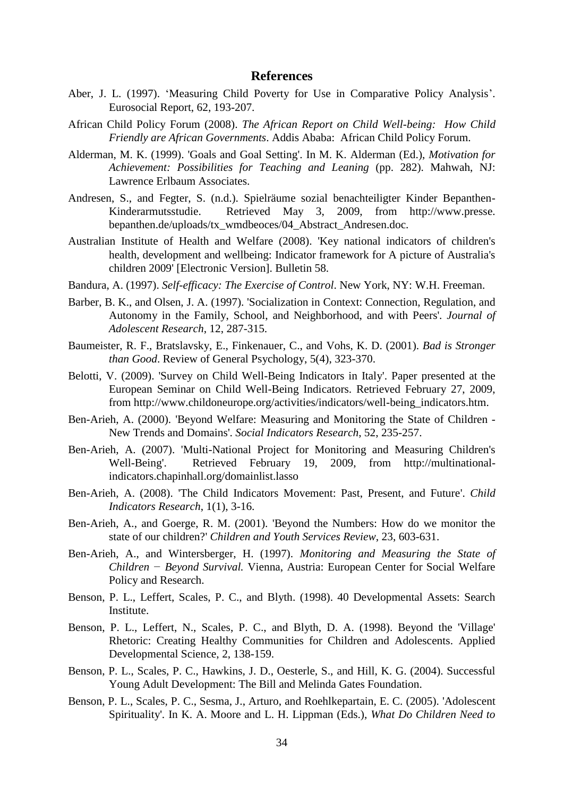## **References**

- Aber, J. L. (1997). 'Measuring Child Poverty for Use in Comparative Policy Analysis'. Eurosocial Report, 62, 193-207.
- African Child Policy Forum (2008). *The African Report on Child Well-being: How Child Friendly are African Governments*. Addis Ababa: African Child Policy Forum.
- Alderman, M. K. (1999). 'Goals and Goal Setting'. In M. K. Alderman (Ed.), *Motivation for Achievement: Possibilities for Teaching and Leaning* (pp. 282). Mahwah, NJ: Lawrence Erlbaum Associates.
- Andresen, S., and Fegter, S. (n.d.). Spielräume sozial benachteiligter Kinder Bepanthen-Kinderarmutsstudie. Retrieved May 3, 2009, from http://www.presse. bepanthen.de/uploads/tx\_wmdbeoces/04\_Abstract\_Andresen.doc.
- Australian Institute of Health and Welfare (2008). 'Key national indicators of children's health, development and wellbeing: Indicator framework for A picture of Australia's children 2009' [Electronic Version]. Bulletin 58.
- Bandura, A. (1997). *Self-efficacy: The Exercise of Control*. New York, NY: W.H. Freeman.
- Barber, B. K., and Olsen, J. A. (1997). 'Socialization in Context: Connection, Regulation, and Autonomy in the Family, School, and Neighborhood, and with Peers'. *Journal of Adolescent Research*, 12, 287-315.
- Baumeister, R. F., Bratslavsky, E., Finkenauer, C., and Vohs, K. D. (2001). *Bad is Stronger than Good*. Review of General Psychology, 5(4), 323-370.
- Belotti, V. (2009). 'Survey on Child Well-Being Indicators in Italy'. Paper presented at the European Seminar on Child Well-Being Indicators. Retrieved February 27, 2009, from http://www.childoneurope.org/activities/indicators/well-being\_indicators.htm.
- Ben-Arieh, A. (2000). 'Beyond Welfare: Measuring and Monitoring the State of Children New Trends and Domains'. *Social Indicators Research*, 52, 235-257.
- Ben-Arieh, A. (2007). 'Multi-National Project for Monitoring and Measuring Children's Well-Being'. Retrieved February 19, 2009, from [http://multinational](http://multinational-indicators.chapinhall.org/domainlist.lasso)[indicators.chapinhall.org/domainlist.lasso](http://multinational-indicators.chapinhall.org/domainlist.lasso)
- Ben-Arieh, A. (2008). 'The Child Indicators Movement: Past, Present, and Future'. *Child Indicators Research*, 1(1), 3-16.
- Ben-Arieh, A., and Goerge, R. M. (2001). 'Beyond the Numbers: How do we monitor the state of our children?' *Children and Youth Services Review*, 23, 603-631.
- Ben-Arieh, A., and Wintersberger, H. (1997). *Monitoring and Measuring the State of Children − Beyond Survival.* Vienna, Austria: European Center for Social Welfare Policy and Research.
- Benson, P. L., Leffert, Scales, P. C., and Blyth. (1998). 40 Developmental Assets: Search Institute.
- Benson, P. L., Leffert, N., Scales, P. C., and Blyth, D. A. (1998). Beyond the 'Village' Rhetoric: Creating Healthy Communities for Children and Adolescents. Applied Developmental Science, 2, 138-159.
- Benson, P. L., Scales, P. C., Hawkins, J. D., Oesterle, S., and Hill, K. G. (2004). Successful Young Adult Development: The Bill and Melinda Gates Foundation.
- Benson, P. L., Scales, P. C., Sesma, J., Arturo, and Roehlkepartain, E. C. (2005). 'Adolescent Spirituality'. In K. A. Moore and L. H. Lippman (Eds.), *What Do Children Need to*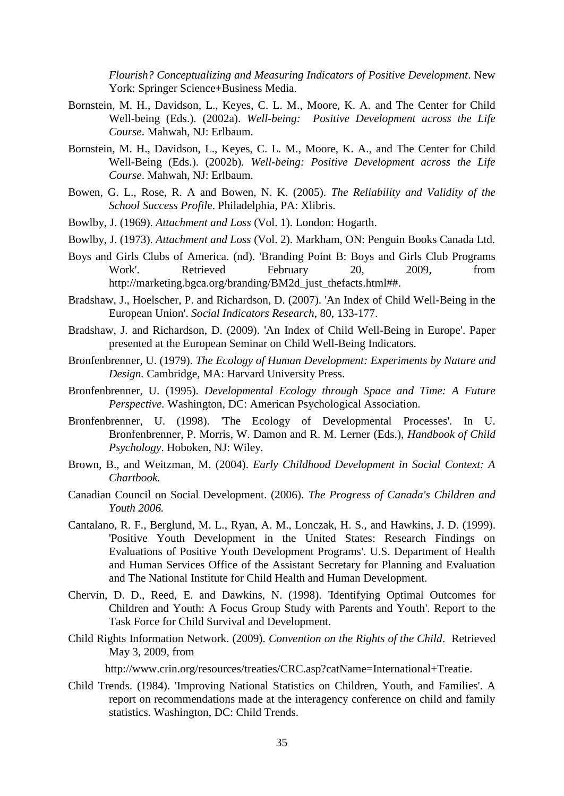*Flourish? Conceptualizing and Measuring Indicators of Positive Development*. New York: Springer Science+Business Media.

- Bornstein, M. H., Davidson, L., Keyes, C. L. M., Moore, K. A. and The Center for Child Well-being (Eds.). (2002a). *Well-being: Positive Development across the Life Course*. Mahwah, NJ: Erlbaum.
- Bornstein, M. H., Davidson, L., Keyes, C. L. M., Moore, K. A., and The Center for Child Well-Being (Eds.). (2002b). *Well-being: Positive Development across the Life Course*. Mahwah, NJ: Erlbaum.
- Bowen, G. L., Rose, R. A and Bowen, N. K. (2005). *The Reliability and Validity of the School Success Profil*e. Philadelphia, PA: Xlibris.
- Bowlby, J. (1969). *Attachment and Loss* (Vol. 1). London: Hogarth.
- Bowlby, J. (1973). *Attachment and Loss* (Vol. 2). Markham, ON: Penguin Books Canada Ltd.
- Boys and Girls Clubs of America. (nd). 'Branding Point B: Boys and Girls Club Programs Work'. Retrieved February 20, 2009, from [http://marketing.bgca.org/branding/BM2d\\_just\\_thefacts.html##.](http://marketing.bgca.org/branding/BM2d_just_thefacts.html)
- Bradshaw, J., Hoelscher, P. and Richardson, D. (2007). 'An Index of Child Well-Being in the European Union'. *Social Indicators Research*, 80, 133-177.
- Bradshaw, J. and Richardson, D. (2009). 'An Index of Child Well-Being in Europe'. Paper presented at the European Seminar on Child Well-Being Indicators.
- Bronfenbrenner, U. (1979). *The Ecology of Human Development: Experiments by Nature and Design.* Cambridge, MA: Harvard University Press.
- Bronfenbrenner, U. (1995). *Developmental Ecology through Space and Time: A Future Perspective.* Washington, DC: American Psychological Association.
- Bronfenbrenner, U. (1998). 'The Ecology of Developmental Processes'. In U. Bronfenbrenner, P. Morris, W. Damon and R. M. Lerner (Eds.), *Handbook of Child Psychology*. Hoboken, NJ: Wiley.
- Brown, B., and Weitzman, M. (2004). *Early Childhood Development in Social Context: A Chartbook.*
- Canadian Council on Social Development. (2006). *The Progress of Canada's Children and Youth 2006.*
- Cantalano, R. F., Berglund, M. L., Ryan, A. M., Lonczak, H. S., and Hawkins, J. D. (1999). 'Positive Youth Development in the United States: Research Findings on Evaluations of Positive Youth Development Programs'. U.S. Department of Health and Human Services Office of the Assistant Secretary for Planning and Evaluation and The National Institute for Child Health and Human Development.
- Chervin, D. D., Reed, E. and Dawkins, N. (1998). 'Identifying Optimal Outcomes for Children and Youth: A Focus Group Study with Parents and Youth'. Report to the Task Force for Child Survival and Development.
- Child Rights Information Network. (2009). *Convention on the Rights of the Child*. Retrieved May 3, 2009, from

[http://www.crin.org/resources/treaties/CRC.asp?catName=International+Treatie.](http://www.crin.org/resources/treaties/CRC.asp?catName=International+Treatie)

Child Trends. (1984). 'Improving National Statistics on Children, Youth, and Families'. A report on recommendations made at the interagency conference on child and family statistics. Washington, DC: Child Trends.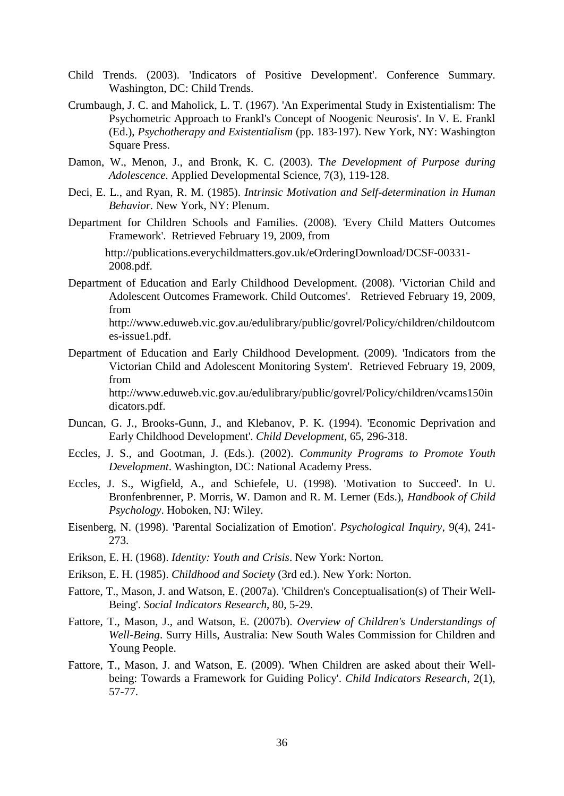- Child Trends. (2003). 'Indicators of Positive Development'. Conference Summary. Washington, DC: Child Trends.
- Crumbaugh, J. C. and Maholick, L. T. (1967). 'An Experimental Study in Existentialism: The Psychometric Approach to Frankl's Concept of Noogenic Neurosis'. In V. E. Frankl (Ed.), *Psychotherapy and Existentialism* (pp. 183-197). New York, NY: Washington Square Press.
- Damon, W., Menon, J., and Bronk, K. C. (2003). T*he Development of Purpose during Adolescence.* Applied Developmental Science, 7(3), 119-128.
- Deci, E. L., and Ryan, R. M. (1985). *Intrinsic Motivation and Self-determination in Human Behavior.* New York, NY: Plenum.
- Department for Children Schools and Families. (2008). 'Every Child Matters Outcomes Framework'. Retrieved February 19, 2009, from

[http://publications.everychildmatters.gov.uk/eOrderingDownload/DCSF-00331-](http://publications.everychildmatters.gov.uk/eOrderingDownload/DCSF-00331-2008.pdf) [2008.pdf.](http://publications.everychildmatters.gov.uk/eOrderingDownload/DCSF-00331-2008.pdf)

Department of Education and Early Childhood Development. (2008). 'Victorian Child and Adolescent Outcomes Framework. Child Outcomes'. Retrieved February 19, 2009, from

[http://www.eduweb.vic.gov.au/edulibrary/public/govrel/Policy/children/childoutcom](http://www.eduweb.vic.gov.au/edulibrary/public/govrel/Policy/children/childoutcomes-issue1.pdf) [es-issue1.pdf.](http://www.eduweb.vic.gov.au/edulibrary/public/govrel/Policy/children/childoutcomes-issue1.pdf)

Department of Education and Early Childhood Development. (2009). 'Indicators from the Victorian Child and Adolescent Monitoring System'. Retrieved February 19, 2009, from

[http://www.eduweb.vic.gov.au/edulibrary/public/govrel/Policy/children/vcams150in](http://www.eduweb.vic.gov.au/edulibrary/public/govrel/Policy/children/vcams150indicators.pdf) [dicators.pdf.](http://www.eduweb.vic.gov.au/edulibrary/public/govrel/Policy/children/vcams150indicators.pdf)

- Duncan, G. J., Brooks-Gunn, J., and Klebanov, P. K. (1994). 'Economic Deprivation and Early Childhood Development'. *Child Development*, 65, 296-318.
- Eccles, J. S., and Gootman, J. (Eds.). (2002). *Community Programs to Promote Youth Development*. Washington, DC: National Academy Press.
- Eccles, J. S., Wigfield, A., and Schiefele, U. (1998). 'Motivation to Succeed'. In U. Bronfenbrenner, P. Morris, W. Damon and R. M. Lerner (Eds.), *Handbook of Child Psychology*. Hoboken, NJ: Wiley.
- Eisenberg, N. (1998). 'Parental Socialization of Emotion'. *Psychological Inquiry*, 9(4), 241- 273.
- Erikson, E. H. (1968). *Identity: Youth and Crisis*. New York: Norton.
- Erikson, E. H. (1985). *Childhood and Society* (3rd ed.). New York: Norton.
- Fattore, T., Mason, J. and Watson, E. (2007a). 'Children's Conceptualisation(s) of Their Well-Being'. *Social Indicators Research*, 80, 5-29.
- Fattore, T., Mason, J., and Watson, E. (2007b). *Overview of Children's Understandings of Well-Being*. Surry Hills, Australia: New South Wales Commission for Children and Young People.
- Fattore, T., Mason, J. and Watson, E. (2009). 'When Children are asked about their Wellbeing: Towards a Framework for Guiding Policy'. *Child Indicators Research*, 2(1), 57-77.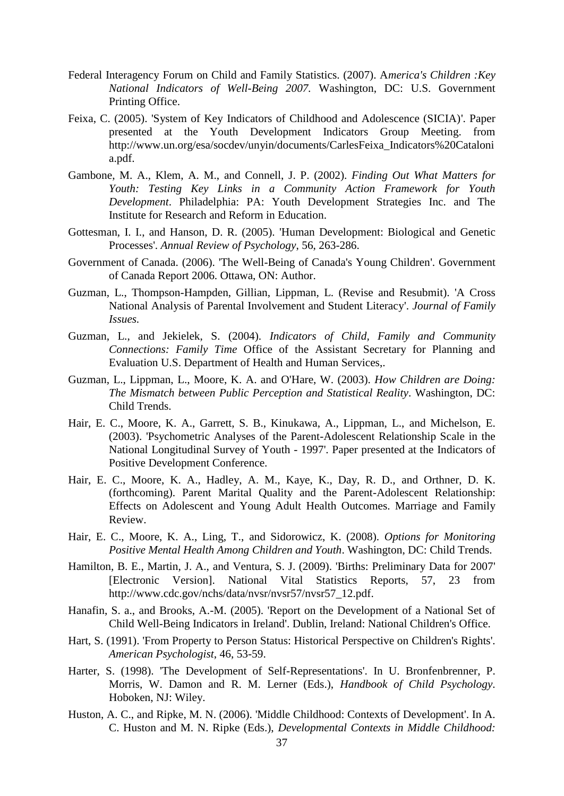- Federal Interagency Forum on Child and Family Statistics. (2007). A*merica's Children :Key National Indicators of Well-Being 2007.* Washington, DC: U.S. Government Printing Office.
- Feixa, C. (2005). 'System of Key Indicators of Childhood and Adolescence (SICIA)'. Paper presented at the Youth Development Indicators Group Meeting. from [http://www.un.org/esa/socdev/unyin/documents/CarlesFeixa\\_Indicators%20Cataloni](http://www.un.org/esa/socdev/unyin/documents/CarlesFeixa_Indicators%20Catalonia.pdf) [a.pdf.](http://www.un.org/esa/socdev/unyin/documents/CarlesFeixa_Indicators%20Catalonia.pdf)
- Gambone, M. A., Klem, A. M., and Connell, J. P. (2002). *Finding Out What Matters for Youth: Testing Key Links in a Community Action Framework for Youth Development*. Philadelphia: PA: Youth Development Strategies Inc. and The Institute for Research and Reform in Education.
- Gottesman, I. I., and Hanson, D. R. (2005). 'Human Development: Biological and Genetic Processes'. *Annual Review of Psychology*, 56, 263-286.
- Government of Canada. (2006). 'The Well-Being of Canada's Young Children'. Government of Canada Report 2006. Ottawa, ON: Author.
- Guzman, L., Thompson-Hampden, Gillian, Lippman, L. (Revise and Resubmit). 'A Cross National Analysis of Parental Involvement and Student Literacy'. *Journal of Family Issues.*
- Guzman, L., and Jekielek, S. (2004). *Indicators of Child, Family and Community Connections: Family Time* Office of the Assistant Secretary for Planning and Evaluation U.S. Department of Health and Human Services,.
- Guzman, L., Lippman, L., Moore, K. A. and O'Hare, W. (2003). *How Children are Doing: The Mismatch between Public Perception and Statistical Reality*. Washington, DC: Child Trends.
- Hair, E. C., Moore, K. A., Garrett, S. B., Kinukawa, A., Lippman, L., and Michelson, E. (2003). 'Psychometric Analyses of the Parent-Adolescent Relationship Scale in the National Longitudinal Survey of Youth - 1997'. Paper presented at the Indicators of Positive Development Conference.
- Hair, E. C., Moore, K. A., Hadley, A. M., Kaye, K., Day, R. D., and Orthner, D. K. (forthcoming). Parent Marital Quality and the Parent-Adolescent Relationship: Effects on Adolescent and Young Adult Health Outcomes. Marriage and Family Review.
- Hair, E. C., Moore, K. A., Ling, T., and Sidorowicz, K. (2008). *Options for Monitoring Positive Mental Health Among Children and Youth*. Washington, DC: Child Trends.
- Hamilton, B. E., Martin, J. A., and Ventura, S. J. (2009). 'Births: Preliminary Data for 2007' [Electronic Version]. National Vital Statistics Reports, 57, 23 from [http://www.cdc.gov/nchs/data/nvsr/nvsr57/nvsr57\\_12.pdf.](http://www.cdc.gov/nchs/data/nvsr/nvsr57/nvsr57_12.pdf)
- Hanafin, S. a., and Brooks, A.-M. (2005). 'Report on the Development of a National Set of Child Well-Being Indicators in Ireland'. Dublin, Ireland: National Children's Office.
- Hart, S. (1991). 'From Property to Person Status: Historical Perspective on Children's Rights'. *American Psychologist*, 46, 53-59.
- Harter, S. (1998). 'The Development of Self-Representations'. In U. Bronfenbrenner, P. Morris, W. Damon and R. M. Lerner (Eds.), *Handbook of Child Psychology*. Hoboken, NJ: Wiley.
- Huston, A. C., and Ripke, M. N. (2006). 'Middle Childhood: Contexts of Development'. In A. C. Huston and M. N. Ripke (Eds.), *Developmental Contexts in Middle Childhood:*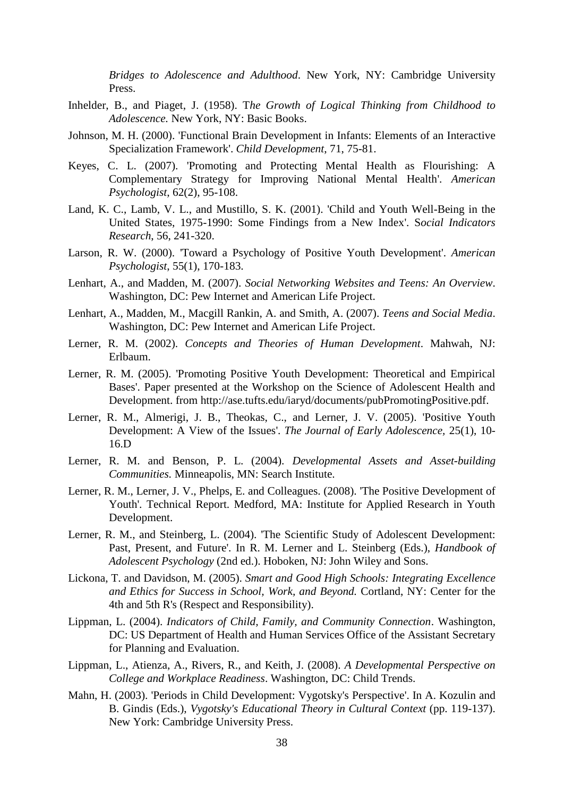*Bridges to Adolescence and Adulthood*. New York, NY: Cambridge University Press.

- Inhelder, B., and Piaget, J. (1958). T*he Growth of Logical Thinking from Childhood to Adolescence.* New York, NY: Basic Books.
- Johnson, M. H. (2000). 'Functional Brain Development in Infants: Elements of an Interactive Specialization Framework'. *Child Development*, 71, 75-81.
- Keyes, C. L. (2007). 'Promoting and Protecting Mental Health as Flourishing: A Complementary Strategy for Improving National Mental Health'. *American Psychologist*, 62(2), 95-108.
- Land, K. C., Lamb, V. L., and Mustillo, S. K. (2001). 'Child and Youth Well-Being in the United States, 1975-1990: Some Findings from a New Index'. S*ocial Indicators Research*, 56, 241-320.
- Larson, R. W. (2000). 'Toward a Psychology of Positive Youth Development'. *American Psychologist*, 55(1), 170-183.
- Lenhart, A., and Madden, M. (2007). *Social Networking Websites and Teens: An Overview*. Washington, DC: Pew Internet and American Life Project.
- Lenhart, A., Madden, M., Macgill Rankin, A. and Smith, A. (2007). *Teens and Social Media*. Washington, DC: Pew Internet and American Life Project.
- Lerner, R. M. (2002). *Concepts and Theories of Human Development*. Mahwah, NJ: Erlbaum.
- Lerner, R. M. (2005). 'Promoting Positive Youth Development: Theoretical and Empirical Bases'. Paper presented at the Workshop on the Science of Adolescent Health and Development. from [http://ase.tufts.edu/iaryd/documents/pubPromotingPositive.pdf.](http://ase.tufts.edu/iaryd/documents/pubPromotingPositive.pdf)
- Lerner, R. M., Almerigi, J. B., Theokas, C., and Lerner, J. V. (2005). 'Positive Youth Development: A View of the Issues'. *The Journal of Early Adolescence,* 25(1), 10- 16.D
- Lerner, R. M. and Benson, P. L. (2004). *Developmental Assets and Asset-building Communities.* Minneapolis, MN: Search Institute.
- Lerner, R. M., Lerner, J. V., Phelps, E. and Colleagues. (2008). 'The Positive Development of Youth'. Technical Report. Medford, MA: Institute for Applied Research in Youth Development.
- Lerner, R. M., and Steinberg, L. (2004). 'The Scientific Study of Adolescent Development: Past, Present, and Future'. In R. M. Lerner and L. Steinberg (Eds.), *Handbook of Adolescent Psychology* (2nd ed.). Hoboken, NJ: John Wiley and Sons.
- Lickona, T. and Davidson, M. (2005). *Smart and Good High Schools: Integrating Excellence and Ethics for Success in School, Work, and Beyond.* Cortland, NY: Center for the 4th and 5th R's (Respect and Responsibility).
- Lippman, L. (2004). *Indicators of Child, Family, and Community Connection*. Washington, DC: US Department of Health and Human Services Office of the Assistant Secretary for Planning and Evaluation.
- Lippman, L., Atienza, A., Rivers, R., and Keith, J. (2008). *A Developmental Perspective on College and Workplace Readiness*. Washington, DC: Child Trends.
- Mahn, H. (2003). 'Periods in Child Development: Vygotsky's Perspective'. In A. Kozulin and B. Gindis (Eds.), *Vygotsky's Educational Theory in Cultural Context* (pp. 119-137). New York: Cambridge University Press.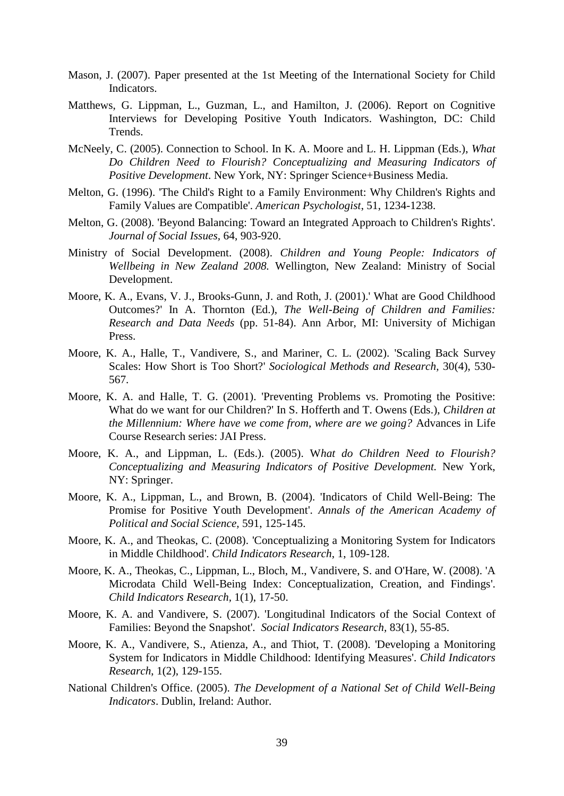- Mason, J. (2007). Paper presented at the 1st Meeting of the International Society for Child Indicators.
- Matthews, G. Lippman, L., Guzman, L., and Hamilton, J. (2006). Report on Cognitive Interviews for Developing Positive Youth Indicators. Washington, DC: Child Trends.
- McNeely, C. (2005). Connection to School. In K. A. Moore and L. H. Lippman (Eds.), *What Do Children Need to Flourish? Conceptualizing and Measuring Indicators of Positive Development*. New York, NY: Springer Science+Business Media.
- Melton, G. (1996). 'The Child's Right to a Family Environment: Why Children's Rights and Family Values are Compatible'. *American Psychologist*, 51, 1234-1238.
- Melton, G. (2008). 'Beyond Balancing: Toward an Integrated Approach to Children's Rights'. *Journal of Social Issues,* 64, 903-920.
- Ministry of Social Development. (2008). *Children and Young People: Indicators of Wellbeing in New Zealand 2008.* Wellington, New Zealand: Ministry of Social Development.
- Moore, K. A., Evans, V. J., Brooks-Gunn, J. and Roth, J. (2001).' What are Good Childhood Outcomes?' In A. Thornton (Ed.), *The Well-Being of Children and Families: Research and Data Needs* (pp. 51-84). Ann Arbor, MI: University of Michigan Press.
- Moore, K. A., Halle, T., Vandivere, S., and Mariner, C. L. (2002). 'Scaling Back Survey Scales: How Short is Too Short?' *Sociological Methods and Research,* 30(4), 530- 567.
- Moore, K. A. and Halle, T. G. (2001). 'Preventing Problems vs. Promoting the Positive: What do we want for our Children?' In S. Hofferth and T. Owens (Eds.), *Children at the Millennium: Where have we come from, where are we going?* Advances in Life Course Research series: JAI Press.
- Moore, K. A., and Lippman, L. (Eds.). (2005). W*hat do Children Need to Flourish? Conceptualizing and Measuring Indicators of Positive Development.* New York, NY: Springer.
- Moore, K. A., Lippman, L., and Brown, B. (2004). 'Indicators of Child Well-Being: The Promise for Positive Youth Development'. *Annals of the American Academy of Political and Social Science,* 591, 125-145.
- Moore, K. A., and Theokas, C. (2008). 'Conceptualizing a Monitoring System for Indicators in Middle Childhood'. *Child Indicators Research*, 1, 109-128.
- Moore, K. A., Theokas, C., Lippman, L., Bloch, M., Vandivere, S. and O'Hare, W. (2008). 'A Microdata Child Well-Being Index: Conceptualization, Creation, and Findings'. *Child Indicators Research,* 1(1), 17-50.
- Moore, K. A. and Vandivere, S. (2007). 'Longitudinal Indicators of the Social Context of Families: Beyond the Snapshot'. *Social Indicators Research,* 83(1), 55-85.
- Moore, K. A., Vandivere, S., Atienza, A., and Thiot, T. (2008). 'Developing a Monitoring System for Indicators in Middle Childhood: Identifying Measures'. *Child Indicators Research*, 1(2), 129-155.
- National Children's Office. (2005). *The Development of a National Set of Child Well-Being Indicators*. Dublin, Ireland: Author.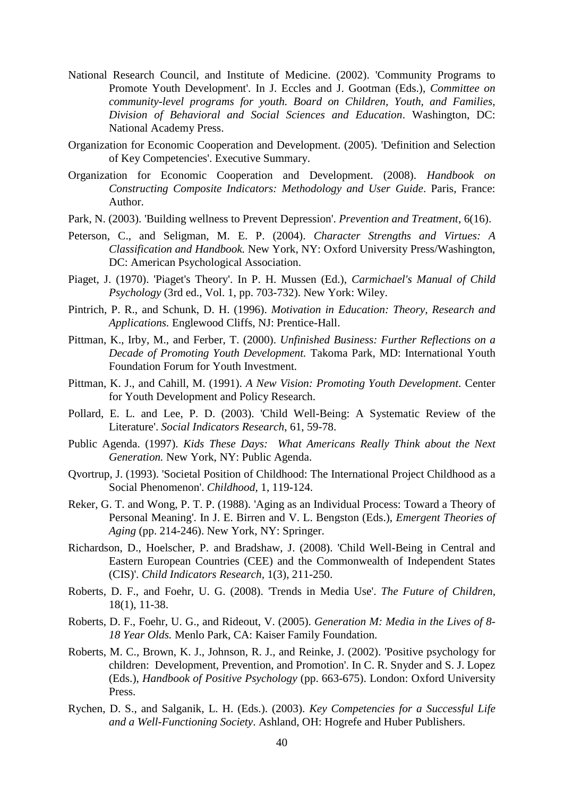- National Research Council, and Institute of Medicine. (2002). 'Community Programs to Promote Youth Development'. In J. Eccles and J. Gootman (Eds.), *Committee on community-level programs for youth. Board on Children, Youth, and Families, Division of Behavioral and Social Sciences and Education*. Washington, DC: National Academy Press.
- Organization for Economic Cooperation and Development. (2005). 'Definition and Selection of Key Competencies'. Executive Summary.
- Organization for Economic Cooperation and Development. (2008). *Handbook on Constructing Composite Indicators: Methodology and User Guide*. Paris, France: Author.
- Park, N. (2003). 'Building wellness to Prevent Depression'. *Prevention and Treatment*, 6(16).
- Peterson, C., and Seligman, M. E. P. (2004). *Character Strengths and Virtues: A Classification and Handbook.* New York, NY: Oxford University Press/Washington, DC: American Psychological Association.
- Piaget, J. (1970). 'Piaget's Theory'. In P. H. Mussen (Ed.), *Carmichael's Manual of Child Psychology* (3rd ed., Vol. 1, pp. 703-732). New York: Wiley.
- Pintrich, P. R., and Schunk, D. H. (1996). *Motivation in Education: Theory, Research and Applications.* Englewood Cliffs, NJ: Prentice-Hall.
- Pittman, K., Irby, M., and Ferber, T. (2000). *Unfinished Business: Further Reflections on a Decade of Promoting Youth Development.* Takoma Park, MD: International Youth Foundation Forum for Youth Investment.
- Pittman, K. J., and Cahill, M. (1991). *A New Vision: Promoting Youth Development.* Center for Youth Development and Policy Research.
- Pollard, E. L. and Lee, P. D. (2003). 'Child Well-Being: A Systematic Review of the Literature'. *Social Indicators Research*, 61, 59-78.
- Public Agenda. (1997). *Kids These Days: What Americans Really Think about the Next Generation.* New York, NY: Public Agenda.
- Qvortrup, J. (1993). 'Societal Position of Childhood: The International Project Childhood as a Social Phenomenon'. *Childhood*, 1, 119-124.
- Reker, G. T. and Wong, P. T. P. (1988). 'Aging as an Individual Process: Toward a Theory of Personal Meaning'. In J. E. Birren and V. L. Bengston (Eds.), *Emergent Theories of Aging* (pp. 214-246). New York, NY: Springer.
- Richardson, D., Hoelscher, P. and Bradshaw, J. (2008). 'Child Well-Being in Central and Eastern European Countries (CEE) and the Commonwealth of Independent States (CIS)'. *Child Indicators Research,* 1(3), 211-250.
- Roberts, D. F., and Foehr, U. G. (2008). 'Trends in Media Use'. *The Future of Children*, 18(1), 11-38.
- Roberts, D. F., Foehr, U. G., and Rideout, V. (2005). *Generation M: Media in the Lives of 8- 18 Year Olds.* Menlo Park, CA: Kaiser Family Foundation.
- Roberts, M. C., Brown, K. J., Johnson, R. J., and Reinke, J. (2002). 'Positive psychology for children: Development, Prevention, and Promotion'. In C. R. Snyder and S. J. Lopez (Eds.), *Handbook of Positive Psychology* (pp. 663-675). London: Oxford University Press.
- Rychen, D. S., and Salganik, L. H. (Eds.). (2003). *Key Competencies for a Successful Life and a Well-Functioning Society*. Ashland, OH: Hogrefe and Huber Publishers.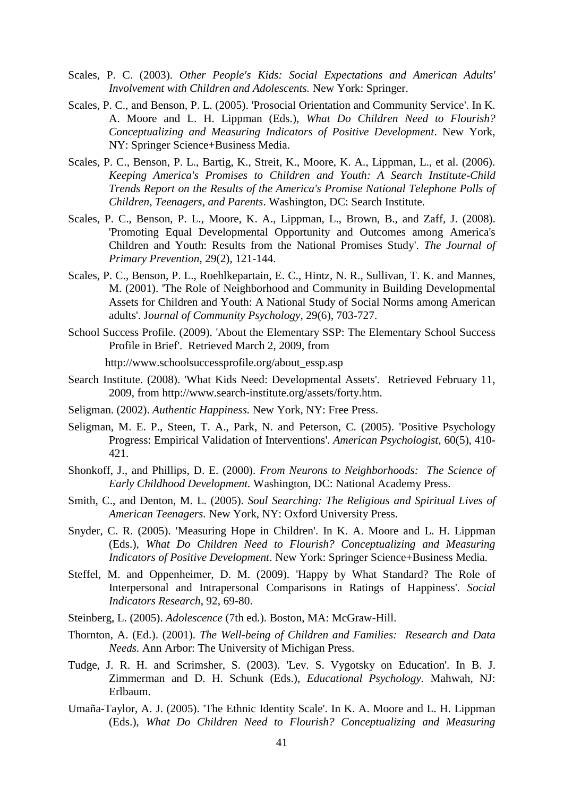- Scales, P. C. (2003). *Other People's Kids: Social Expectations and American Adults' Involvement with Children and Adolescents.* New York: Springer.
- Scales, P. C., and Benson, P. L. (2005). 'Prosocial Orientation and Community Service'. In K. A. Moore and L. H. Lippman (Eds.), *What Do Children Need to Flourish? Conceptualizing and Measuring Indicators of Positive Development*. New York, NY: Springer Science+Business Media.
- Scales, P. C., Benson, P. L., Bartig, K., Streit, K., Moore, K. A., Lippman, L., et al. (2006). *Keeping America's Promises to Children and Youth: A Search Institute-Child Trends Report on the Results of the America's Promise National Telephone Polls of Children, Teenagers, and Parents*. Washington, DC: Search Institute.
- Scales, P. C., Benson, P. L., Moore, K. A., Lippman, L., Brown, B., and Zaff, J. (2008). 'Promoting Equal Developmental Opportunity and Outcomes among America's Children and Youth: Results from the National Promises Study'. *The Journal of Primary Prevention*, 29(2), 121-144.
- Scales, P. C., Benson, P. L., Roehlkepartain, E. C., Hintz, N. R., Sullivan, T. K. and Mannes, M. (2001). 'The Role of Neighborhood and Community in Building Developmental Assets for Children and Youth: A National Study of Social Norms among American adults'. J*ournal of Community Psychology,* 29(6), 703-727.
- School Success Profile. (2009). 'About the Elementary SSP: The Elementary School Success Profile in Brief'. Retrieved March 2, 2009, from

[http://www.schoolsuccessprofile.org/about\\_essp.asp](http://www.schoolsuccessprofile.org/about_essp.asp)

- Search Institute. (2008). 'What Kids Need: Developmental Assets'. Retrieved February 11, 2009, from [http://www.search-institute.org/assets/forty.htm.](http://www.search-institute.org/assets/forty.htm)
- Seligman. (2002). *Authentic Happiness.* New York, NY: Free Press.
- Seligman, M. E. P., Steen, T. A., Park, N. and Peterson, C. (2005). 'Positive Psychology Progress: Empirical Validation of Interventions'. *American Psychologist*, 60(5), 410- 421.
- Shonkoff, J., and Phillips, D. E. (2000). *From Neurons to Neighborhoods: The Science of Early Childhood Development.* Washington, DC: National Academy Press.
- Smith, C., and Denton, M. L. (2005). *Soul Searching: The Religious and Spiritual Lives of American Teenagers.* New York, NY: Oxford University Press.
- Snyder, C. R. (2005). 'Measuring Hope in Children'. In K. A. Moore and L. H. Lippman (Eds.), *What Do Children Need to Flourish? Conceptualizing and Measuring Indicators of Positive Development*. New York: Springer Science+Business Media.
- Steffel, M. and Oppenheimer, D. M. (2009). 'Happy by What Standard? The Role of Interpersonal and Intrapersonal Comparisons in Ratings of Happiness'. *Social Indicators Research*, 92, 69-80.
- Steinberg, L. (2005). *Adolescence* (7th ed.). Boston, MA: McGraw-Hill.
- Thornton, A. (Ed.). (2001). *The Well-being of Children and Families: Research and Data Needs.* Ann Arbor: The University of Michigan Press.
- Tudge, J. R. H. and Scrimsher, S. (2003). 'Lev. S. Vygotsky on Education'. In B. J. Zimmerman and D. H. Schunk (Eds.), *Educational Psychology.* Mahwah, NJ: Erlbaum.
- Umaña-Taylor, A. J. (2005). 'The Ethnic Identity Scale'. In K. A. Moore and L. H. Lippman (Eds.), *What Do Children Need to Flourish? Conceptualizing and Measuring*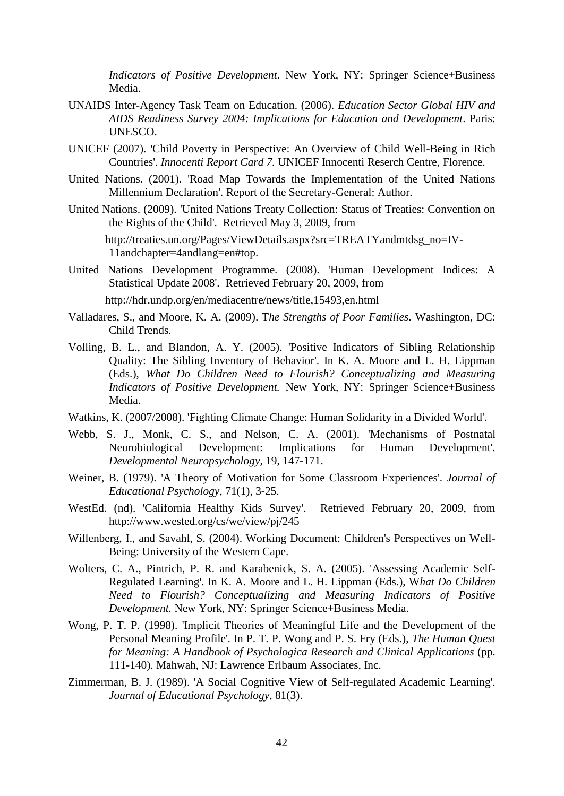*Indicators of Positive Development*. New York, NY: Springer Science+Business Media.

- UNAIDS Inter-Agency Task Team on Education. (2006). *[Education Sector Global HIV and](http://www.globalaidsalliance.org/page/-/PDFs/UNAIDS_Education_Sector.pdf)  [AIDS Readiness Survey 2004: Implications for Education and Development](http://www.globalaidsalliance.org/page/-/PDFs/UNAIDS_Education_Sector.pdf)*. Paris: UNESCO.
- UNICEF (2007). 'Child Poverty in Perspective: An Overview of Child Well-Being in Rich Countries'. *Innocenti Report Card 7.* UNICEF Innocenti Reserch Centre*,* Florence.
- United Nations. (2001). 'Road Map Towards the Implementation of the United Nations Millennium Declaration'. Report of the Secretary-General: Author.
- United Nations. (2009). 'United Nations Treaty Collection: Status of Treaties: Convention on the Rights of the Child'. Retrieved May 3, 2009, from

[http://treaties.un.org/Pages/ViewDetails.aspx?src=TREATYandmtdsg\\_no=IV-](http://treaties.un.org/Pages/ViewDetails.aspx?src=TREATY&mtdsg_no=IV-11&chapter=4&lang=en#top)[11andchapter=4andlang=en#top.](http://treaties.un.org/Pages/ViewDetails.aspx?src=TREATY&mtdsg_no=IV-11&chapter=4&lang=en#top)

United Nations Development Programme. (2008). 'Human Development Indices: A Statistical Update 2008'. Retrieved February 20, 2009, from

<http://hdr.undp.org/en/mediacentre/news/title,15493,en.html>

- Valladares, S., and Moore, K. A. (2009). T*he Strengths of Poor Families*. Washington, DC: Child Trends.
- Volling, B. L., and Blandon, A. Y. (2005). 'Positive Indicators of Sibling Relationship Quality: The Sibling Inventory of Behavior'. In K. A. Moore and L. H. Lippman (Eds.), *What Do Children Need to Flourish? Conceptualizing and Measuring Indicators of Positive Development.* New York, NY: Springer Science+Business Media.
- Watkins, K. (2007/2008). 'Fighting Climate Change: Human Solidarity in a Divided World'.
- Webb, S. J., Monk, C. S., and Nelson, C. A. (2001). 'Mechanisms of Postnatal Neurobiological Development: Implications for Human Development'. *Developmental Neuropsychology,* 19, 147-171.
- Weiner, B. (1979). 'A Theory of Motivation for Some Classroom Experiences'. *Journal of Educational Psychology*, 71(1), 3-25.
- WestEd. (nd). 'California Healthy Kids Survey'. Retrieved February 20, 2009, from <http://www.wested.org/cs/we/view/pj/245>
- Willenberg, I., and Savahl, S. (2004). Working Document: Children's Perspectives on Well-Being: University of the Western Cape.
- Wolters, C. A., Pintrich, P. R. and Karabenick, S. A. (2005). 'Assessing Academic Self-Regulated Learning'. In K. A. Moore and L. H. Lippman (Eds.), W*hat Do Children Need to Flourish? Conceptualizing and Measuring Indicators of Positive Development.* New York, NY: Springer Science+Business Media.
- Wong, P. T. P. (1998). 'Implicit Theories of Meaningful Life and the Development of the Personal Meaning Profile'. In P. T. P. Wong and P. S. Fry (Eds.), *The Human Quest for Meaning: A Handbook of Psychologica Research and Clinical Applications* (pp. 111-140). Mahwah, NJ: Lawrence Erlbaum Associates, Inc.
- Zimmerman, B. J. (1989). 'A Social Cognitive View of Self-regulated Academic Learning'. *Journal of Educational Psychology*, 81(3).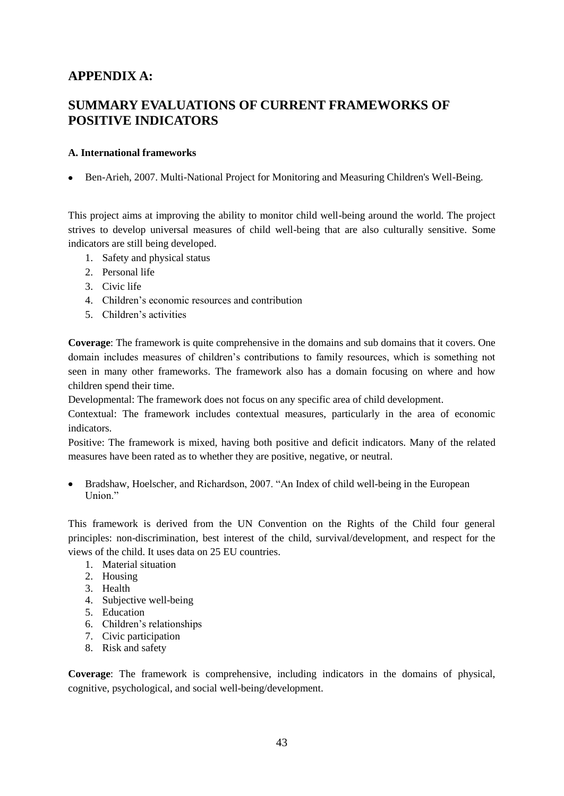# **APPENDIX A:**

# **SUMMARY EVALUATIONS OF CURRENT FRAMEWORKS OF POSITIVE INDICATORS**

## **A. International frameworks**

Ben-Arieh, 2007. Multi-National Project for Monitoring and Measuring Children's Well-Being.

This project aims at improving the ability to monitor child well-being around the world. The project strives to develop universal measures of child well-being that are also culturally sensitive. Some indicators are still being developed.

- 1. Safety and physical status
- 2. Personal life
- 3. Civic life
- 4. Children"s economic resources and contribution
- 5. Children"s activities

**Coverage**: The framework is quite comprehensive in the domains and sub domains that it covers. One domain includes measures of children"s contributions to family resources, which is something not seen in many other frameworks. The framework also has a domain focusing on where and how children spend their time.

Developmental: The framework does not focus on any specific area of child development.

Contextual: The framework includes contextual measures, particularly in the area of economic indicators.

Positive: The framework is mixed, having both positive and deficit indicators. Many of the related measures have been rated as to whether they are positive, negative, or neutral.

Bradshaw, Hoelscher, and Richardson, 2007. "An Index of child well-being in the European Union."

This framework is derived from the UN Convention on the Rights of the Child four general principles: non-discrimination, best interest of the child, survival/development, and respect for the views of the child. It uses data on 25 EU countries.

- 1. Material situation
- 2. Housing
- 3. Health
- 4. Subjective well-being
- 5. Education
- 6. Children"s relationships
- 7. Civic participation
- 8. Risk and safety

**Coverage**: The framework is comprehensive, including indicators in the domains of physical, cognitive, psychological, and social well-being/development.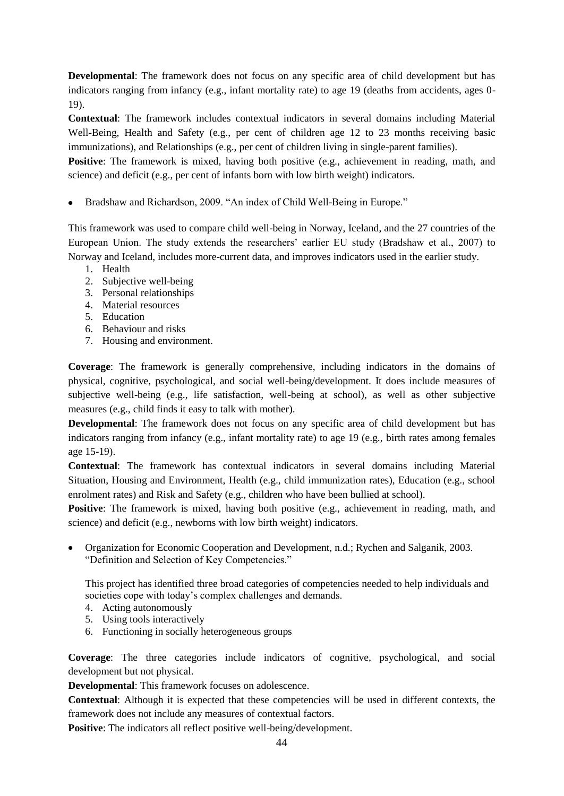**Developmental**: The framework does not focus on any specific area of child development but has indicators ranging from infancy (e.g., infant mortality rate) to age 19 (deaths from accidents, ages 0- 19).

**Contextual**: The framework includes contextual indicators in several domains including Material Well-Being, Health and Safety (e.g., per cent of children age 12 to 23 months receiving basic immunizations), and Relationships (e.g., per cent of children living in single-parent families).

**Positive**: The framework is mixed, having both positive (e.g., achievement in reading, math, and science) and deficit (e.g., per cent of infants born with low birth weight) indicators.

Bradshaw and Richardson, 2009. "An index of Child Well-Being in Europe."

This framework was used to compare child well-being in Norway, Iceland, and the 27 countries of the European Union. The study extends the researchers' earlier EU study (Bradshaw et al., 2007) to Norway and Iceland, includes more-current data, and improves indicators used in the earlier study.

- 1. Health
- 2. Subjective well-being
- 3. Personal relationships
- 4. Material resources
- 5. Education
- 6. Behaviour and risks
- 7. Housing and environment.

**Coverage**: The framework is generally comprehensive, including indicators in the domains of physical, cognitive, psychological, and social well-being/development. It does include measures of subjective well-being (e.g., life satisfaction, well-being at school), as well as other subjective measures (e.g., child finds it easy to talk with mother).

**Developmental**: The framework does not focus on any specific area of child development but has indicators ranging from infancy (e.g., infant mortality rate) to age 19 (e.g., birth rates among females age 15-19).

**Contextual**: The framework has contextual indicators in several domains including Material Situation, Housing and Environment, Health (e.g., child immunization rates), Education (e.g., school enrolment rates) and Risk and Safety (e.g., children who have been bullied at school).

**Positive**: The framework is mixed, having both positive (e.g., achievement in reading, math, and science) and deficit (e.g., newborns with low birth weight) indicators.

Organization for Economic Cooperation and Development, n.d.; Rychen and Salganik, 2003. "Definition and Selection of Key Competencies."

This project has identified three broad categories of competencies needed to help individuals and societies cope with today's complex challenges and demands.

- 4. Acting autonomously
- 5. Using tools interactively
- 6. Functioning in socially heterogeneous groups

**Coverage**: The three categories include indicators of cognitive, psychological, and social development but not physical.

**Developmental**: This framework focuses on adolescence.

**Contextual**: Although it is expected that these competencies will be used in different contexts, the framework does not include any measures of contextual factors.

**Positive**: The indicators all reflect positive well-being/development.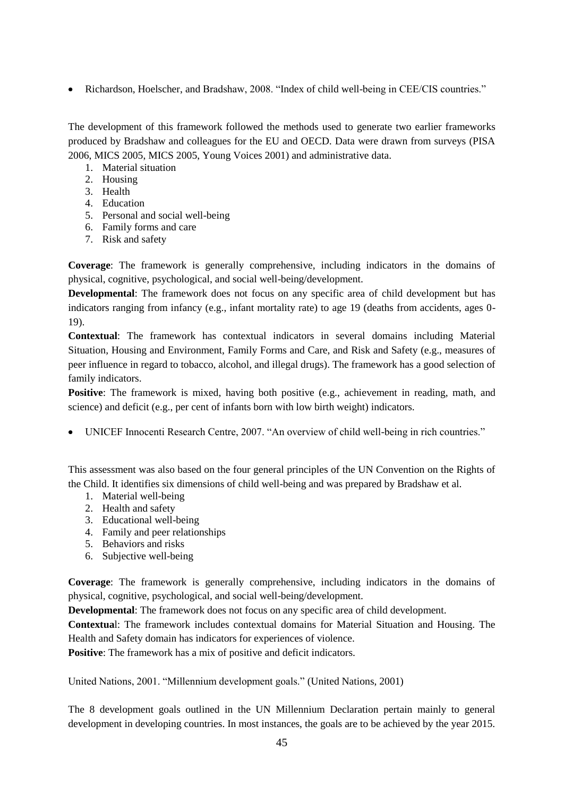Richardson, Hoelscher, and Bradshaw, 2008. "Index of child well-being in CEE/CIS countries."

The development of this framework followed the methods used to generate two earlier frameworks produced by Bradshaw and colleagues for the EU and OECD. Data were drawn from surveys (PISA 2006, MICS 2005, MICS 2005, Young Voices 2001) and administrative data.

- 1. Material situation
- 2. Housing
- 3. Health
- 4. Education
- 5. Personal and social well-being
- 6. Family forms and care
- 7. Risk and safety

**Coverage**: The framework is generally comprehensive, including indicators in the domains of physical, cognitive, psychological, and social well-being/development.

**Developmental**: The framework does not focus on any specific area of child development but has indicators ranging from infancy (e.g., infant mortality rate) to age 19 (deaths from accidents, ages 0- 19).

**Contextual**: The framework has contextual indicators in several domains including Material Situation, Housing and Environment, Family Forms and Care, and Risk and Safety (e.g., measures of peer influence in regard to tobacco, alcohol, and illegal drugs). The framework has a good selection of family indicators.

**Positive**: The framework is mixed, having both positive (e.g., achievement in reading, math, and science) and deficit (e.g., per cent of infants born with low birth weight) indicators.

UNICEF Innocenti Research Centre, 2007. "An overview of child well-being in rich countries."

This assessment was also based on the four general principles of the UN Convention on the Rights of the Child. It identifies six dimensions of child well-being and was prepared by Bradshaw et al.

- 1. Material well-being
- 2. Health and safety
- 3. Educational well-being
- 4. Family and peer relationships
- 5. Behaviors and risks
- 6. Subjective well-being

**Coverage**: The framework is generally comprehensive, including indicators in the domains of physical, cognitive, psychological, and social well-being/development.

**Developmental**: The framework does not focus on any specific area of child development.

**Contextua**l: The framework includes contextual domains for Material Situation and Housing. The Health and Safety domain has indicators for experiences of violence.

**Positive**: The framework has a mix of positive and deficit indicators.

United Nations, 2001. "Millennium development goals." (United Nations, 2001)

The 8 development goals outlined in the UN Millennium Declaration pertain mainly to general development in developing countries. In most instances, the goals are to be achieved by the year 2015.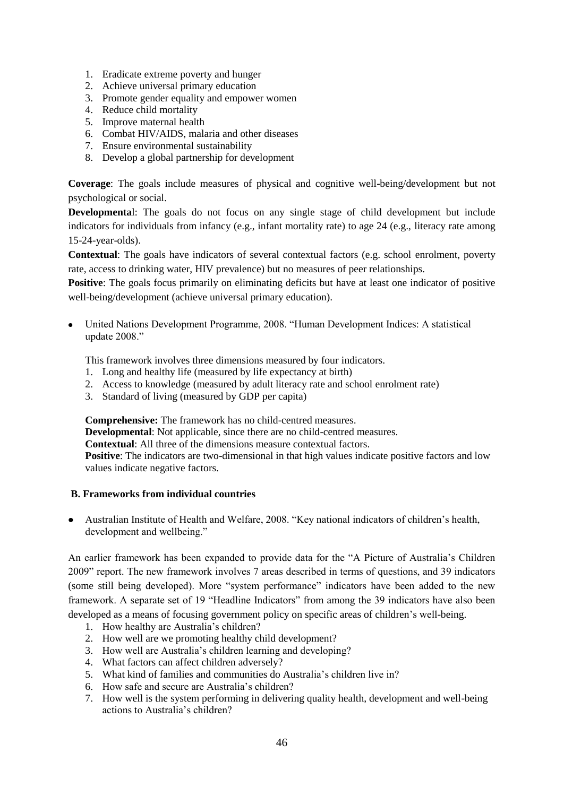- 1. Eradicate extreme poverty and hunger
- 2. Achieve universal primary education
- 3. Promote gender equality and empower women
- 4. Reduce child mortality
- 5. Improve maternal health
- 6. Combat HIV/AIDS, malaria and other diseases
- 7. Ensure environmental sustainability
- 8. Develop a global partnership for development

**Coverage**: The goals include measures of physical and cognitive well-being/development but not psychological or social.

**Developmenta**l: The goals do not focus on any single stage of child development but include indicators for individuals from infancy (e.g., infant mortality rate) to age 24 (e.g., literacy rate among 15-24-year-olds).

**Contextual**: The goals have indicators of several contextual factors (e.g. school enrolment, poverty rate, access to drinking water, HIV prevalence) but no measures of peer relationships.

**Positive**: The goals focus primarily on eliminating deficits but have at least one indicator of positive well-being/development (achieve universal primary education).

United Nations Development Programme, 2008. "Human Development Indices: A statistical update 2008."

This framework involves three dimensions measured by four indicators.

- 1. Long and healthy life (measured by life expectancy at birth)
- 2. Access to knowledge (measured by adult literacy rate and school enrolment rate)
- 3. Standard of living (measured by GDP per capita)

**Comprehensive:** The framework has no child-centred measures.

**Developmental**: Not applicable, since there are no child-centred measures.

**Contextual**: All three of the dimensions measure contextual factors.

**Positive**: The indicators are two-dimensional in that high values indicate positive factors and low values indicate negative factors.

## **B. Frameworks from individual countries**

Australian Institute of Health and Welfare, 2008. "Key national indicators of children"s health, development and wellbeing."

An earlier framework has been expanded to provide data for the "A Picture of Australia"s Children 2009" report. The new framework involves 7 areas described in terms of questions, and 39 indicators (some still being developed). More "system performance" indicators have been added to the new framework. A separate set of 19 "Headline Indicators" from among the 39 indicators have also been developed as a means of focusing government policy on specific areas of children's well-being.

- 1. How healthy are Australia"s children?
- 2. How well are we promoting healthy child development?
- 3. How well are Australia"s children learning and developing?
- 4. What factors can affect children adversely?
- 5. What kind of families and communities do Australia"s children live in?
- 6. How safe and secure are Australia"s children?
- 7. How well is the system performing in delivering quality health, development and well-being actions to Australia's children?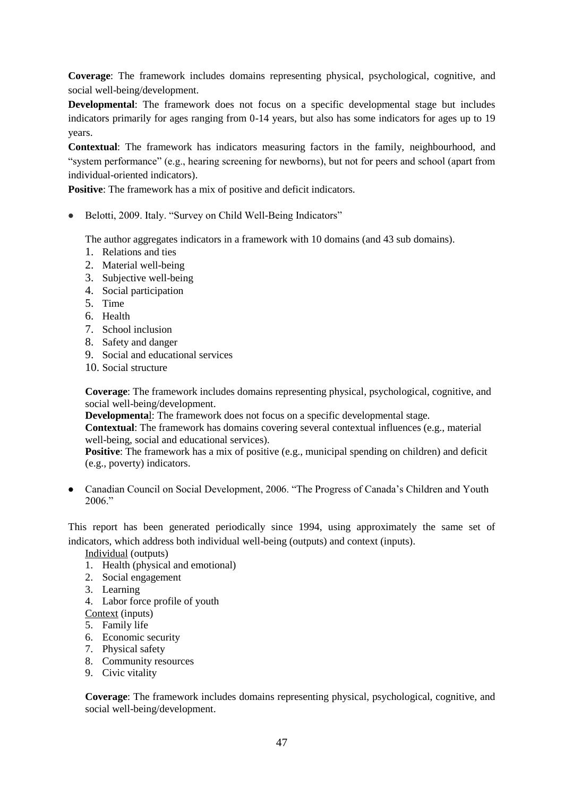**Coverage**: The framework includes domains representing physical, psychological, cognitive, and social well-being/development.

**Developmental**: The framework does not focus on a specific developmental stage but includes indicators primarily for ages ranging from 0-14 years, but also has some indicators for ages up to 19 years.

**Contextual**: The framework has indicators measuring factors in the family, neighbourhood, and "system performance" (e.g., hearing screening for newborns), but not for peers and school (apart from individual-oriented indicators).

**Positive**: The framework has a mix of positive and deficit indicators.

Belotti, 2009. Italy. "Survey on Child Well-Being Indicators"

The author aggregates indicators in a framework with 10 domains (and 43 sub domains).

- 1. Relations and ties
- 2. Material well-being
- 3. Subjective well-being
- 4. Social participation
- 5. Time
- 6. Health
- 7. School inclusion
- 8. Safety and danger
- 9. Social and educational services
- 10. Social structure

**Coverage**: The framework includes domains representing physical, psychological, cognitive, and social well-being/development.

**Developmenta**l: The framework does not focus on a specific developmental stage.

**Contextual**: The framework has domains covering several contextual influences (e.g., material well-being, social and educational services).

**Positive:** The framework has a mix of positive (e.g., municipal spending on children) and deficit (e.g., poverty) indicators.

Canadian Council on Social Development, 2006. "The Progress of Canada"s Children and Youth  $2006$ ."

This report has been generated periodically since 1994, using approximately the same set of indicators, which address both individual well-being (outputs) and context (inputs).

Individual (outputs)

- 1. Health (physical and emotional)
- 2. Social engagement
- 3. Learning
- 4. Labor force profile of youth
- Context (inputs)
- 5. Family life
- 6. Economic security
- 7. Physical safety
- 8. Community resources
- 9. Civic vitality

**Coverage**: The framework includes domains representing physical, psychological, cognitive, and social well-being/development.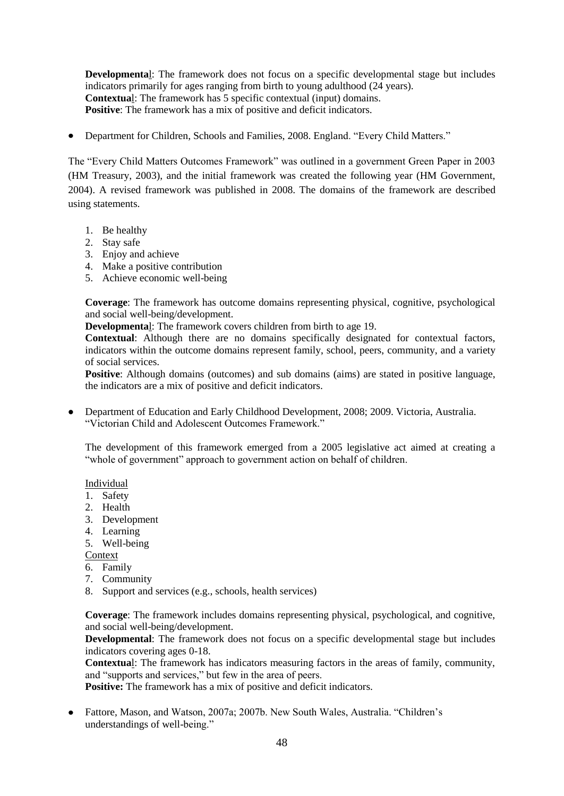**Developmenta**l: The framework does not focus on a specific developmental stage but includes indicators primarily for ages ranging from birth to young adulthood (24 years). **Contextua**l: The framework has 5 specific contextual (input) domains. **Positive**: The framework has a mix of positive and deficit indicators.

Department for Children, Schools and Families, 2008. England. "Every Child Matters."

The "Every Child Matters Outcomes Framework" was outlined in a government Green Paper in 2003 (HM Treasury, 2003), and the initial framework was created the following year (HM Government, 2004). A revised framework was published in 2008. The domains of the framework are described using statements.

- 1. Be healthy
- 2. Stay safe
- 3. Enjoy and achieve
- 4. Make a positive contribution
- 5. Achieve economic well-being

**Coverage**: The framework has outcome domains representing physical, cognitive, psychological and social well-being/development.

**Developmenta**l: The framework covers children from birth to age 19.

**Contextual**: Although there are no domains specifically designated for contextual factors, indicators within the outcome domains represent family, school, peers, community, and a variety of social services.

**Positive**: Although domains (outcomes) and sub domains (aims) are stated in positive language, the indicators are a mix of positive and deficit indicators.

Department of Education and Early Childhood Development, 2008; 2009. Victoria, Australia. "Victorian Child and Adolescent Outcomes Framework."

The development of this framework emerged from a 2005 legislative act aimed at creating a "whole of government" approach to government action on behalf of children.

Individual

- 1. Safety
- 2. Health
- 3. Development
- 4. Learning
- 5. Well-being

**Context** 

- 6. Family
- 7. Community
- 8. Support and services (e.g., schools, health services)

**Coverage**: The framework includes domains representing physical, psychological, and cognitive, and social well-being/development.

**Developmental**: The framework does not focus on a specific developmental stage but includes indicators covering ages 0-18.

**Contextua**l: The framework has indicators measuring factors in the areas of family, community, and "supports and services," but few in the area of peers.

**Positive:** The framework has a mix of positive and deficit indicators.

Fattore, Mason, and Watson, 2007a; 2007b. New South Wales, Australia. "Children"s understandings of well-being."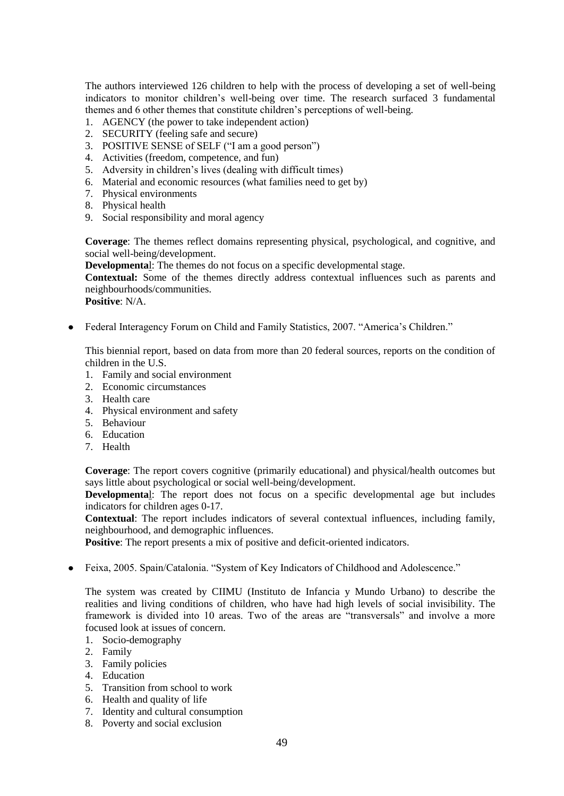The authors interviewed 126 children to help with the process of developing a set of well-being indicators to monitor children"s well-being over time. The research surfaced 3 fundamental themes and 6 other themes that constitute children"s perceptions of well-being.

- 1. AGENCY (the power to take independent action)
- 2. SECURITY (feeling safe and secure)
- 3. POSITIVE SENSE of SELF ("I am a good person")
- 4. Activities (freedom, competence, and fun)
- 5. Adversity in children"s lives (dealing with difficult times)
- 6. Material and economic resources (what families need to get by)
- 7. Physical environments
- 8. Physical health
- 9. Social responsibility and moral agency

**Coverage**: The themes reflect domains representing physical, psychological, and cognitive, and social well-being/development.

**Developmenta**l: The themes do not focus on a specific developmental stage.

**Contextual:** Some of the themes directly address contextual influences such as parents and neighbourhoods/communities.

**Positive**: N/A.

• Federal Interagency Forum on Child and Family Statistics, 2007. "America's Children."

This biennial report, based on data from more than 20 federal sources, reports on the condition of children in the U.S.

- 1. Family and social environment
- 2. Economic circumstances
- 3. Health care
- 4. Physical environment and safety
- 5. Behaviour
- 6. Education
- 7. Health

**Coverage**: The report covers cognitive (primarily educational) and physical/health outcomes but says little about psychological or social well-being/development.

**Developmenta**l: The report does not focus on a specific developmental age but includes indicators for children ages 0-17.

**Contextual**: The report includes indicators of several contextual influences, including family, neighbourhood, and demographic influences.

**Positive**: The report presents a mix of positive and deficit-oriented indicators.

• Feixa, 2005. Spain/Catalonia. "System of Key Indicators of Childhood and Adolescence."

The system was created by CIIMU (Instituto de Infancia y Mundo Urbano) to describe the realities and living conditions of children, who have had high levels of social invisibility. The framework is divided into 10 areas. Two of the areas are "transversals" and involve a more focused look at issues of concern.

- 1. Socio-demography
- 2. Family
- 3. Family policies
- 4. Education
- 5. Transition from school to work
- 6. Health and quality of life
- 7. Identity and cultural consumption
- 8. Poverty and social exclusion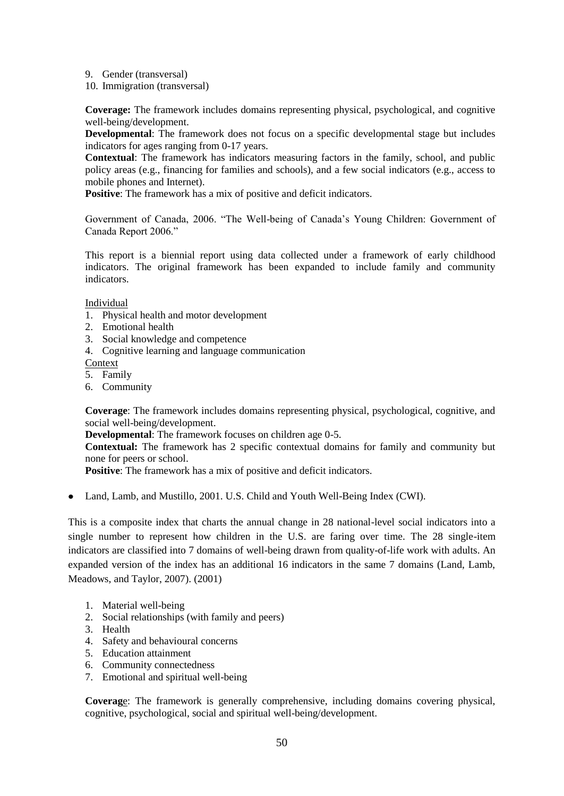- 9. Gender (transversal)
- 10. Immigration (transversal)

**Coverage:** The framework includes domains representing physical, psychological, and cognitive well-being/development.

**Developmental**: The framework does not focus on a specific developmental stage but includes indicators for ages ranging from 0-17 years.

**Contextual**: The framework has indicators measuring factors in the family, school, and public policy areas (e.g., financing for families and schools), and a few social indicators (e.g., access to mobile phones and Internet).

**Positive**: The framework has a mix of positive and deficit indicators.

Government of Canada, 2006. "The Well-being of Canada"s Young Children: Government of Canada Report 2006."

This report is a biennial report using data collected under a framework of early childhood indicators. The original framework has been expanded to include family and community indicators.

**Individual** 

- 1. Physical health and motor development
- 2. Emotional health
- 3. Social knowledge and competence
- 4. Cognitive learning and language communication
- Context
- 5. Family
- 6. Community

**Coverage**: The framework includes domains representing physical, psychological, cognitive, and social well-being/development.

**Developmental**: The framework focuses on children age 0-5.

**Contextual:** The framework has 2 specific contextual domains for family and community but none for peers or school.

**Positive**: The framework has a mix of positive and deficit indicators.

Land, Lamb, and Mustillo, 2001. U.S. Child and Youth Well-Being Index (CWI).

This is a composite index that charts the annual change in 28 national-level social indicators into a single number to represent how children in the U.S. are faring over time. The 28 single-item indicators are classified into 7 domains of well-being drawn from quality-of-life work with adults. An expanded version of the index has an additional 16 indicators in the same 7 domains (Land, Lamb, Meadows, and Taylor, 2007). (2001)

- 1. Material well-being
- 2. Social relationships (with family and peers)
- 3. Health
- 4. Safety and behavioural concerns
- 5. Education attainment
- 6. Community connectedness
- 7. Emotional and spiritual well-being

**Coverag**e: The framework is generally comprehensive, including domains covering physical, cognitive, psychological, social and spiritual well-being/development.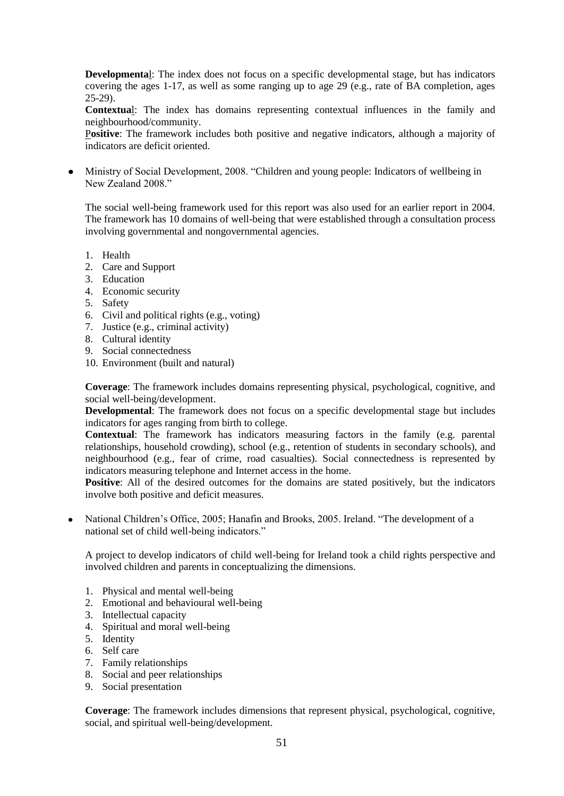**Developmenta**l: The index does not focus on a specific developmental stage, but has indicators covering the ages 1-17, as well as some ranging up to age 29 (e.g., rate of BA completion, ages 25-29).

**Contextua**l: The index has domains representing contextual influences in the family and neighbourhood/community.

P**ositive**: The framework includes both positive and negative indicators, although a majority of indicators are deficit oriented.

Ministry of Social Development, 2008. "Children and young people: Indicators of wellbeing in New Zealand 2008<sup>"</sup>

The social well-being framework used for this report was also used for an earlier report in 2004. The framework has 10 domains of well-being that were established through a consultation process involving governmental and nongovernmental agencies.

- 1. Health
- 2. Care and Support
- 3. Education
- 4. Economic security
- 5. Safety
- 6. Civil and political rights (e.g., voting)
- 7. Justice (e.g., criminal activity)
- 8. Cultural identity
- 9. Social connectedness
- 10. Environment (built and natural)

**Coverage**: The framework includes domains representing physical, psychological, cognitive, and social well-being/development.

**Developmental**: The framework does not focus on a specific developmental stage but includes indicators for ages ranging from birth to college.

**Contextual**: The framework has indicators measuring factors in the family (e.g. parental relationships, household crowding), school (e.g., retention of students in secondary schools), and neighbourhood (e.g., fear of crime, road casualties). Social connectedness is represented by indicators measuring telephone and Internet access in the home.

Positive: All of the desired outcomes for the domains are stated positively, but the indicators involve both positive and deficit measures.

• National Children's Office, 2005; Hanafin and Brooks, 2005. Ireland. "The development of a national set of child well-being indicators."

A project to develop indicators of child well-being for Ireland took a child rights perspective and involved children and parents in conceptualizing the dimensions.

- 1. Physical and mental well-being
- 2. Emotional and behavioural well-being
- 3. Intellectual capacity
- 4. Spiritual and moral well-being
- 5. Identity
- 6. Self care
- 7. Family relationships
- 8. Social and peer relationships
- 9. Social presentation

**Coverage**: The framework includes dimensions that represent physical, psychological, cognitive, social, and spiritual well-being/development.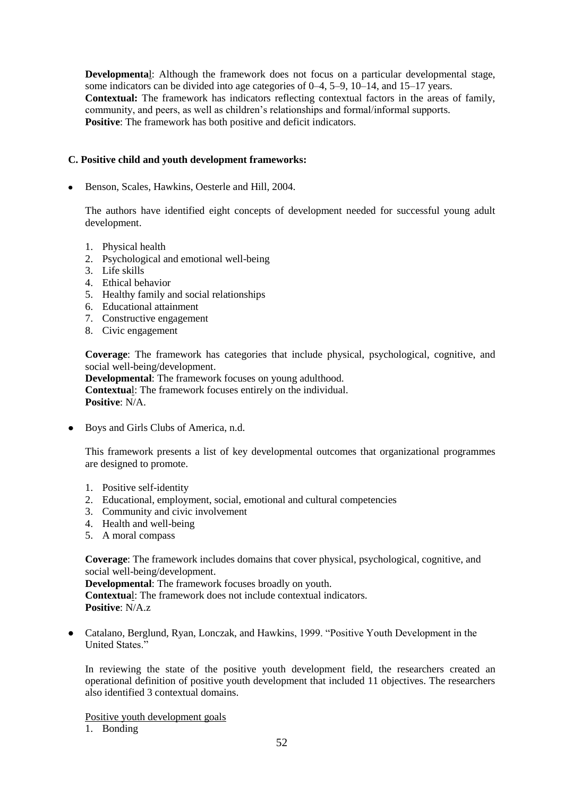**Developmenta**l: Although the framework does not focus on a particular developmental stage, some indicators can be divided into age categories of 0–4, 5–9, 10–14, and 15–17 years. **Contextual:** The framework has indicators reflecting contextual factors in the areas of family, community, and peers, as well as children"s relationships and formal/informal supports. **Positive:** The framework has both positive and deficit indicators.

## **C. Positive child and youth development frameworks:**

Benson, Scales, Hawkins, Oesterle and Hill, 2004.

The authors have identified eight concepts of development needed for successful young adult development.

- 1. Physical health
- 2. Psychological and emotional well-being
- 3. Life skills
- 4. Ethical behavior
- 5. Healthy family and social relationships
- 6. Educational attainment
- 7. Constructive engagement
- 8. Civic engagement

**Coverage**: The framework has categories that include physical, psychological, cognitive, and social well-being/development.

**Developmental**: The framework focuses on young adulthood. **Contextua**l: The framework focuses entirely on the individual. **Positive**: N/A.

Boys and Girls Clubs of America, n.d.

This framework presents a list of key developmental outcomes that organizational programmes are designed to promote.

- 1. Positive self-identity
- 2. Educational, employment, social, emotional and cultural competencies
- 3. Community and civic involvement
- 4. Health and well-being
- 5. A moral compass

**Coverage**: The framework includes domains that cover physical, psychological, cognitive, and social well-being/development.

**Developmental**: The framework focuses broadly on youth. **Contextua**l: The framework does not include contextual indicators.

**Positive**: N/A.z

Catalano, Berglund, Ryan, Lonczak, and Hawkins, 1999. "Positive Youth Development in the United States."

In reviewing the state of the positive youth development field, the researchers created an operational definition of positive youth development that included 11 objectives. The researchers also identified 3 contextual domains.

Positive youth development goals

1. Bonding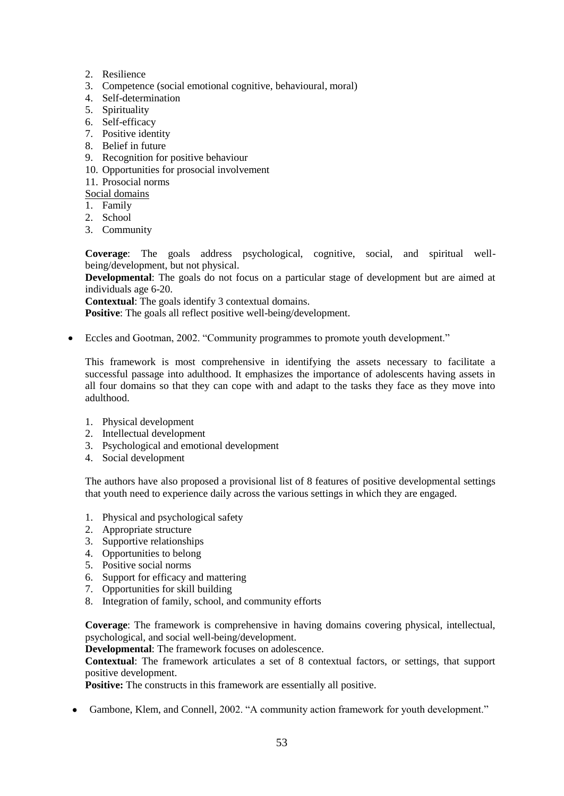- 2. Resilience
- 3. Competence (social emotional cognitive, behavioural, moral)
- 4. Self-determination
- 5. Spirituality
- 6. Self-efficacy
- 7. Positive identity
- 8. Belief in future
- 9. Recognition for positive behaviour
- 10. Opportunities for prosocial involvement
- 11. Prosocial norms
- Social domains
- 1. Family
- 2. School
- 3. Community

**Coverage**: The goals address psychological, cognitive, social, and spiritual wellbeing/development, but not physical.

**Developmental**: The goals do not focus on a particular stage of development but are aimed at individuals age 6-20.

**Contextual**: The goals identify 3 contextual domains.

**Positive**: The goals all reflect positive well-being/development.

Eccles and Gootman, 2002. "Community programmes to promote youth development."

This framework is most comprehensive in identifying the assets necessary to facilitate a successful passage into adulthood. It emphasizes the importance of adolescents having assets in all four domains so that they can cope with and adapt to the tasks they face as they move into adulthood.

- 1. Physical development
- 2. Intellectual development
- 3. Psychological and emotional development
- 4. Social development

The authors have also proposed a provisional list of 8 features of positive developmental settings that youth need to experience daily across the various settings in which they are engaged.

- 1. Physical and psychological safety
- 2. Appropriate structure
- 3. Supportive relationships
- 4. Opportunities to belong
- 5. Positive social norms
- 6. Support for efficacy and mattering
- 7. Opportunities for skill building
- 8. Integration of family, school, and community efforts

**Coverage**: The framework is comprehensive in having domains covering physical, intellectual, psychological, and social well-being/development.

**Developmental**: The framework focuses on adolescence.

**Contextual**: The framework articulates a set of 8 contextual factors, or settings, that support positive development.

**Positive:** The constructs in this framework are essentially all positive.

Gambone, Klem, and Connell, 2002. "A community action framework for youth development."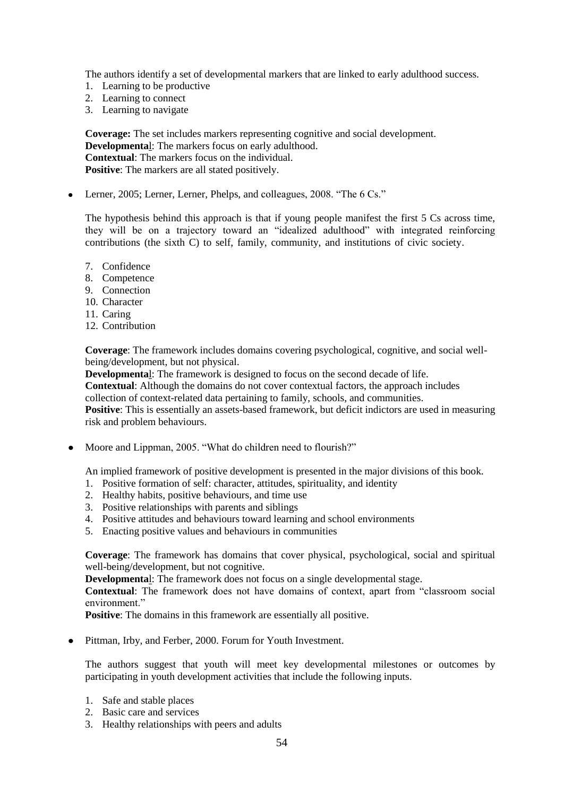The authors identify a set of developmental markers that are linked to early adulthood success.

- 1. Learning to be productive
- 2. Learning to connect
- 3. Learning to navigate

**Coverage:** The set includes markers representing cognitive and social development. **Developmenta**l: The markers focus on early adulthood. **Contextual**: The markers focus on the individual. **Positive**: The markers are all stated positively.

• Lerner, 2005; Lerner, Lerner, Phelps, and colleagues, 2008. "The 6 Cs."

The hypothesis behind this approach is that if young people manifest the first 5 Cs across time, they will be on a trajectory toward an "idealized adulthood" with integrated reinforcing contributions (the sixth C) to self, family, community, and institutions of civic society.

- 7. Confidence
- 8. Competence
- 9. Connection
- 10. Character
- 11. Caring
- 12. Contribution

**Coverage**: The framework includes domains covering psychological, cognitive, and social wellbeing/development, but not physical.

**Developmenta**l: The framework is designed to focus on the second decade of life.

**Contextual**: Although the domains do not cover contextual factors, the approach includes collection of context-related data pertaining to family, schools, and communities.

**Positive**: This is essentially an assets-based framework, but deficit indictors are used in measuring risk and problem behaviours.

• Moore and Lippman, 2005. "What do children need to flourish?"

An implied framework of positive development is presented in the major divisions of this book.

- 1. Positive formation of self: character, attitudes, spirituality, and identity
- 2. Healthy habits, positive behaviours, and time use
- 3. Positive relationships with parents and siblings
- 4. Positive attitudes and behaviours toward learning and school environments
- 5. Enacting positive values and behaviours in communities

**Coverage**: The framework has domains that cover physical, psychological, social and spiritual well-being/development, but not cognitive.

**Developmenta**l: The framework does not focus on a single developmental stage.

**Contextual**: The framework does not have domains of context, apart from "classroom social environment."

**Positive**: The domains in this framework are essentially all positive.

• Pittman, Irby, and Ferber, 2000. Forum for Youth Investment.

The authors suggest that youth will meet key developmental milestones or outcomes by participating in youth development activities that include the following inputs.

- 1. Safe and stable places
- 2. Basic care and services
- 3. Healthy relationships with peers and adults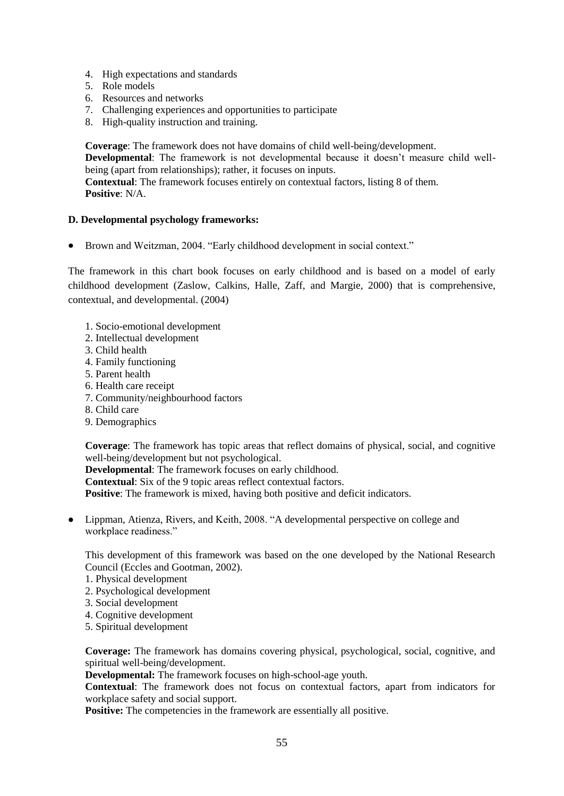- 4. High expectations and standards
- 5. Role models
- 6. Resources and networks
- 7. Challenging experiences and opportunities to participate
- 8. High-quality instruction and training.

**Coverage**: The framework does not have domains of child well-being/development. **Developmental**: The framework is not developmental because it doesn"t measure child wellbeing (apart from relationships); rather, it focuses on inputs. **Contextual**: The framework focuses entirely on contextual factors, listing 8 of them. **Positive**: N/A.

## **D. Developmental psychology frameworks:**

• Brown and Weitzman, 2004. "Early childhood development in social context."

The framework in this chart book focuses on early childhood and is based on a model of early childhood development (Zaslow, Calkins, Halle, Zaff, and Margie, 2000) that is comprehensive, contextual, and developmental. (2004)

- 1. Socio-emotional development
- 2. Intellectual development
- 3. Child health
- 4. Family functioning
- 5. Parent health
- 6. Health care receipt
- 7. Community/neighbourhood factors
- 8. Child care
- 9. Demographics

**Coverage**: The framework has topic areas that reflect domains of physical, social, and cognitive well-being/development but not psychological.

**Developmental**: The framework focuses on early childhood. **Contextual**: Six of the 9 topic areas reflect contextual factors. **Positive**: The framework is mixed, having both positive and deficit indicators.

Lippman, Atienza, Rivers, and Keith, 2008. "A developmental perspective on college and workplace readiness."

This development of this framework was based on the one developed by the National Research Council (Eccles and Gootman, 2002).

- 1. Physical development
- 2. Psychological development
- 3. Social development
- 4. Cognitive development
- 5. Spiritual development

**Coverage:** The framework has domains covering physical, psychological, social, cognitive, and spiritual well-being/development.

**Developmental:** The framework focuses on high-school-age youth.

**Contextual**: The framework does not focus on contextual factors, apart from indicators for workplace safety and social support.

**Positive:** The competencies in the framework are essentially all positive.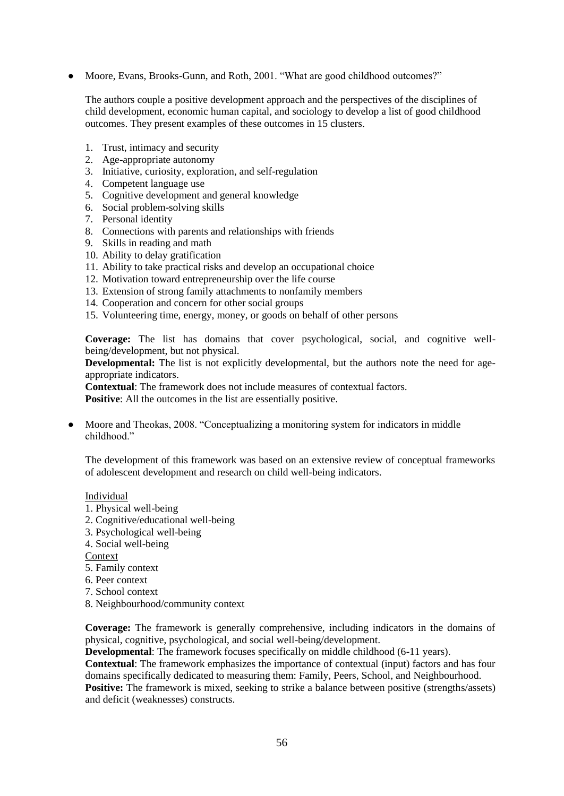Moore, Evans, Brooks-Gunn, and Roth, 2001. "What are good childhood outcomes?"

The authors couple a positive development approach and the perspectives of the disciplines of child development, economic human capital, and sociology to develop a list of good childhood outcomes. They present examples of these outcomes in  $15$  clusters.

- 1. Trust, intimacy and security
- 2. Age-appropriate autonomy
- 3. Initiative, curiosity, exploration, and self-regulation
- 4. Competent language use
- 5. Cognitive development and general knowledge
- 6. Social problem-solving skills
- 7. Personal identity
- 8. Connections with parents and relationships with friends
- 9. Skills in reading and math
- 10. Ability to delay gratification
- 11. Ability to take practical risks and develop an occupational choice
- 12. Motivation toward entrepreneurship over the life course
- 13. Extension of strong family attachments to nonfamily members
- 14. Cooperation and concern for other social groups
- 15. Volunteering time, energy, money, or goods on behalf of other persons

**Coverage:** The list has domains that cover psychological, social, and cognitive wellbeing/development, but not physical.

**Developmental:** The list is not explicitly developmental, but the authors note the need for ageappropriate indicators.

**Contextual**: The framework does not include measures of contextual factors.

**Positive:** All the outcomes in the list are essentially positive.

Moore and Theokas, 2008. "Conceptualizing a monitoring system for indicators in middle childhood."

The development of this framework was based on an extensive review of conceptual frameworks of adolescent development and research on child well-being indicators.

- Individual
- 1. Physical well-being
- 2. Cognitive/educational well-being
- 3. Psychological well-being
- 4. Social well-being

Context

- 5. Family context
- 6. Peer context
- 7. School context
- 8. Neighbourhood/community context

**Coverage:** The framework is generally comprehensive, including indicators in the domains of physical, cognitive, psychological, and social well-being/development.

**Developmental:** The framework focuses specifically on middle childhood (6-11 years).

**Contextual**: The framework emphasizes the importance of contextual (input) factors and has four domains specifically dedicated to measuring them: Family, Peers, School, and Neighbourhood.

Positive: The framework is mixed, seeking to strike a balance between positive (strengths/assets) and deficit (weaknesses) constructs.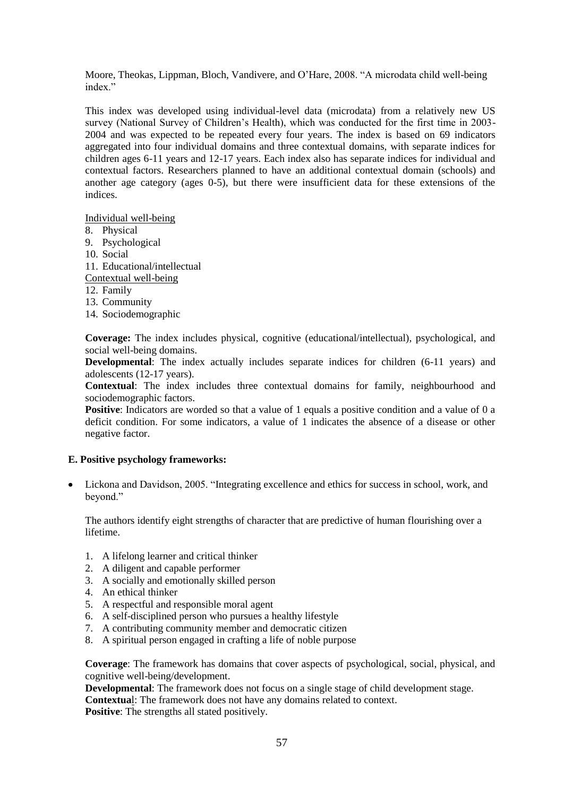Moore, Theokas, Lippman, Bloch, Vandivere, and O"Hare, 2008. "A microdata child well-being index"

This index was developed using individual-level data (microdata) from a relatively new US survey (National Survey of Children"s Health), which was conducted for the first time in 2003- 2004 and was expected to be repeated every four years. The index is based on 69 indicators aggregated into four individual domains and three contextual domains, with separate indices for children ages 6-11 years and 12-17 years. Each index also has separate indices for individual and contextual factors. Researchers planned to have an additional contextual domain (schools) and another age category (ages  $0-5$ ), but there were insufficient data for these extensions of the indices.

Individual well-being

- 8. Physical
- 9. Psychological
- 10. Social
- 11. Educational/intellectual
- Contextual well-being
- 12. Family
- 13. Community
- 14. Sociodemographic

**Coverage:** The index includes physical, cognitive (educational/intellectual), psychological, and social well-being domains.

**Developmental**: The index actually includes separate indices for children (6-11 years) and adolescents (12-17 years).

**Contextual**: The index includes three contextual domains for family, neighbourhood and sociodemographic factors.

**Positive**: Indicators are worded so that a value of 1 equals a positive condition and a value of 0 a deficit condition. For some indicators, a value of 1 indicates the absence of a disease or other negative factor.

## **E. Positive psychology frameworks:**

Lickona and Davidson, 2005. "Integrating excellence and ethics for success in school, work, and beyond."

The authors identify eight strengths of character that are predictive of human flourishing over a lifetime.

- 1. A lifelong learner and critical thinker
- 2. A diligent and capable performer
- 3. A socially and emotionally skilled person
- 4. An ethical thinker
- 5. A respectful and responsible moral agent
- 6. A self-disciplined person who pursues a healthy lifestyle
- 7. A contributing community member and democratic citizen
- 8. A spiritual person engaged in crafting a life of noble purpose

**Coverage**: The framework has domains that cover aspects of psychological, social, physical, and cognitive well-being/development.

**Developmental**: The framework does not focus on a single stage of child development stage. **Contextua**l: The framework does not have any domains related to context. **Positive:** The strengths all stated positively.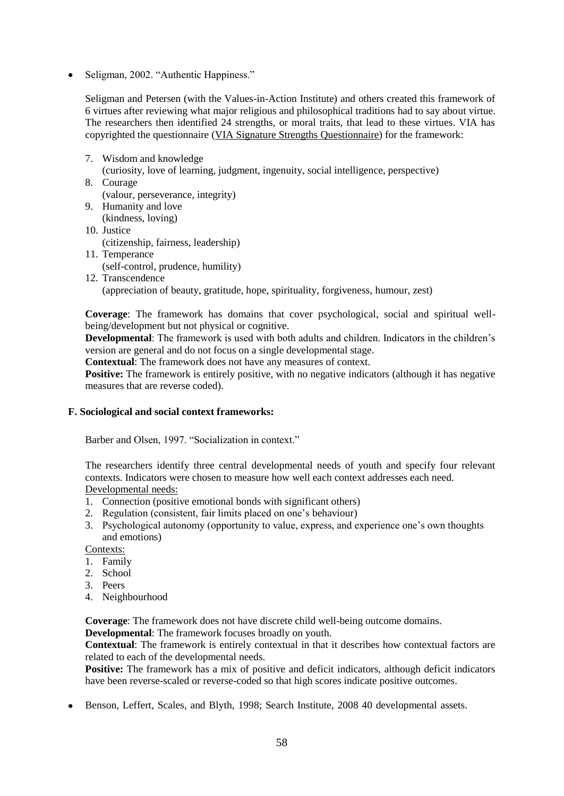$\bullet$  Seligman, 2002. "Authentic Happiness."

Seligman and Petersen (with the Values-in-Action Institute) and others created this framework of 6 virtues after reviewing what major religious and philosophical traditions had to say about virtue. The researchers then identified 24 strengths, or moral traits, that lead to these virtues. VIA has copyrighted the questionnaire [\(VIA Signature Strengths Questionnaire\)](http://www.authentichappiness.sas.upenn.edu/tests/SameAnswers_t.aspx?id=310) for the framework:

- 7. Wisdom and knowledge (curiosity, love of learning, judgment, ingenuity, social intelligence, perspective)
- 8. Courage (valour, perseverance, integrity) 9. Humanity and love
- (kindness, loving)
- 10. Justice (citizenship, fairness, leadership)
- 11. Temperance (self-control, prudence, humility)
- 12. Transcendence (appreciation of beauty, gratitude, hope, spirituality, forgiveness, humour, zest)

**Coverage**: The framework has domains that cover psychological, social and spiritual wellbeing/development but not physical or cognitive.

**Developmental**: The framework is used with both adults and children. Indicators in the children"s version are general and do not focus on a single developmental stage.

**Contextual**: The framework does not have any measures of context.

**Positive:** The framework is entirely positive, with no negative indicators (although it has negative measures that are reverse coded).

## **F. Sociological and social context frameworks:**

Barber and Olsen, 1997. "Socialization in context."

The researchers identify three central developmental needs of youth and specify four relevant contexts. Indicators were chosen to measure how well each context addresses each need. Developmental needs:

- 1. Connection (positive emotional bonds with significant others)
- 2. Regulation (consistent, fair limits placed on one"s behaviour)
- 3. Psychological autonomy (opportunity to value, express, and experience one"s own thoughts and emotions)

Contexts:

- 1. Family
- 2. School
- 3. Peers
- 4. Neighbourhood

**Coverage**: The framework does not have discrete child well-being outcome domains.

**Developmental**: The framework focuses broadly on youth.

**Contextual**: The framework is entirely contextual in that it describes how contextual factors are related to each of the developmental needs.

Positive: The framework has a mix of positive and deficit indicators, although deficit indicators have been reverse-scaled or reverse-coded so that high scores indicate positive outcomes.

• Benson, Leffert, Scales, and Blyth, 1998; Search Institute, 2008 40 developmental assets.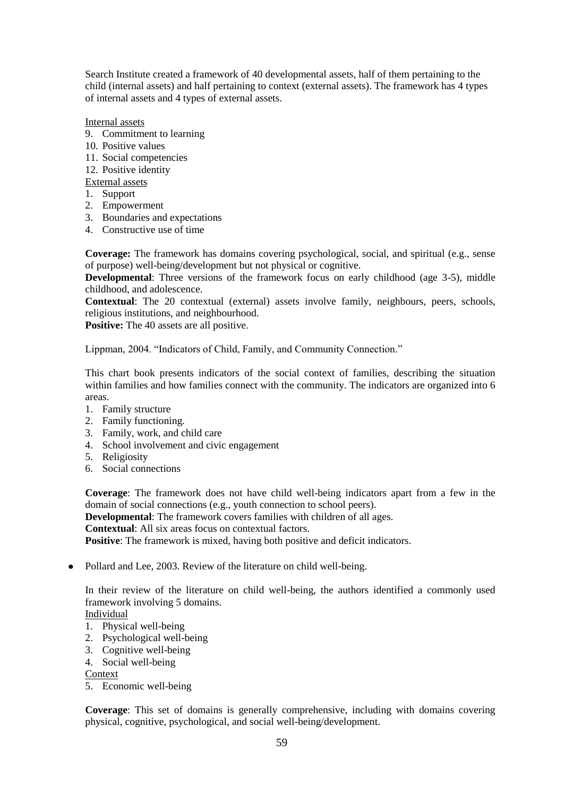Search Institute created a framework of 40 developmental assets, half of them pertaining to the child (internal assets) and half pertaining to context (external assets). The framework has 4 types of internal assets and 4 types of external assets.

Internal assets

- 9. Commitment to learning
- 10. Positive values
- 11. Social competencies
- 12. Positive identity
- External assets
- 1. Support
- 2. Empowerment
- 3. Boundaries and expectations
- 4. Constructive use of time

**Coverage:** The framework has domains covering psychological, social, and spiritual (e.g., sense of purpose) well-being/development but not physical or cognitive.

**Developmental**: Three versions of the framework focus on early childhood (age 3-5), middle childhood, and adolescence.

**Contextual**: The 20 contextual (external) assets involve family, neighbours, peers, schools, religious institutions, and neighbourhood.

**Positive:** The 40 assets are all positive.

Lippman, 2004. "Indicators of Child, Family, and Community Connection."

This chart book presents indicators of the social context of families, describing the situation within families and how families connect with the community. The indicators are organized into 6 areas.

- 1. Family structure
- 2. Family functioning.
- 3. Family, work, and child care
- 4. School involvement and civic engagement
- 5. Religiosity
- 6. Social connections

**Coverage**: The framework does not have child well-being indicators apart from a few in the domain of social connections (e.g., youth connection to school peers).

**Developmental**: The framework covers families with children of all ages.

**Contextual**: All six areas focus on contextual factors.

**Positive**: The framework is mixed, having both positive and deficit indicators.

• Pollard and Lee, 2003. Review of the literature on child well-being.

In their review of the literature on child well-being, the authors identified a commonly used framework involving 5 domains.

## Individual

- 1. Physical well-being
- 2. Psychological well-being
- 3. Cognitive well-being
- 4. Social well-being

5. Economic well-being

**Coverage**: This set of domains is generally comprehensive, including with domains covering physical, cognitive, psychological, and social well-being/development.

Context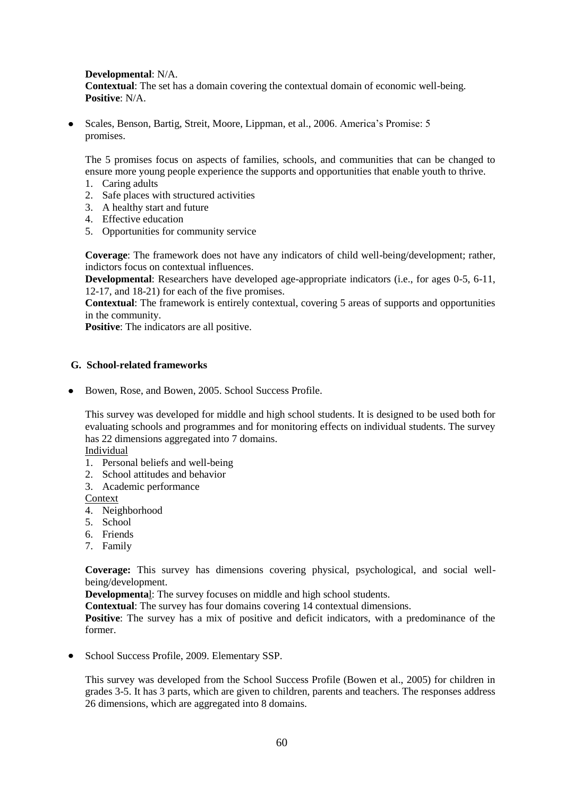**Developmental**: N/A. **Contextual**: The set has a domain covering the contextual domain of economic well-being. **Positive**: N/A.

Scales, Benson, Bartig, Streit, Moore, Lippman, et al., 2006. America"s Promise: 5 promises.

The 5 promises focus on aspects of families, schools, and communities that can be changed to ensure more young people experience the supports and opportunities that enable youth to thrive.

- 1. Caring adults
- 2. Safe places with structured activities
- 3. A healthy start and future
- 4. Effective education
- 5. Opportunities for community service

**Coverage**: The framework does not have any indicators of child well-being/development; rather, indictors focus on contextual influences.

**Developmental**: Researchers have developed age-appropriate indicators (i.e., for ages 0-5, 6-11, 12-17, and 18-21) for each of the five promises.

**Contextual**: The framework is entirely contextual, covering 5 areas of supports and opportunities in the community.

**Positive**: The indicators are all positive.

## **G. School-related frameworks**

• Bowen, Rose, and Bowen, 2005. School Success Profile.

This survey was developed for middle and high school students. It is designed to be used both for evaluating schools and programmes and for monitoring effects on individual students. The survey has 22 dimensions aggregated into 7 domains.

Individual

- 1. Personal beliefs and well-being
- 2. School attitudes and behavior
- 3. Academic performance
- **Context**
- 4. Neighborhood
- 5. School
- 6. Friends
- 7. Family

**Coverage:** This survey has dimensions covering physical, psychological, and social wellbeing/development.

**Developmenta**l: The survey focuses on middle and high school students.

**Contextual**: The survey has four domains covering 14 contextual dimensions.

**Positive**: The survey has a mix of positive and deficit indicators, with a predominance of the former.

• School Success Profile, 2009. Elementary SSP.

This survey was developed from the School Success Profile (Bowen et al., 2005) for children in grades 3-5. It has 3 parts, which are given to children, parents and teachers. The responses address 26 dimensions, which are aggregated into 8 domains.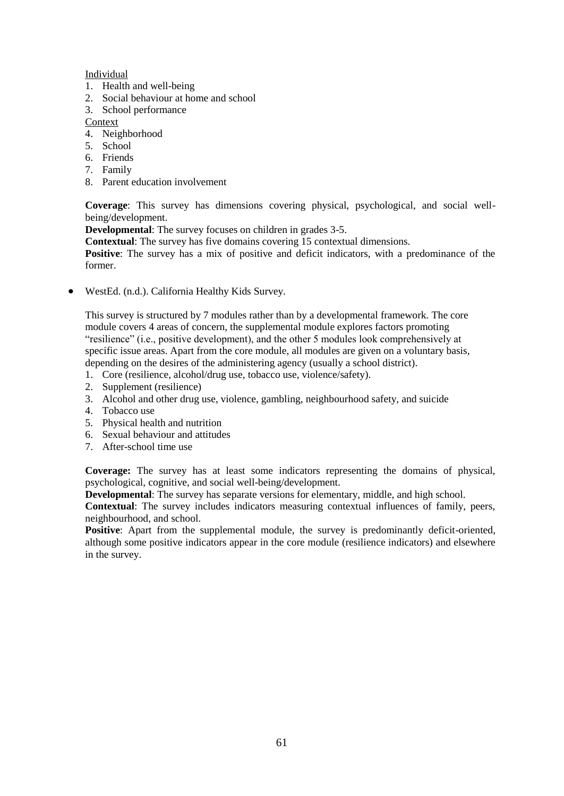## Individual

- 1. Health and well-being
- 2. Social behaviour at home and school
- 3. School performance

Context

- 4. Neighborhood
- 5. School
- 6. Friends
- 7. Family
- 8. Parent education involvement

**Coverage**: This survey has dimensions covering physical, psychological, and social wellbeing/development.

**Developmental**: The survey focuses on children in grades 3-5.

**Contextual**: The survey has five domains covering 15 contextual dimensions.

**Positive**: The survey has a mix of positive and deficit indicators, with a predominance of the former.

 $\bullet$  WestEd. (n.d.). California Healthy Kids Survey.

This survey is structured by 7 modules rather than by a developmental framework. The core module covers 4 areas of concern, the supplemental module explores factors promoting "resilience" (i.e., positive development), and the other 5 modules look comprehensively at specific issue areas. Apart from the core module, all modules are given on a voluntary basis, depending on the desires of the administering agency (usually a school district).

- 1. Core (resilience, alcohol/drug use, tobacco use, violence/safety).
- 2. Supplement (resilience)
- 3. Alcohol and other drug use, violence, gambling, neighbourhood safety, and suicide
- 4. Tobacco use
- 5. Physical health and nutrition
- 6. Sexual behaviour and attitudes
- 7. After-school time use

**Coverage:** The survey has at least some indicators representing the domains of physical, psychological, cognitive, and social well-being/development.

**Developmental**: The survey has separate versions for elementary, middle, and high school.

**Contextual**: The survey includes indicators measuring contextual influences of family, peers, neighbourhood, and school.

**Positive**: Apart from the supplemental module, the survey is predominantly deficit-oriented, although some positive indicators appear in the core module (resilience indicators) and elsewhere in the survey.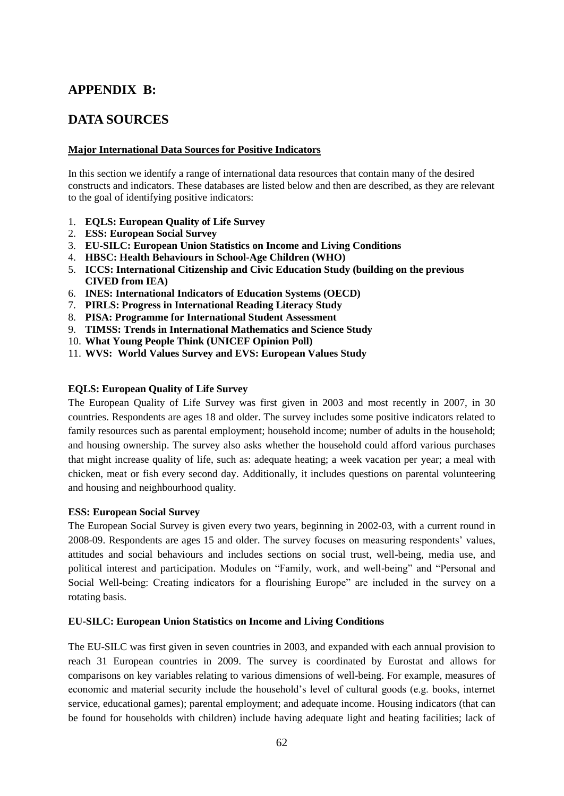# **APPENDIX B:**

## **DATA SOURCES**

## **Major International Data Sources for Positive Indicators**

In this section we identify a range of international data resources that contain many of the desired constructs and indicators. These databases are listed below and then are described, as they are relevant to the goal of identifying positive indicators:

- 1. **EQLS: European Quality of Life Survey**
- 2. **ESS: European Social Survey**
- 3. **EU-SILC: European Union Statistics on Income and Living Conditions**
- 4. **HBSC: Health Behaviours in School-Age Children (WHO)**
- 5. **ICCS: International Citizenship and Civic Education Study (building on the previous CIVED from IEA)**
- 6. **INES: International Indicators of Education Systems (OECD)**
- 7. **PIRLS: Progress in International Reading Literacy Study**
- 8. **PISA: Programme for International Student Assessment**
- 9. **TIMSS: Trends in International Mathematics and Science Study**
- 10. **What Young People Think (UNICEF Opinion Poll)**
- 11. **WVS: World Values Survey and EVS: European Values Study**

## **EQLS: European Quality of Life Survey**

The European Quality of Life Survey was first given in 2003 and most recently in 2007, in 30 countries. Respondents are ages 18 and older. The survey includes some positive indicators related to family resources such as parental employment; household income; number of adults in the household; and housing ownership. The survey also asks whether the household could afford various purchases that might increase quality of life, such as: adequate heating; a week vacation per year; a meal with chicken, meat or fish every second day. Additionally, it includes questions on parental volunteering and housing and neighbourhood quality.

## **ESS: European Social Survey**

The European Social Survey is given every two years, beginning in 2002-03, with a current round in 2008-09. Respondents are ages 15 and older. The survey focuses on measuring respondents' values, attitudes and social behaviours and includes sections on social trust, well-being, media use, and political interest and participation. Modules on "Family, work, and well-being" and "Personal and Social Well-being: Creating indicators for a flourishing Europe" are included in the survey on a rotating basis.

## **EU-SILC: European Union Statistics on Income and Living Conditions**

The EU-SILC was first given in seven countries in 2003, and expanded with each annual provision to reach 31 European countries in 2009. The survey is coordinated by Eurostat and allows for comparisons on key variables relating to various dimensions of well-being. For example, measures of economic and material security include the household"s level of cultural goods (e.g. books, internet service, educational games); parental employment; and adequate income. Housing indicators (that can be found for households with children) include having adequate light and heating facilities; lack of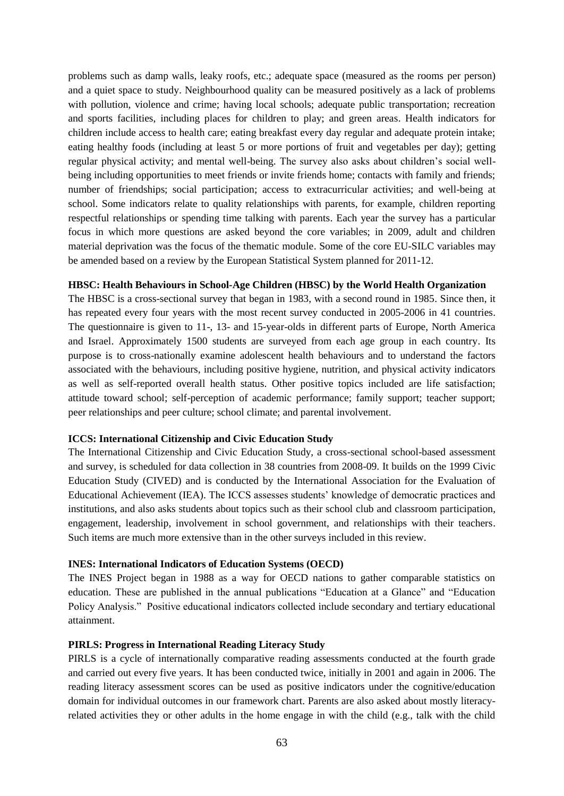problems such as damp walls, leaky roofs, etc.; adequate space (measured as the rooms per person) and a quiet space to study. Neighbourhood quality can be measured positively as a lack of problems with pollution, violence and crime; having local schools; adequate public transportation; recreation and sports facilities, including places for children to play; and green areas. Health indicators for children include access to health care; eating breakfast every day regular and adequate protein intake; eating healthy foods (including at least 5 or more portions of fruit and vegetables per day); getting regular physical activity; and mental well-being. The survey also asks about children"s social wellbeing including opportunities to meet friends or invite friends home; contacts with family and friends; number of friendships; social participation; access to extracurricular activities; and well-being at school. Some indicators relate to quality relationships with parents, for example, children reporting respectful relationships or spending time talking with parents. Each year the survey has a particular focus in which more questions are asked beyond the core variables; in 2009, adult and children material deprivation was the focus of the thematic module. Some of the core EU-SILC variables may be amended based on a review by the European Statistical System planned for 2011-12.

## **HBSC: Health Behaviours in School-Age Children (HBSC) by the World Health Organization**

The HBSC is a cross-sectional survey that began in 1983, with a second round in 1985. Since then, it has repeated every four years with the most recent survey conducted in 2005-2006 in 41 countries. The questionnaire is given to 11-, 13- and 15-year-olds in different parts of Europe, North America and Israel. Approximately 1500 students are surveyed from each age group in each country. Its purpose is to cross-nationally examine adolescent health behaviours and to understand the factors associated with the behaviours, including positive hygiene, nutrition, and physical activity indicators as well as self-reported overall health status. Other positive topics included are life satisfaction; attitude toward school; self-perception of academic performance; family support; teacher support; peer relationships and peer culture; school climate; and parental involvement.

#### **ICCS: International Citizenship and Civic Education Study**

The International Citizenship and Civic Education Study, a cross-sectional school-based assessment and survey, is scheduled for data collection in 38 countries from 2008-09. It builds on the 1999 Civic Education Study (CIVED) and is conducted by the International Association for the Evaluation of Educational Achievement (IEA). The ICCS assesses students" knowledge of democratic practices and institutions, and also asks students about topics such as their school club and classroom participation, engagement, leadership, involvement in school government, and relationships with their teachers. Such items are much more extensive than in the other surveys included in this review.

#### **INES: International Indicators of Education Systems (OECD)**

The INES Project began in 1988 as a way for OECD nations to gather comparable statistics on education. These are published in the annual publications "Education at a Glance" and "Education Policy Analysis." Positive educational indicators collected include secondary and tertiary educational attainment.

#### **PIRLS: Progress in International Reading Literacy Study**

PIRLS is a cycle of internationally comparative reading assessments conducted at the fourth grade and carried out every five years. It has been conducted twice, initially in 2001 and again in 2006. The reading literacy assessment scores can be used as positive indicators under the cognitive/education domain for individual outcomes in our framework chart. Parents are also asked about mostly literacyrelated activities they or other adults in the home engage in with the child (e.g., talk with the child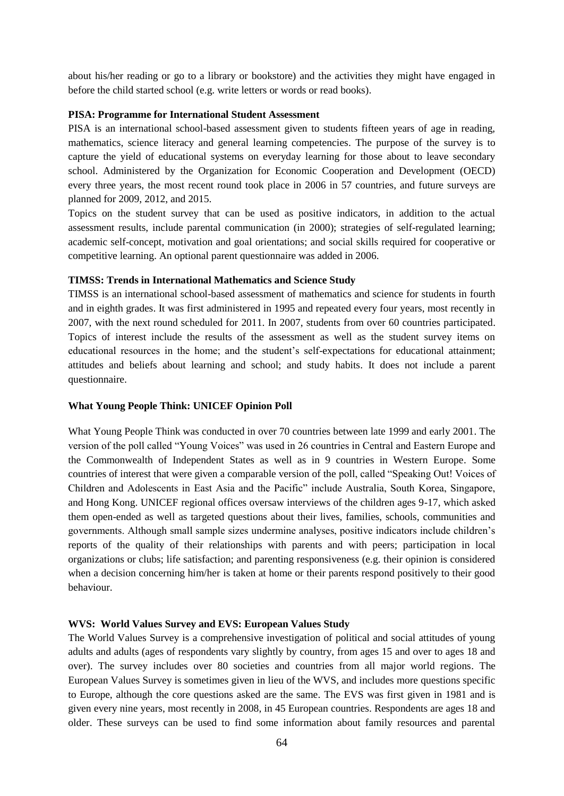about his/her reading or go to a library or bookstore) and the activities they might have engaged in before the child started school (e.g. write letters or words or read books).

#### **PISA: Programme for International Student Assessment**

PISA is an international school-based assessment given to students fifteen years of age in reading, mathematics, science literacy and general learning competencies. The purpose of the survey is to capture the yield of educational systems on everyday learning for those about to leave secondary school. Administered by the Organization for Economic Cooperation and Development (OECD) every three years, the most recent round took place in 2006 in 57 countries, and future surveys are planned for 2009, 2012, and 2015.

Topics on the student survey that can be used as positive indicators, in addition to the actual assessment results, include parental communication (in 2000); strategies of self-regulated learning; academic self-concept, motivation and goal orientations; and social skills required for cooperative or competitive learning. An optional parent questionnaire was added in 2006.

## **TIMSS: Trends in International Mathematics and Science Study**

TIMSS is an international school-based assessment of mathematics and science for students in fourth and in eighth grades. It was first administered in 1995 and repeated every four years, most recently in 2007, with the next round scheduled for 2011. In 2007, students from over 60 countries participated. Topics of interest include the results of the assessment as well as the student survey items on educational resources in the home; and the student"s self-expectations for educational attainment; attitudes and beliefs about learning and school; and study habits. It does not include a parent questionnaire.

## **What Young People Think: UNICEF Opinion Poll**

What Young People Think was conducted in over 70 countries between late 1999 and early 2001. The version of the poll called "Young Voices" was used in 26 countries in Central and Eastern Europe and the Commonwealth of Independent States as well as in 9 countries in Western Europe. Some countries of interest that were given a comparable version of the poll, called "Speaking Out! Voices of Children and Adolescents in East Asia and the Pacific" include Australia, South Korea, Singapore, and Hong Kong. UNICEF regional offices oversaw interviews of the children ages 9-17, which asked them open-ended as well as targeted questions about their lives, families, schools, communities and governments. Although small sample sizes undermine analyses, positive indicators include children"s reports of the quality of their relationships with parents and with peers; participation in local organizations or clubs; life satisfaction; and parenting responsiveness (e.g. their opinion is considered when a decision concerning him/her is taken at home or their parents respond positively to their good behaviour.

## **WVS: World Values Survey and EVS: European Values Study**

The World Values Survey is a comprehensive investigation of political and social attitudes of young adults and adults (ages of respondents vary slightly by country, from ages 15 and over to ages 18 and over). The survey includes over 80 societies and countries from all major world regions. The European Values Survey is sometimes given in lieu of the WVS, and includes more questions specific to Europe, although the core questions asked are the same. The EVS was first given in 1981 and is given every nine years, most recently in 2008, in 45 European countries. Respondents are ages 18 and older. These surveys can be used to find some information about family resources and parental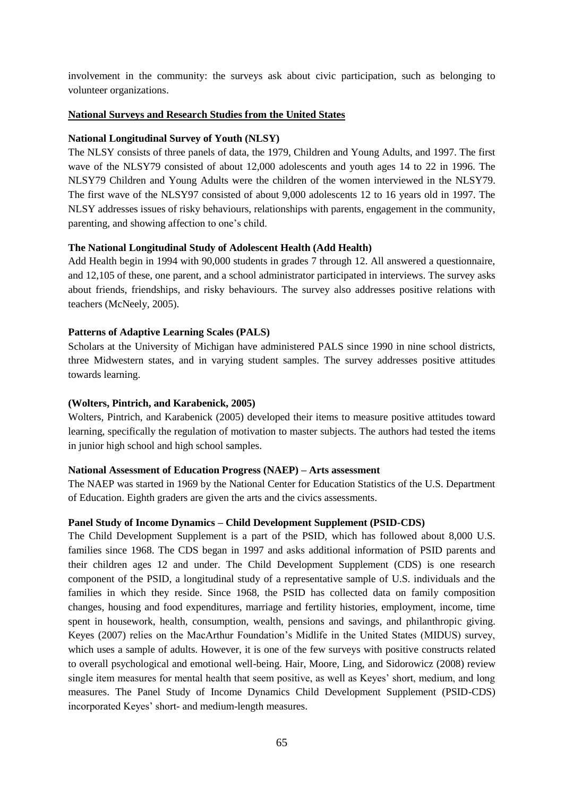involvement in the community: the surveys ask about civic participation, such as belonging to volunteer organizations.

## **National Surveys and Research Studies from the United States**

## **National Longitudinal Survey of Youth (NLSY)**

The NLSY consists of three panels of data, the 1979, Children and Young Adults, and 1997. The first wave of the NLSY79 consisted of about 12,000 adolescents and youth ages 14 to 22 in 1996. The NLSY79 Children and Young Adults were the children of the women interviewed in the NLSY79. The first wave of the NLSY97 consisted of about 9,000 adolescents 12 to 16 years old in 1997. The NLSY addresses issues of risky behaviours, relationships with parents, engagement in the community, parenting, and showing affection to one"s child.

## **The National Longitudinal Study of Adolescent Health (Add Health)**

Add Health begin in 1994 with 90,000 students in grades 7 through 12. All answered a questionnaire, and 12,105 of these, one parent, and a school administrator participated in interviews. The survey asks about friends, friendships, and risky behaviours. The survey also addresses positive relations with teachers (McNeely, 2005).

## **Patterns of Adaptive Learning Scales (PALS)**

Scholars at the University of Michigan have administered PALS since 1990 in nine school districts, three Midwestern states, and in varying student samples. The survey addresses positive attitudes towards learning.

## **(Wolters, Pintrich, and Karabenick, 2005)**

Wolters, Pintrich, and Karabenick (2005) developed their items to measure positive attitudes toward learning, specifically the regulation of motivation to master subjects. The authors had tested the items in junior high school and high school samples.

## **National Assessment of Education Progress (NAEP) – Arts assessment**

The NAEP was started in 1969 by the National Center for Education Statistics of the U.S. Department of Education. Eighth graders are given the arts and the civics assessments.

## **Panel Study of Income Dynamics – Child Development Supplement (PSID-CDS)**

The Child Development Supplement is a part of the PSID, which has followed about 8,000 U.S. families since 1968. The CDS began in 1997 and asks additional information of PSID parents and their children ages 12 and under. The Child Development Supplement (CDS) is one research component of the PSID, a longitudinal study of a representative sample of U.S. individuals and the families in which they reside. Since 1968, the PSID has collected data on family composition changes, housing and food expenditures, marriage and fertility histories, employment, income, time spent in housework, health, consumption, wealth, pensions and savings, and philanthropic giving. Keyes (2007) relies on the MacArthur Foundation's Midlife in the United States (MIDUS) survey, which uses a sample of adults. However, it is one of the few surveys with positive constructs related to overall psychological and emotional well-being. Hair, Moore, Ling, and Sidorowicz (2008) review single item measures for mental health that seem positive, as well as Keyes' short, medium, and long measures. The Panel Study of Income Dynamics Child Development Supplement (PSID-CDS) incorporated Keyes' short- and medium-length measures.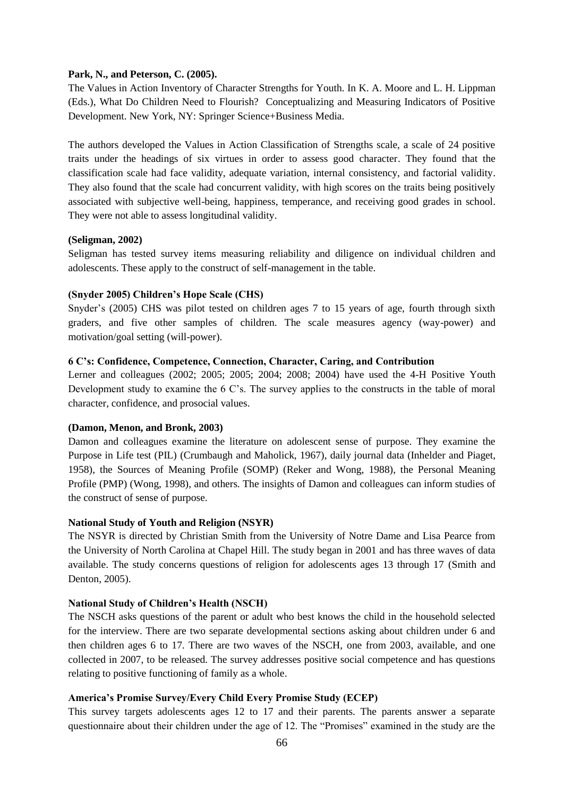#### **Park, N., and Peterson, C. (2005).**

The Values in Action Inventory of Character Strengths for Youth. In K. A. Moore and L. H. Lippman (Eds.), What Do Children Need to Flourish? Conceptualizing and Measuring Indicators of Positive Development. New York, NY: Springer Science+Business Media.

The authors developed the Values in Action Classification of Strengths scale, a scale of 24 positive traits under the headings of six virtues in order to assess good character. They found that the classification scale had face validity, adequate variation, internal consistency, and factorial validity. They also found that the scale had concurrent validity, with high scores on the traits being positively associated with subjective well-being, happiness, temperance, and receiving good grades in school. They were not able to assess longitudinal validity.

## **(Seligman, 2002)**

Seligman has tested survey items measuring reliability and diligence on individual children and adolescents. These apply to the construct of self-management in the table.

## **(Snyder 2005) Children's Hope Scale (CHS)**

Snyder"s (2005) CHS was pilot tested on children ages 7 to 15 years of age, fourth through sixth graders, and five other samples of children. The scale measures agency (way-power) and motivation/goal setting (will-power).

#### **6 C's: Confidence, Competence, Connection, Character, Caring, and Contribution**

Lerner and colleagues (2002; 2005; 2005; 2004; 2008; 2004) have used the 4-H Positive Youth Development study to examine the 6 C's. The survey applies to the constructs in the table of moral character, confidence, and prosocial values.

## **(Damon, Menon, and Bronk, 2003)**

Damon and colleagues examine the literature on adolescent sense of purpose. They examine the Purpose in Life test (PIL) (Crumbaugh and Maholick, 1967), daily journal data (Inhelder and Piaget, 1958), the Sources of Meaning Profile (SOMP) (Reker and Wong, 1988), the Personal Meaning Profile (PMP) (Wong, 1998), and others. The insights of Damon and colleagues can inform studies of the construct of sense of purpose.

## **National Study of Youth and Religion (NSYR)**

The NSYR is directed by Christian Smith from the University of Notre Dame and Lisa Pearce from the University of North Carolina at Chapel Hill. The study began in 2001 and has three waves of data available. The study concerns questions of religion for adolescents ages 13 through 17 (Smith and Denton, 2005).

#### **National Study of Children's Health (NSCH)**

The NSCH asks questions of the parent or adult who best knows the child in the household selected for the interview. There are two separate developmental sections asking about children under 6 and then children ages 6 to 17. There are two waves of the NSCH, one from 2003, available, and one collected in 2007, to be released. The survey addresses positive social competence and has questions relating to positive functioning of family as a whole.

## **America's Promise Survey/Every Child Every Promise Study (ECEP)**

This survey targets adolescents ages 12 to 17 and their parents. The parents answer a separate questionnaire about their children under the age of 12. The "Promises" examined in the study are the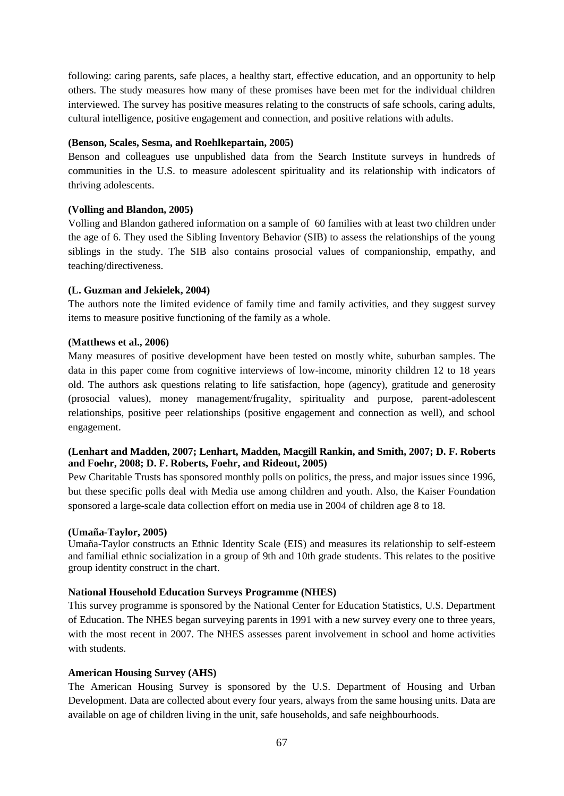following: caring parents, safe places, a healthy start, effective education, and an opportunity to help others. The study measures how many of these promises have been met for the individual children interviewed. The survey has positive measures relating to the constructs of safe schools, caring adults, cultural intelligence, positive engagement and connection, and positive relations with adults.

#### **(Benson, Scales, Sesma, and Roehlkepartain, 2005)**

Benson and colleagues use unpublished data from the Search Institute surveys in hundreds of communities in the U.S. to measure adolescent spirituality and its relationship with indicators of thriving adolescents.

#### **(Volling and Blandon, 2005)**

Volling and Blandon gathered information on a sample of 60 families with at least two children under the age of 6. They used the Sibling Inventory Behavior (SIB) to assess the relationships of the young siblings in the study. The SIB also contains prosocial values of companionship, empathy, and teaching/directiveness.

#### **(L. Guzman and Jekielek, 2004)**

The authors note the limited evidence of family time and family activities, and they suggest survey items to measure positive functioning of the family as a whole.

#### **(Matthews et al., 2006)**

Many measures of positive development have been tested on mostly white, suburban samples. The data in this paper come from cognitive interviews of low-income, minority children 12 to 18 years old. The authors ask questions relating to life satisfaction, hope (agency), gratitude and generosity (prosocial values), money management/frugality, spirituality and purpose, parent-adolescent relationships, positive peer relationships (positive engagement and connection as well), and school engagement.

## **(Lenhart and Madden, 2007; Lenhart, Madden, Macgill Rankin, and Smith, 2007; D. F. Roberts and Foehr, 2008; D. F. Roberts, Foehr, and Rideout, 2005)**

Pew Charitable Trusts has sponsored monthly polls on politics, the press, and major issues since 1996, but these specific polls deal with Media use among children and youth. Also, the Kaiser Foundation sponsored a large-scale data collection effort on media use in 2004 of children age 8 to 18.

#### **(Umaña-Taylor, 2005)**

Umaña-Taylor constructs an Ethnic Identity Scale (EIS) and measures its relationship to self-esteem and familial ethnic socialization in a group of 9th and 10th grade students. This relates to the positive group identity construct in the chart.

### **National Household Education Surveys Programme (NHES)**

This survey programme is sponsored by the National Center for Education Statistics, U.S. Department of Education. The NHES began surveying parents in 1991 with a new survey every one to three years, with the most recent in 2007. The NHES assesses parent involvement in school and home activities with students

### **American Housing Survey (AHS)**

The American Housing Survey is sponsored by the U.S. Department of Housing and Urban Development. Data are collected about every four years, always from the same housing units. Data are available on age of children living in the unit, safe households, and safe neighbourhoods.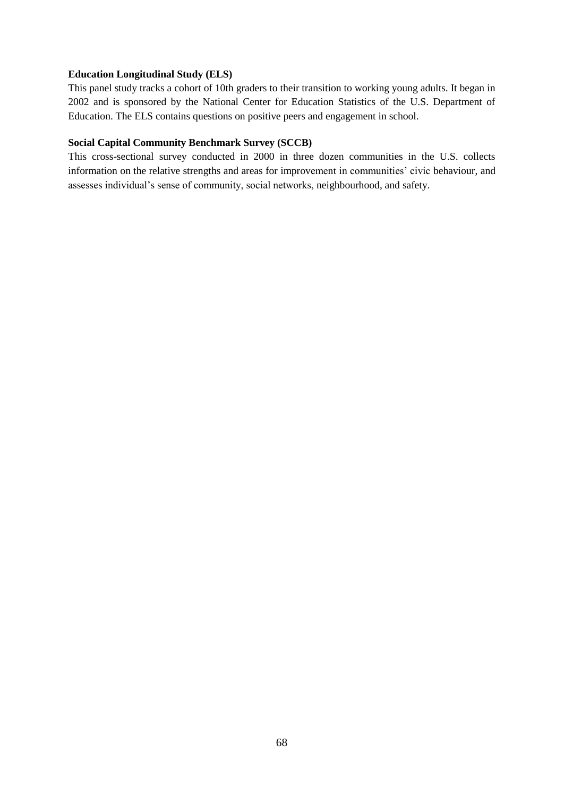### **Education Longitudinal Study (ELS)**

This panel study tracks a cohort of 10th graders to their transition to working young adults. It began in 2002 and is sponsored by the National Center for Education Statistics of the U.S. Department of Education. The ELS contains questions on positive peers and engagement in school.

## **Social Capital Community Benchmark Survey (SCCB)**

This cross-sectional survey conducted in 2000 in three dozen communities in the U.S. collects information on the relative strengths and areas for improvement in communities' civic behaviour, and assesses individual"s sense of community, social networks, neighbourhood, and safety.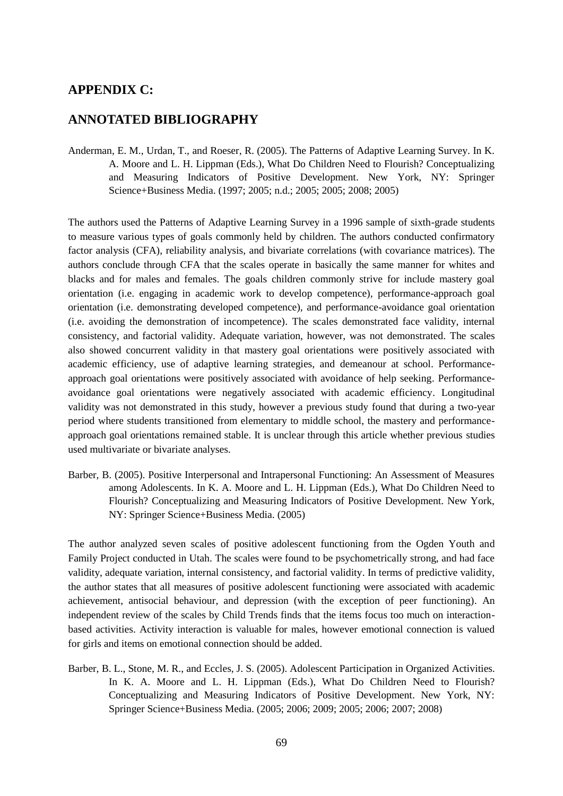# **APPENDIX C:**

# **ANNOTATED BIBLIOGRAPHY**

Anderman, E. M., Urdan, T., and Roeser, R. (2005). The Patterns of Adaptive Learning Survey. In K. A. Moore and L. H. Lippman (Eds.), What Do Children Need to Flourish? Conceptualizing and Measuring Indicators of Positive Development. New York, NY: Springer Science+Business Media. (1997; 2005; n.d.; 2005; 2005; 2008; 2005)

The authors used the Patterns of Adaptive Learning Survey in a 1996 sample of sixth-grade students to measure various types of goals commonly held by children. The authors conducted confirmatory factor analysis (CFA), reliability analysis, and bivariate correlations (with covariance matrices). The authors conclude through CFA that the scales operate in basically the same manner for whites and blacks and for males and females. The goals children commonly strive for include mastery goal orientation (i.e. engaging in academic work to develop competence), performance-approach goal orientation (i.e. demonstrating developed competence), and performance-avoidance goal orientation (i.e. avoiding the demonstration of incompetence). The scales demonstrated face validity, internal consistency, and factorial validity. Adequate variation, however, was not demonstrated. The scales also showed concurrent validity in that mastery goal orientations were positively associated with academic efficiency, use of adaptive learning strategies, and demeanour at school. Performanceapproach goal orientations were positively associated with avoidance of help seeking. Performanceavoidance goal orientations were negatively associated with academic efficiency. Longitudinal validity was not demonstrated in this study, however a previous study found that during a two-year period where students transitioned from elementary to middle school, the mastery and performanceapproach goal orientations remained stable. It is unclear through this article whether previous studies used multivariate or bivariate analyses.

Barber, B. (2005). Positive Interpersonal and Intrapersonal Functioning: An Assessment of Measures among Adolescents. In K. A. Moore and L. H. Lippman (Eds.), What Do Children Need to Flourish? Conceptualizing and Measuring Indicators of Positive Development. New York, NY: Springer Science+Business Media. (2005)

The author analyzed seven scales of positive adolescent functioning from the Ogden Youth and Family Project conducted in Utah. The scales were found to be psychometrically strong, and had face validity, adequate variation, internal consistency, and factorial validity. In terms of predictive validity, the author states that all measures of positive adolescent functioning were associated with academic achievement, antisocial behaviour, and depression (with the exception of peer functioning). An independent review of the scales by Child Trends finds that the items focus too much on interactionbased activities. Activity interaction is valuable for males, however emotional connection is valued for girls and items on emotional connection should be added.

Barber, B. L., Stone, M. R., and Eccles, J. S. (2005). Adolescent Participation in Organized Activities. In K. A. Moore and L. H. Lippman (Eds.), What Do Children Need to Flourish? Conceptualizing and Measuring Indicators of Positive Development. New York, NY: Springer Science+Business Media. (2005; 2006; 2009; 2005; 2006; 2007; 2008)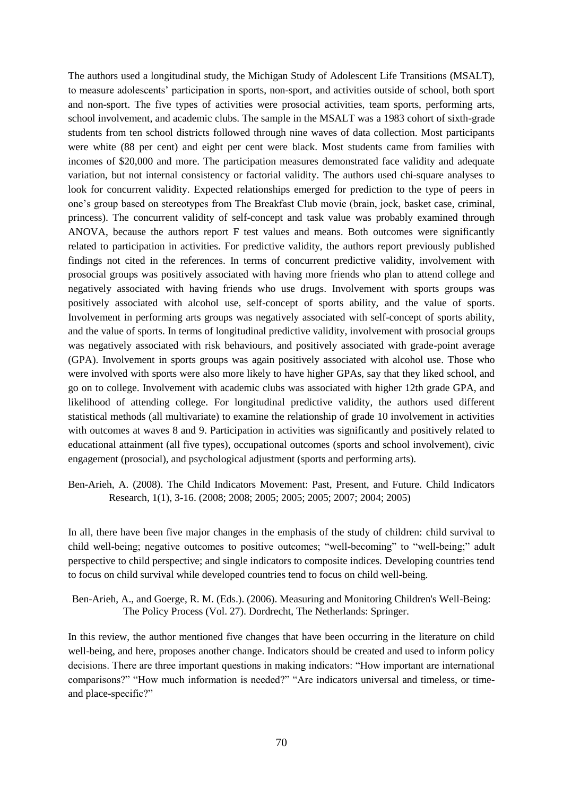The authors used a longitudinal study, the Michigan Study of Adolescent Life Transitions (MSALT), to measure adolescents" participation in sports, non-sport, and activities outside of school, both sport and non-sport. The five types of activities were prosocial activities, team sports, performing arts, school involvement, and academic clubs. The sample in the MSALT was a 1983 cohort of sixth-grade students from ten school districts followed through nine waves of data collection. Most participants were white (88 per cent) and eight per cent were black. Most students came from families with incomes of \$20,000 and more. The participation measures demonstrated face validity and adequate variation, but not internal consistency or factorial validity. The authors used chi-square analyses to look for concurrent validity. Expected relationships emerged for prediction to the type of peers in one"s group based on stereotypes from The Breakfast Club movie (brain, jock, basket case, criminal, princess). The concurrent validity of self-concept and task value was probably examined through ANOVA, because the authors report F test values and means. Both outcomes were significantly related to participation in activities. For predictive validity, the authors report previously published findings not cited in the references. In terms of concurrent predictive validity, involvement with prosocial groups was positively associated with having more friends who plan to attend college and negatively associated with having friends who use drugs. Involvement with sports groups was positively associated with alcohol use, self-concept of sports ability, and the value of sports. Involvement in performing arts groups was negatively associated with self-concept of sports ability, and the value of sports. In terms of longitudinal predictive validity, involvement with prosocial groups was negatively associated with risk behaviours, and positively associated with grade-point average (GPA). Involvement in sports groups was again positively associated with alcohol use. Those who were involved with sports were also more likely to have higher GPAs, say that they liked school, and go on to college. Involvement with academic clubs was associated with higher 12th grade GPA, and likelihood of attending college. For longitudinal predictive validity, the authors used different statistical methods (all multivariate) to examine the relationship of grade 10 involvement in activities with outcomes at waves 8 and 9. Participation in activities was significantly and positively related to educational attainment (all five types), occupational outcomes (sports and school involvement), civic engagement (prosocial), and psychological adjustment (sports and performing arts).

Ben-Arieh, A. (2008). The Child Indicators Movement: Past, Present, and Future. Child Indicators Research, 1(1), 3-16. (2008; 2008; 2005; 2005; 2005; 2007; 2004; 2005)

In all, there have been five major changes in the emphasis of the study of children: child survival to child well-being; negative outcomes to positive outcomes; "well-becoming" to "well-being;" adult perspective to child perspective; and single indicators to composite indices. Developing countries tend to focus on child survival while developed countries tend to focus on child well-being.

Ben-Arieh, A., and Goerge, R. M. (Eds.). (2006). Measuring and Monitoring Children's Well-Being: The Policy Process (Vol. 27). Dordrecht, The Netherlands: Springer.

In this review, the author mentioned five changes that have been occurring in the literature on child well-being, and here, proposes another change. Indicators should be created and used to inform policy decisions. There are three important questions in making indicators: "How important are international comparisons?" "How much information is needed?" "Are indicators universal and timeless, or timeand place-specific?"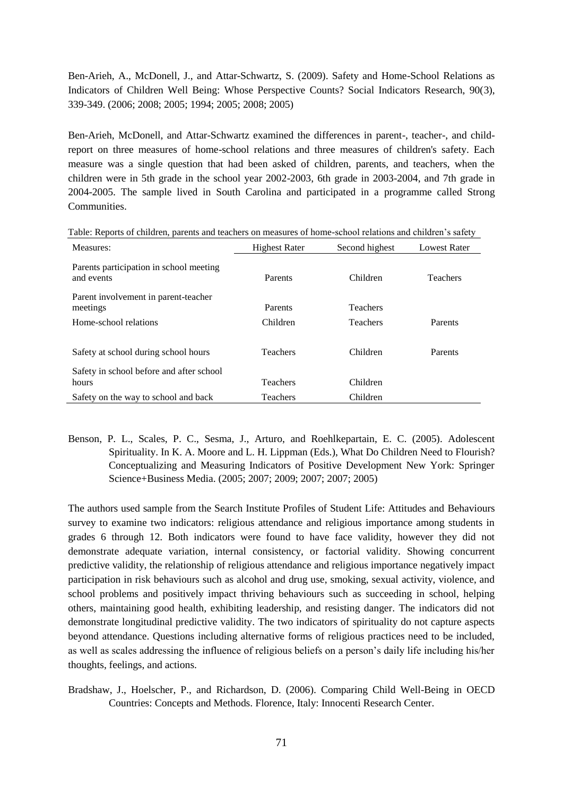Ben-Arieh, A., McDonell, J., and Attar-Schwartz, S. (2009). Safety and Home-School Relations as Indicators of Children Well Being: Whose Perspective Counts? Social Indicators Research, 90(3), 339-349. (2006; 2008; 2005; 1994; 2005; 2008; 2005)

Ben-Arieh, McDonell, and Attar-Schwartz examined the differences in parent-, teacher-, and childreport on three measures of home-school relations and three measures of children's safety. Each measure was a single question that had been asked of children, parents, and teachers, when the children were in 5th grade in the school year 2002-2003, 6th grade in 2003-2004, and 7th grade in 2004-2005. The sample lived in South Carolina and participated in a programme called Strong Communities.

| Measures:                                             | <b>Highest Rater</b> | Second highest  | <b>Lowest Rater</b> |
|-------------------------------------------------------|----------------------|-----------------|---------------------|
| Parents participation in school meeting<br>and events | Parents              | Children        | <b>Teachers</b>     |
| Parent involvement in parent-teacher<br>meetings      | Parents              | <b>Teachers</b> |                     |
| Home-school relations                                 | Children             | <b>Teachers</b> | Parents             |
|                                                       |                      |                 |                     |
| Safety at school during school hours                  | <b>Teachers</b>      | Children        | Parents             |
| Safety in school before and after school<br>hours     | <b>Teachers</b>      | Children        |                     |
| Safety on the way to school and back                  | Teachers             | Children        |                     |

Table: Reports of children, parents and teachers on measures of home-school relations and children"s safety

Benson, P. L., Scales, P. C., Sesma, J., Arturo, and Roehlkepartain, E. C. (2005). Adolescent Spirituality. In K. A. Moore and L. H. Lippman (Eds.), What Do Children Need to Flourish? Conceptualizing and Measuring Indicators of Positive Development New York: Springer Science+Business Media. (2005; 2007; 2009; 2007; 2007; 2005)

The authors used sample from the Search Institute Profiles of Student Life: Attitudes and Behaviours survey to examine two indicators: religious attendance and religious importance among students in grades 6 through 12. Both indicators were found to have face validity, however they did not demonstrate adequate variation, internal consistency, or factorial validity. Showing concurrent predictive validity, the relationship of religious attendance and religious importance negatively impact participation in risk behaviours such as alcohol and drug use, smoking, sexual activity, violence, and school problems and positively impact thriving behaviours such as succeeding in school, helping others, maintaining good health, exhibiting leadership, and resisting danger. The indicators did not demonstrate longitudinal predictive validity. The two indicators of spirituality do not capture aspects beyond attendance. Questions including alternative forms of religious practices need to be included, as well as scales addressing the influence of religious beliefs on a person's daily life including his/her thoughts, feelings, and actions.

Bradshaw, J., Hoelscher, P., and Richardson, D. (2006). Comparing Child Well-Being in OECD Countries: Concepts and Methods. Florence, Italy: Innocenti Research Center.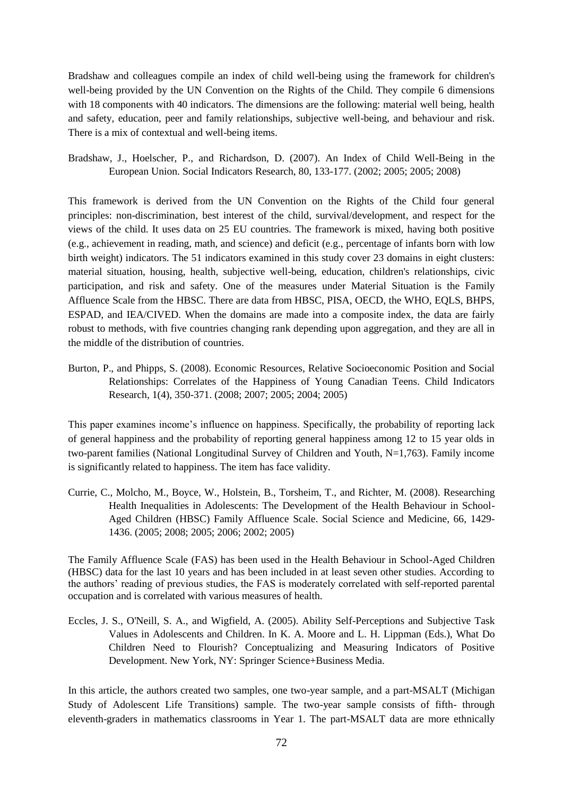Bradshaw and colleagues compile an index of child well-being using the framework for children's well-being provided by the UN Convention on the Rights of the Child. They compile 6 dimensions with 18 components with 40 indicators. The dimensions are the following: material well being, health and safety, education, peer and family relationships, subjective well-being, and behaviour and risk. There is a mix of contextual and well-being items.

Bradshaw, J., Hoelscher, P., and Richardson, D. (2007). An Index of Child Well-Being in the European Union. Social Indicators Research, 80, 133-177. (2002; 2005; 2005; 2008)

This framework is derived from the UN Convention on the Rights of the Child four general principles: non-discrimination, best interest of the child, survival/development, and respect for the views of the child. It uses data on 25 EU countries. The framework is mixed, having both positive (e.g., achievement in reading, math, and science) and deficit (e.g., percentage of infants born with low birth weight) indicators. The 51 indicators examined in this study cover 23 domains in eight clusters: material situation, housing, health, subjective well-being, education, children's relationships, civic participation, and risk and safety. One of the measures under Material Situation is the Family Affluence Scale from the HBSC. There are data from HBSC, PISA, OECD, the WHO, EQLS, BHPS, ESPAD, and IEA/CIVED. When the domains are made into a composite index, the data are fairly robust to methods, with five countries changing rank depending upon aggregation, and they are all in the middle of the distribution of countries.

Burton, P., and Phipps, S. (2008). Economic Resources, Relative Socioeconomic Position and Social Relationships: Correlates of the Happiness of Young Canadian Teens. Child Indicators Research, 1(4), 350-371. (2008; 2007; 2005; 2004; 2005)

This paper examines income"s influence on happiness. Specifically, the probability of reporting lack of general happiness and the probability of reporting general happiness among 12 to 15 year olds in two-parent families (National Longitudinal Survey of Children and Youth, N=1,763). Family income is significantly related to happiness. The item has face validity.

Currie, C., Molcho, M., Boyce, W., Holstein, B., Torsheim, T., and Richter, M. (2008). Researching Health Inequalities in Adolescents: The Development of the Health Behaviour in School-Aged Children (HBSC) Family Affluence Scale. Social Science and Medicine, 66, 1429- 1436. (2005; 2008; 2005; 2006; 2002; 2005)

The Family Affluence Scale (FAS) has been used in the Health Behaviour in School-Aged Children (HBSC) data for the last 10 years and has been included in at least seven other studies. According to the authors" reading of previous studies, the FAS is moderately correlated with self-reported parental occupation and is correlated with various measures of health.

Eccles, J. S., O'Neill, S. A., and Wigfield, A. (2005). Ability Self-Perceptions and Subjective Task Values in Adolescents and Children. In K. A. Moore and L. H. Lippman (Eds.), What Do Children Need to Flourish? Conceptualizing and Measuring Indicators of Positive Development. New York, NY: Springer Science+Business Media.

In this article, the authors created two samples, one two-year sample, and a part-MSALT (Michigan Study of Adolescent Life Transitions) sample. The two-year sample consists of fifth- through eleventh-graders in mathematics classrooms in Year 1. The part-MSALT data are more ethnically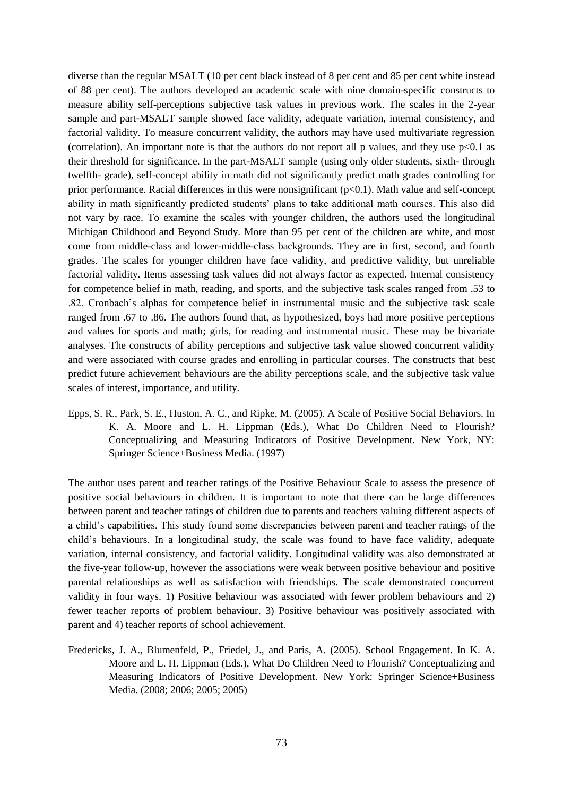diverse than the regular MSALT (10 per cent black instead of 8 per cent and 85 per cent white instead of 88 per cent). The authors developed an academic scale with nine domain-specific constructs to measure ability self-perceptions subjective task values in previous work. The scales in the 2-year sample and part-MSALT sample showed face validity, adequate variation, internal consistency, and factorial validity. To measure concurrent validity, the authors may have used multivariate regression (correlation). An important note is that the authors do not report all p values, and they use  $p<0.1$  as their threshold for significance. In the part-MSALT sample (using only older students, sixth- through twelfth- grade), self-concept ability in math did not significantly predict math grades controlling for prior performance. Racial differences in this were nonsignificant (p<0.1). Math value and self-concept ability in math significantly predicted students" plans to take additional math courses. This also did not vary by race. To examine the scales with younger children, the authors used the longitudinal Michigan Childhood and Beyond Study. More than 95 per cent of the children are white, and most come from middle-class and lower-middle-class backgrounds. They are in first, second, and fourth grades. The scales for younger children have face validity, and predictive validity, but unreliable factorial validity. Items assessing task values did not always factor as expected. Internal consistency for competence belief in math, reading, and sports, and the subjective task scales ranged from .53 to .82. Cronbach"s alphas for competence belief in instrumental music and the subjective task scale ranged from .67 to .86. The authors found that, as hypothesized, boys had more positive perceptions and values for sports and math; girls, for reading and instrumental music. These may be bivariate analyses. The constructs of ability perceptions and subjective task value showed concurrent validity and were associated with course grades and enrolling in particular courses. The constructs that best predict future achievement behaviours are the ability perceptions scale, and the subjective task value scales of interest, importance, and utility.

Epps, S. R., Park, S. E., Huston, A. C., and Ripke, M. (2005). A Scale of Positive Social Behaviors. In K. A. Moore and L. H. Lippman (Eds.), What Do Children Need to Flourish? Conceptualizing and Measuring Indicators of Positive Development. New York, NY: Springer Science+Business Media. (1997)

The author uses parent and teacher ratings of the Positive Behaviour Scale to assess the presence of positive social behaviours in children. It is important to note that there can be large differences between parent and teacher ratings of children due to parents and teachers valuing different aspects of a child"s capabilities. This study found some discrepancies between parent and teacher ratings of the child"s behaviours. In a longitudinal study, the scale was found to have face validity, adequate variation, internal consistency, and factorial validity. Longitudinal validity was also demonstrated at the five-year follow-up, however the associations were weak between positive behaviour and positive parental relationships as well as satisfaction with friendships. The scale demonstrated concurrent validity in four ways. 1) Positive behaviour was associated with fewer problem behaviours and 2) fewer teacher reports of problem behaviour. 3) Positive behaviour was positively associated with parent and 4) teacher reports of school achievement.

Fredericks, J. A., Blumenfeld, P., Friedel, J., and Paris, A. (2005). School Engagement. In K. A. Moore and L. H. Lippman (Eds.), What Do Children Need to Flourish? Conceptualizing and Measuring Indicators of Positive Development. New York: Springer Science+Business Media. (2008; 2006; 2005; 2005)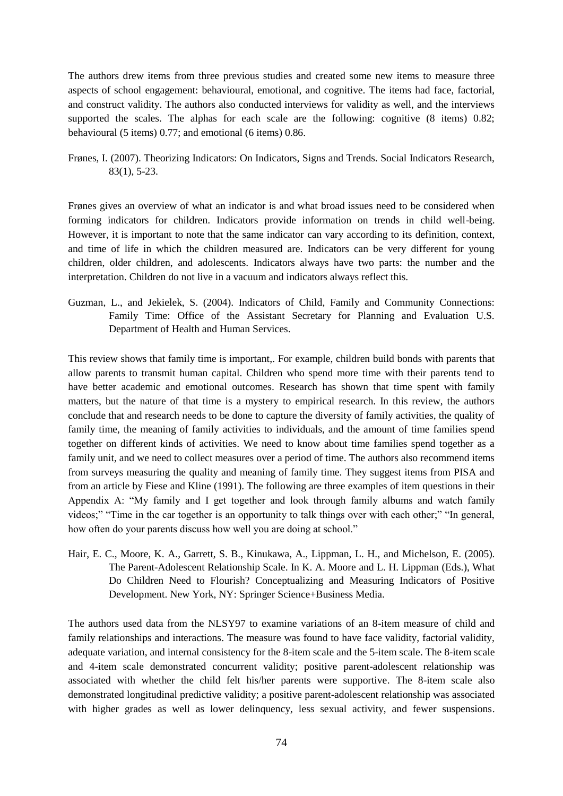The authors drew items from three previous studies and created some new items to measure three aspects of school engagement: behavioural, emotional, and cognitive. The items had face, factorial, and construct validity. The authors also conducted interviews for validity as well, and the interviews supported the scales. The alphas for each scale are the following: cognitive  $(8 \text{ items})$  0.82; behavioural (5 items) 0.77; and emotional (6 items) 0.86.

Frønes, I. (2007). Theorizing Indicators: On Indicators, Signs and Trends. Social Indicators Research, 83(1), 5-23.

Frønes gives an overview of what an indicator is and what broad issues need to be considered when forming indicators for children. Indicators provide information on trends in child well-being. However, it is important to note that the same indicator can vary according to its definition, context, and time of life in which the children measured are. Indicators can be very different for young children, older children, and adolescents. Indicators always have two parts: the number and the interpretation. Children do not live in a vacuum and indicators always reflect this.

Guzman, L., and Jekielek, S. (2004). Indicators of Child, Family and Community Connections: Family Time: Office of the Assistant Secretary for Planning and Evaluation U.S. Department of Health and Human Services.

This review shows that family time is important,. For example, children build bonds with parents that allow parents to transmit human capital. Children who spend more time with their parents tend to have better academic and emotional outcomes. Research has shown that time spent with family matters, but the nature of that time is a mystery to empirical research. In this review, the authors conclude that and research needs to be done to capture the diversity of family activities, the quality of family time, the meaning of family activities to individuals, and the amount of time families spend together on different kinds of activities. We need to know about time families spend together as a family unit, and we need to collect measures over a period of time. The authors also recommend items from surveys measuring the quality and meaning of family time. They suggest items from PISA and from an article by Fiese and Kline (1991). The following are three examples of item questions in their Appendix A: "My family and I get together and look through family albums and watch family videos;" "Time in the car together is an opportunity to talk things over with each other;" "In general, how often do your parents discuss how well you are doing at school."

Hair, E. C., Moore, K. A., Garrett, S. B., Kinukawa, A., Lippman, L. H., and Michelson, E. (2005). The Parent-Adolescent Relationship Scale. In K. A. Moore and L. H. Lippman (Eds.), What Do Children Need to Flourish? Conceptualizing and Measuring Indicators of Positive Development. New York, NY: Springer Science+Business Media.

The authors used data from the NLSY97 to examine variations of an 8-item measure of child and family relationships and interactions. The measure was found to have face validity, factorial validity, adequate variation, and internal consistency for the 8-item scale and the 5-item scale. The 8-item scale and 4-item scale demonstrated concurrent validity; positive parent-adolescent relationship was associated with whether the child felt his/her parents were supportive. The 8-item scale also demonstrated longitudinal predictive validity; a positive parent-adolescent relationship was associated with higher grades as well as lower delinquency, less sexual activity, and fewer suspensions.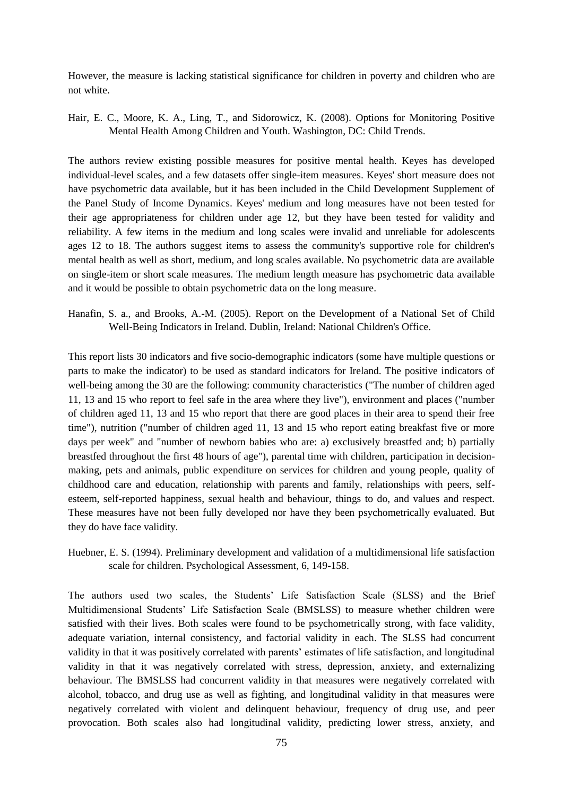However, the measure is lacking statistical significance for children in poverty and children who are not white.

Hair, E. C., Moore, K. A., Ling, T., and Sidorowicz, K. (2008). Options for Monitoring Positive Mental Health Among Children and Youth. Washington, DC: Child Trends.

The authors review existing possible measures for positive mental health. Keyes has developed individual-level scales, and a few datasets offer single-item measures. Keyes' short measure does not have psychometric data available, but it has been included in the Child Development Supplement of the Panel Study of Income Dynamics. Keyes' medium and long measures have not been tested for their age appropriateness for children under age 12, but they have been tested for validity and reliability. A few items in the medium and long scales were invalid and unreliable for adolescents ages 12 to 18. The authors suggest items to assess the community's supportive role for children's mental health as well as short, medium, and long scales available. No psychometric data are available on single-item or short scale measures. The medium length measure has psychometric data available and it would be possible to obtain psychometric data on the long measure.

Hanafin, S. a., and Brooks, A.-M. (2005). Report on the Development of a National Set of Child Well-Being Indicators in Ireland. Dublin, Ireland: National Children's Office.

This report lists 30 indicators and five socio-demographic indicators (some have multiple questions or parts to make the indicator) to be used as standard indicators for Ireland. The positive indicators of well-being among the 30 are the following: community characteristics ("The number of children aged 11, 13 and 15 who report to feel safe in the area where they live"), environment and places ("number of children aged 11, 13 and 15 who report that there are good places in their area to spend their free time"), nutrition ("number of children aged 11, 13 and 15 who report eating breakfast five or more days per week" and "number of newborn babies who are: a) exclusively breastfed and; b) partially breastfed throughout the first 48 hours of age"), parental time with children, participation in decisionmaking, pets and animals, public expenditure on services for children and young people, quality of childhood care and education, relationship with parents and family, relationships with peers, selfesteem, self-reported happiness, sexual health and behaviour, things to do, and values and respect. These measures have not been fully developed nor have they been psychometrically evaluated. But they do have face validity.

Huebner, E. S. (1994). Preliminary development and validation of a multidimensional life satisfaction scale for children. Psychological Assessment, 6, 149-158.

The authors used two scales, the Students" Life Satisfaction Scale (SLSS) and the Brief Multidimensional Students" Life Satisfaction Scale (BMSLSS) to measure whether children were satisfied with their lives. Both scales were found to be psychometrically strong, with face validity, adequate variation, internal consistency, and factorial validity in each. The SLSS had concurrent validity in that it was positively correlated with parents" estimates of life satisfaction, and longitudinal validity in that it was negatively correlated with stress, depression, anxiety, and externalizing behaviour. The BMSLSS had concurrent validity in that measures were negatively correlated with alcohol, tobacco, and drug use as well as fighting, and longitudinal validity in that measures were negatively correlated with violent and delinquent behaviour, frequency of drug use, and peer provocation. Both scales also had longitudinal validity, predicting lower stress, anxiety, and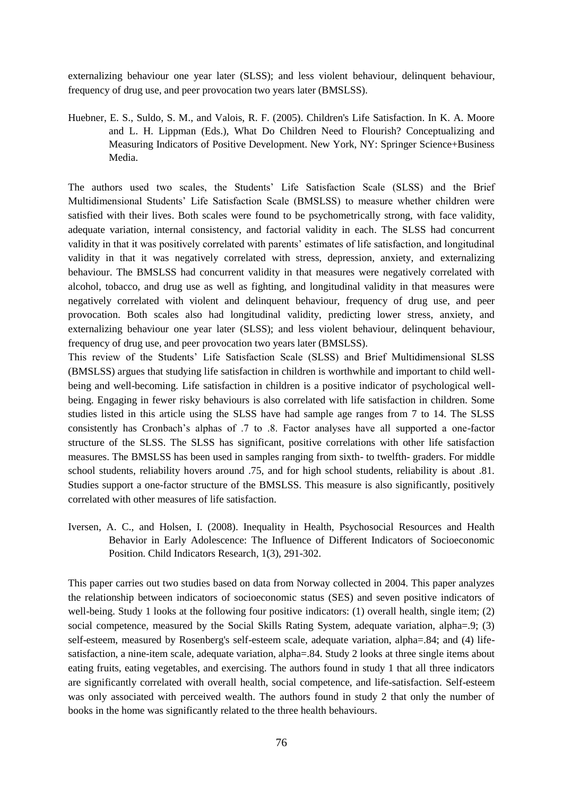externalizing behaviour one year later (SLSS); and less violent behaviour, delinquent behaviour, frequency of drug use, and peer provocation two years later (BMSLSS).

Huebner, E. S., Suldo, S. M., and Valois, R. F. (2005). Children's Life Satisfaction. In K. A. Moore and L. H. Lippman (Eds.), What Do Children Need to Flourish? Conceptualizing and Measuring Indicators of Positive Development. New York, NY: Springer Science+Business Media.

The authors used two scales, the Students" Life Satisfaction Scale (SLSS) and the Brief Multidimensional Students" Life Satisfaction Scale (BMSLSS) to measure whether children were satisfied with their lives. Both scales were found to be psychometrically strong, with face validity, adequate variation, internal consistency, and factorial validity in each. The SLSS had concurrent validity in that it was positively correlated with parents" estimates of life satisfaction, and longitudinal validity in that it was negatively correlated with stress, depression, anxiety, and externalizing behaviour. The BMSLSS had concurrent validity in that measures were negatively correlated with alcohol, tobacco, and drug use as well as fighting, and longitudinal validity in that measures were negatively correlated with violent and delinquent behaviour, frequency of drug use, and peer provocation. Both scales also had longitudinal validity, predicting lower stress, anxiety, and externalizing behaviour one year later (SLSS); and less violent behaviour, delinquent behaviour, frequency of drug use, and peer provocation two years later (BMSLSS).

This review of the Students" Life Satisfaction Scale (SLSS) and Brief Multidimensional SLSS (BMSLSS) argues that studying life satisfaction in children is worthwhile and important to child wellbeing and well-becoming. Life satisfaction in children is a positive indicator of psychological wellbeing. Engaging in fewer risky behaviours is also correlated with life satisfaction in children. Some studies listed in this article using the SLSS have had sample age ranges from 7 to 14. The SLSS consistently has Cronbach"s alphas of .7 to .8. Factor analyses have all supported a one-factor structure of the SLSS. The SLSS has significant, positive correlations with other life satisfaction measures. The BMSLSS has been used in samples ranging from sixth- to twelfth- graders. For middle school students, reliability hovers around .75, and for high school students, reliability is about .81. Studies support a one-factor structure of the BMSLSS. This measure is also significantly, positively correlated with other measures of life satisfaction.

Iversen, A. C., and Holsen, I. (2008). Inequality in Health, Psychosocial Resources and Health Behavior in Early Adolescence: The Influence of Different Indicators of Socioeconomic Position. Child Indicators Research, 1(3), 291-302.

This paper carries out two studies based on data from Norway collected in 2004. This paper analyzes the relationship between indicators of socioeconomic status (SES) and seven positive indicators of well-being. Study 1 looks at the following four positive indicators: (1) overall health, single item; (2) social competence, measured by the Social Skills Rating System, adequate variation, alpha=.9; (3) self-esteem, measured by Rosenberg's self-esteem scale, adequate variation, alpha=.84; and (4) lifesatisfaction, a nine-item scale, adequate variation, alpha=.84. Study 2 looks at three single items about eating fruits, eating vegetables, and exercising. The authors found in study 1 that all three indicators are significantly correlated with overall health, social competence, and life-satisfaction. Self-esteem was only associated with perceived wealth. The authors found in study 2 that only the number of books in the home was significantly related to the three health behaviours.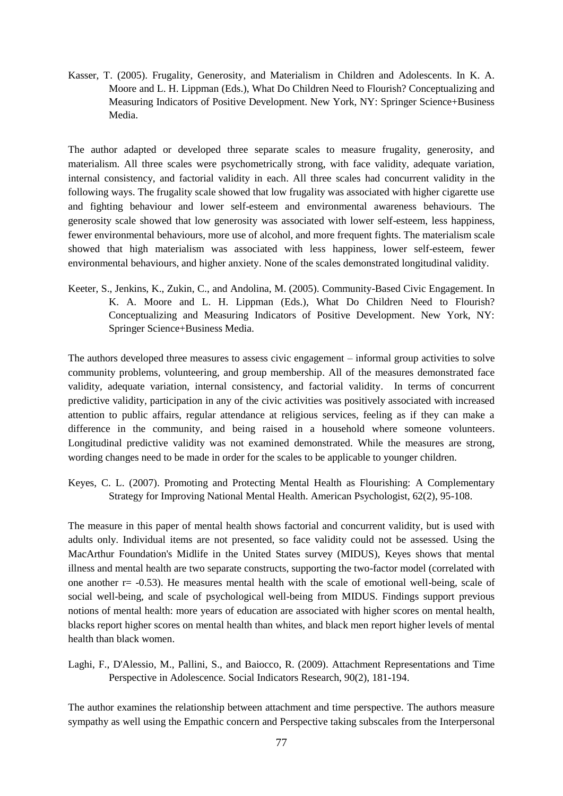Kasser, T. (2005). Frugality, Generosity, and Materialism in Children and Adolescents. In K. A. Moore and L. H. Lippman (Eds.), What Do Children Need to Flourish? Conceptualizing and Measuring Indicators of Positive Development. New York, NY: Springer Science+Business Media.

The author adapted or developed three separate scales to measure frugality, generosity, and materialism. All three scales were psychometrically strong, with face validity, adequate variation, internal consistency, and factorial validity in each. All three scales had concurrent validity in the following ways. The frugality scale showed that low frugality was associated with higher cigarette use and fighting behaviour and lower self-esteem and environmental awareness behaviours. The generosity scale showed that low generosity was associated with lower self-esteem, less happiness, fewer environmental behaviours, more use of alcohol, and more frequent fights. The materialism scale showed that high materialism was associated with less happiness, lower self-esteem, fewer environmental behaviours, and higher anxiety. None of the scales demonstrated longitudinal validity.

Keeter, S., Jenkins, K., Zukin, C., and Andolina, M. (2005). Community-Based Civic Engagement. In K. A. Moore and L. H. Lippman (Eds.), What Do Children Need to Flourish? Conceptualizing and Measuring Indicators of Positive Development. New York, NY: Springer Science+Business Media.

The authors developed three measures to assess civic engagement – informal group activities to solve community problems, volunteering, and group membership. All of the measures demonstrated face validity, adequate variation, internal consistency, and factorial validity. In terms of concurrent predictive validity, participation in any of the civic activities was positively associated with increased attention to public affairs, regular attendance at religious services, feeling as if they can make a difference in the community, and being raised in a household where someone volunteers. Longitudinal predictive validity was not examined demonstrated. While the measures are strong, wording changes need to be made in order for the scales to be applicable to younger children.

Keyes, C. L. (2007). Promoting and Protecting Mental Health as Flourishing: A Complementary Strategy for Improving National Mental Health. American Psychologist, 62(2), 95-108.

The measure in this paper of mental health shows factorial and concurrent validity, but is used with adults only. Individual items are not presented, so face validity could not be assessed. Using the MacArthur Foundation's Midlife in the United States survey (MIDUS), Keyes shows that mental illness and mental health are two separate constructs, supporting the two-factor model (correlated with one another r= -0.53). He measures mental health with the scale of emotional well-being, scale of social well-being, and scale of psychological well-being from MIDUS. Findings support previous notions of mental health: more years of education are associated with higher scores on mental health, blacks report higher scores on mental health than whites, and black men report higher levels of mental health than black women.

Laghi, F., D'Alessio, M., Pallini, S., and Baiocco, R. (2009). Attachment Representations and Time Perspective in Adolescence. Social Indicators Research, 90(2), 181-194.

The author examines the relationship between attachment and time perspective. The authors measure sympathy as well using the Empathic concern and Perspective taking subscales from the Interpersonal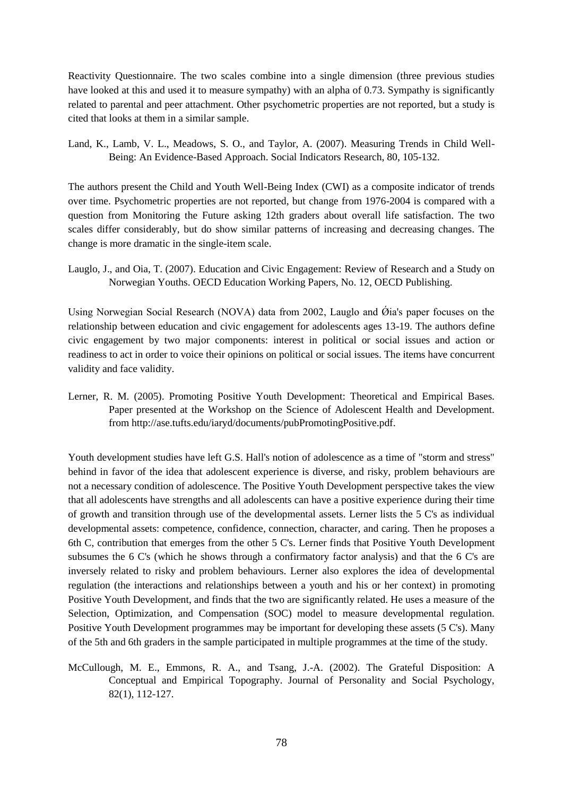Reactivity Questionnaire. The two scales combine into a single dimension (three previous studies have looked at this and used it to measure sympathy) with an alpha of 0.73. Sympathy is significantly related to parental and peer attachment. Other psychometric properties are not reported, but a study is cited that looks at them in a similar sample.

Land, K., Lamb, V. L., Meadows, S. O., and Taylor, A. (2007). Measuring Trends in Child Well-Being: An Evidence-Based Approach. Social Indicators Research, 80, 105-132.

The authors present the Child and Youth Well-Being Index (CWI) as a composite indicator of trends over time. Psychometric properties are not reported, but change from 1976-2004 is compared with a question from Monitoring the Future asking 12th graders about overall life satisfaction. The two scales differ considerably, but do show similar patterns of increasing and decreasing changes. The change is more dramatic in the single-item scale.

Lauglo, J., and Oia, T. (2007). Education and Civic Engagement: Review of Research and a Study on Norwegian Youths. OECD Education Working Papers, No. 12, OECD Publishing.

Using Norwegian Social Research (NOVA) data from 2002, Lauglo and  $\hat{O}$ ia's paper focuses on the relationship between education and civic engagement for adolescents ages 13-19. The authors define civic engagement by two major components: interest in political or social issues and action or readiness to act in order to voice their opinions on political or social issues. The items have concurrent validity and face validity.

Lerner, R. M. (2005). Promoting Positive Youth Development: Theoretical and Empirical Bases. Paper presented at the Workshop on the Science of Adolescent Health and Development. from http://ase.tufts.edu/iaryd/documents/pubPromotingPositive.pdf.

Youth development studies have left G.S. Hall's notion of adolescence as a time of "storm and stress" behind in favor of the idea that adolescent experience is diverse, and risky, problem behaviours are not a necessary condition of adolescence. The Positive Youth Development perspective takes the view that all adolescents have strengths and all adolescents can have a positive experience during their time of growth and transition through use of the developmental assets. Lerner lists the 5 C's as individual developmental assets: competence, confidence, connection, character, and caring. Then he proposes a 6th C, contribution that emerges from the other 5 C's. Lerner finds that Positive Youth Development subsumes the 6 C's (which he shows through a confirmatory factor analysis) and that the 6 C's are inversely related to risky and problem behaviours. Lerner also explores the idea of developmental regulation (the interactions and relationships between a youth and his or her context) in promoting Positive Youth Development, and finds that the two are significantly related. He uses a measure of the Selection, Optimization, and Compensation (SOC) model to measure developmental regulation. Positive Youth Development programmes may be important for developing these assets (5 C's). Many of the 5th and 6th graders in the sample participated in multiple programmes at the time of the study.

McCullough, M. E., Emmons, R. A., and Tsang, J.-A. (2002). The Grateful Disposition: A Conceptual and Empirical Topography. Journal of Personality and Social Psychology, 82(1), 112-127.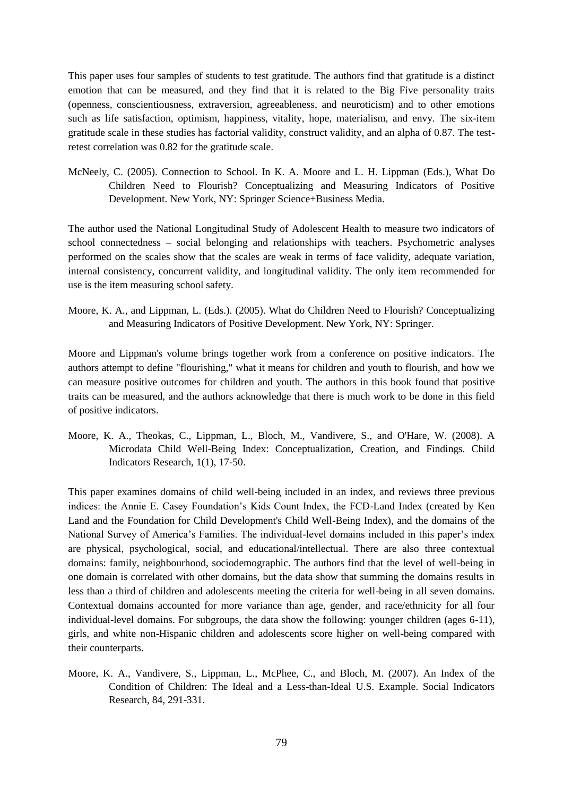This paper uses four samples of students to test gratitude. The authors find that gratitude is a distinct emotion that can be measured, and they find that it is related to the Big Five personality traits (openness, conscientiousness, extraversion, agreeableness, and neuroticism) and to other emotions such as life satisfaction, optimism, happiness, vitality, hope, materialism, and envy. The six-item gratitude scale in these studies has factorial validity, construct validity, and an alpha of 0.87. The testretest correlation was 0.82 for the gratitude scale.

McNeely, C. (2005). Connection to School. In K. A. Moore and L. H. Lippman (Eds.), What Do Children Need to Flourish? Conceptualizing and Measuring Indicators of Positive Development. New York, NY: Springer Science+Business Media.

The author used the National Longitudinal Study of Adolescent Health to measure two indicators of school connectedness – social belonging and relationships with teachers. Psychometric analyses performed on the scales show that the scales are weak in terms of face validity, adequate variation, internal consistency, concurrent validity, and longitudinal validity. The only item recommended for use is the item measuring school safety.

Moore, K. A., and Lippman, L. (Eds.). (2005). What do Children Need to Flourish? Conceptualizing and Measuring Indicators of Positive Development. New York, NY: Springer.

Moore and Lippman's volume brings together work from a conference on positive indicators. The authors attempt to define "flourishing," what it means for children and youth to flourish, and how we can measure positive outcomes for children and youth. The authors in this book found that positive traits can be measured, and the authors acknowledge that there is much work to be done in this field of positive indicators.

Moore, K. A., Theokas, C., Lippman, L., Bloch, M., Vandivere, S., and O'Hare, W. (2008). A Microdata Child Well-Being Index: Conceptualization, Creation, and Findings. Child Indicators Research, 1(1), 17-50.

This paper examines domains of child well-being included in an index, and reviews three previous indices: the Annie E. Casey Foundation"s Kids Count Index, the FCD-Land Index (created by Ken Land and the Foundation for Child Development's Child Well-Being Index), and the domains of the National Survey of America"s Families. The individual-level domains included in this paper"s index are physical, psychological, social, and educational/intellectual. There are also three contextual domains: family, neighbourhood, sociodemographic. The authors find that the level of well-being in one domain is correlated with other domains, but the data show that summing the domains results in less than a third of children and adolescents meeting the criteria for well-being in all seven domains. Contextual domains accounted for more variance than age, gender, and race/ethnicity for all four individual-level domains. For subgroups, the data show the following: younger children (ages 6-11), girls, and white non-Hispanic children and adolescents score higher on well-being compared with their counterparts.

Moore, K. A., Vandivere, S., Lippman, L., McPhee, C., and Bloch, M. (2007). An Index of the Condition of Children: The Ideal and a Less-than-Ideal U.S. Example. Social Indicators Research, 84, 291-331.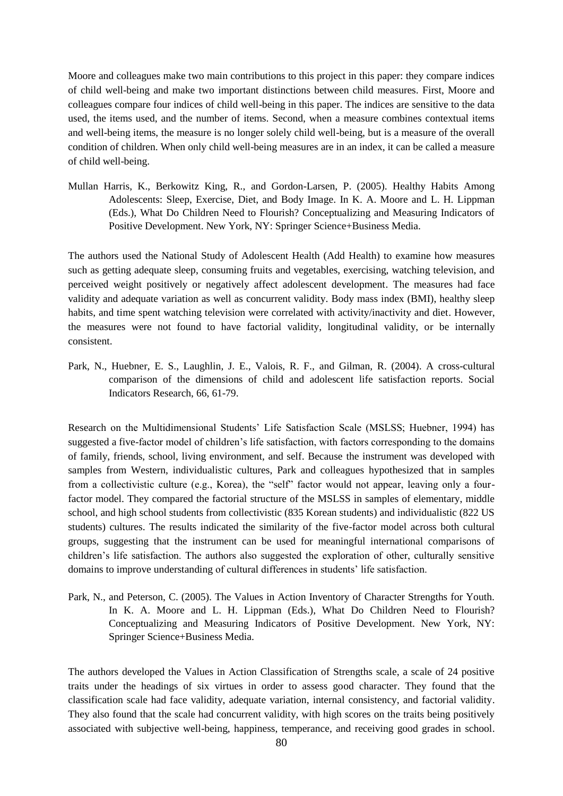Moore and colleagues make two main contributions to this project in this paper: they compare indices of child well-being and make two important distinctions between child measures. First, Moore and colleagues compare four indices of child well-being in this paper. The indices are sensitive to the data used, the items used, and the number of items. Second, when a measure combines contextual items and well-being items, the measure is no longer solely child well-being, but is a measure of the overall condition of children. When only child well-being measures are in an index, it can be called a measure of child well-being.

Mullan Harris, K., Berkowitz King, R., and Gordon-Larsen, P. (2005). Healthy Habits Among Adolescents: Sleep, Exercise, Diet, and Body Image. In K. A. Moore and L. H. Lippman (Eds.), What Do Children Need to Flourish? Conceptualizing and Measuring Indicators of Positive Development. New York, NY: Springer Science+Business Media.

The authors used the National Study of Adolescent Health (Add Health) to examine how measures such as getting adequate sleep, consuming fruits and vegetables, exercising, watching television, and perceived weight positively or negatively affect adolescent development. The measures had face validity and adequate variation as well as concurrent validity. Body mass index (BMI), healthy sleep habits, and time spent watching television were correlated with activity/inactivity and diet. However, the measures were not found to have factorial validity, longitudinal validity, or be internally consistent.

Park, N., Huebner, E. S., Laughlin, J. E., Valois, R. F., and Gilman, R. (2004). A cross-cultural comparison of the dimensions of child and adolescent life satisfaction reports. Social Indicators Research, 66, 61-79.

Research on the Multidimensional Students" Life Satisfaction Scale (MSLSS; Huebner, 1994) has suggested a five-factor model of children"s life satisfaction, with factors corresponding to the domains of family, friends, school, living environment, and self. Because the instrument was developed with samples from Western, individualistic cultures, Park and colleagues hypothesized that in samples from a collectivistic culture (e.g., Korea), the "self" factor would not appear, leaving only a fourfactor model. They compared the factorial structure of the MSLSS in samples of elementary, middle school, and high school students from collectivistic (835 Korean students) and individualistic (822 US students) cultures. The results indicated the similarity of the five-factor model across both cultural groups, suggesting that the instrument can be used for meaningful international comparisons of children"s life satisfaction. The authors also suggested the exploration of other, culturally sensitive domains to improve understanding of cultural differences in students" life satisfaction.

Park, N., and Peterson, C. (2005). The Values in Action Inventory of Character Strengths for Youth. In K. A. Moore and L. H. Lippman (Eds.), What Do Children Need to Flourish? Conceptualizing and Measuring Indicators of Positive Development. New York, NY: Springer Science+Business Media.

The authors developed the Values in Action Classification of Strengths scale, a scale of 24 positive traits under the headings of six virtues in order to assess good character. They found that the classification scale had face validity, adequate variation, internal consistency, and factorial validity. They also found that the scale had concurrent validity, with high scores on the traits being positively associated with subjective well-being, happiness, temperance, and receiving good grades in school.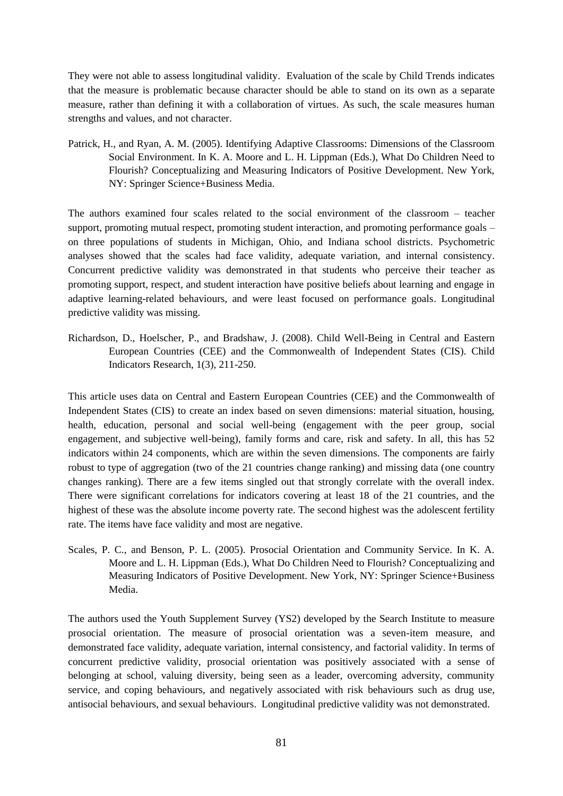They were not able to assess longitudinal validity. Evaluation of the scale by Child Trends indicates that the measure is problematic because character should be able to stand on its own as a separate measure, rather than defining it with a collaboration of virtues. As such, the scale measures human strengths and values, and not character.

Patrick, H., and Ryan, A. M. (2005). Identifying Adaptive Classrooms: Dimensions of the Classroom Social Environment. In K. A. Moore and L. H. Lippman (Eds.), What Do Children Need to Flourish? Conceptualizing and Measuring Indicators of Positive Development. New York, NY: Springer Science+Business Media.

The authors examined four scales related to the social environment of the classroom – teacher support, promoting mutual respect, promoting student interaction, and promoting performance goals – on three populations of students in Michigan, Ohio, and Indiana school districts. Psychometric analyses showed that the scales had face validity, adequate variation, and internal consistency. Concurrent predictive validity was demonstrated in that students who perceive their teacher as promoting support, respect, and student interaction have positive beliefs about learning and engage in adaptive learning-related behaviours, and were least focused on performance goals. Longitudinal predictive validity was missing.

Richardson, D., Hoelscher, P., and Bradshaw, J. (2008). Child Well-Being in Central and Eastern European Countries (CEE) and the Commonwealth of Independent States (CIS). Child Indicators Research, 1(3), 211-250.

This article uses data on Central and Eastern European Countries (CEE) and the Commonwealth of Independent States (CIS) to create an index based on seven dimensions: material situation, housing, health, education, personal and social well-being (engagement with the peer group, social engagement, and subjective well-being), family forms and care, risk and safety. In all, this has 52 indicators within 24 components, which are within the seven dimensions. The components are fairly robust to type of aggregation (two of the 21 countries change ranking) and missing data (one country changes ranking). There are a few items singled out that strongly correlate with the overall index. There were significant correlations for indicators covering at least 18 of the 21 countries, and the highest of these was the absolute income poverty rate. The second highest was the adolescent fertility rate. The items have face validity and most are negative.

Scales, P. C., and Benson, P. L. (2005). Prosocial Orientation and Community Service. In K. A. Moore and L. H. Lippman (Eds.), What Do Children Need to Flourish? Conceptualizing and Measuring Indicators of Positive Development. New York, NY: Springer Science+Business Media.

The authors used the Youth Supplement Survey (YS2) developed by the Search Institute to measure prosocial orientation. The measure of prosocial orientation was a seven-item measure, and demonstrated face validity, adequate variation, internal consistency, and factorial validity. In terms of concurrent predictive validity, prosocial orientation was positively associated with a sense of belonging at school, valuing diversity, being seen as a leader, overcoming adversity, community service, and coping behaviours, and negatively associated with risk behaviours such as drug use, antisocial behaviours, and sexual behaviours. Longitudinal predictive validity was not demonstrated.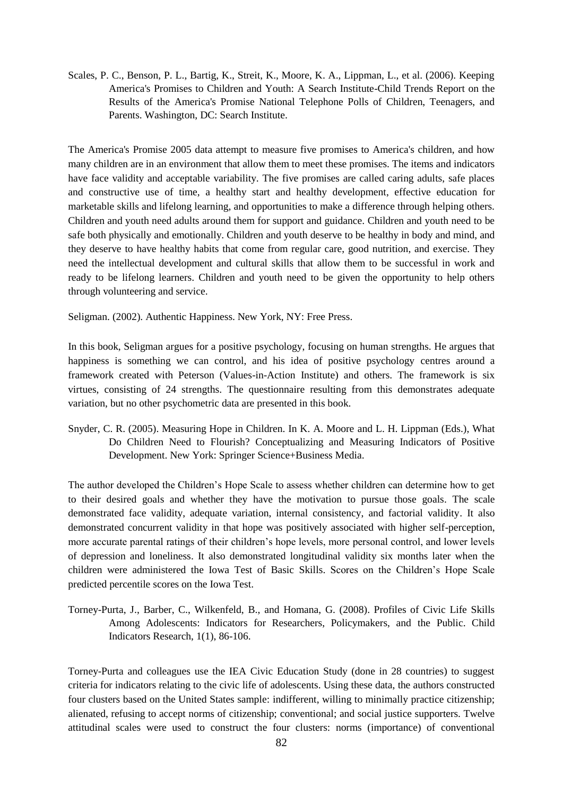Scales, P. C., Benson, P. L., Bartig, K., Streit, K., Moore, K. A., Lippman, L., et al. (2006). Keeping America's Promises to Children and Youth: A Search Institute-Child Trends Report on the Results of the America's Promise National Telephone Polls of Children, Teenagers, and Parents. Washington, DC: Search Institute.

The America's Promise 2005 data attempt to measure five promises to America's children, and how many children are in an environment that allow them to meet these promises. The items and indicators have face validity and acceptable variability. The five promises are called caring adults, safe places and constructive use of time, a healthy start and healthy development, effective education for marketable skills and lifelong learning, and opportunities to make a difference through helping others. Children and youth need adults around them for support and guidance. Children and youth need to be safe both physically and emotionally. Children and youth deserve to be healthy in body and mind, and they deserve to have healthy habits that come from regular care, good nutrition, and exercise. They need the intellectual development and cultural skills that allow them to be successful in work and ready to be lifelong learners. Children and youth need to be given the opportunity to help others through volunteering and service.

Seligman. (2002). Authentic Happiness. New York, NY: Free Press.

In this book, Seligman argues for a positive psychology, focusing on human strengths. He argues that happiness is something we can control, and his idea of positive psychology centres around a framework created with Peterson (Values-in-Action Institute) and others. The framework is six virtues, consisting of 24 strengths. The questionnaire resulting from this demonstrates adequate variation, but no other psychometric data are presented in this book.

Snyder, C. R. (2005). Measuring Hope in Children. In K. A. Moore and L. H. Lippman (Eds.), What Do Children Need to Flourish? Conceptualizing and Measuring Indicators of Positive Development. New York: Springer Science+Business Media.

The author developed the Children"s Hope Scale to assess whether children can determine how to get to their desired goals and whether they have the motivation to pursue those goals. The scale demonstrated face validity, adequate variation, internal consistency, and factorial validity. It also demonstrated concurrent validity in that hope was positively associated with higher self-perception, more accurate parental ratings of their children"s hope levels, more personal control, and lower levels of depression and loneliness. It also demonstrated longitudinal validity six months later when the children were administered the Iowa Test of Basic Skills. Scores on the Children"s Hope Scale predicted percentile scores on the Iowa Test.

Torney-Purta, J., Barber, C., Wilkenfeld, B., and Homana, G. (2008). Profiles of Civic Life Skills Among Adolescents: Indicators for Researchers, Policymakers, and the Public. Child Indicators Research, 1(1), 86-106.

Torney-Purta and colleagues use the IEA Civic Education Study (done in 28 countries) to suggest criteria for indicators relating to the civic life of adolescents. Using these data, the authors constructed four clusters based on the United States sample: indifferent, willing to minimally practice citizenship; alienated, refusing to accept norms of citizenship; conventional; and social justice supporters. Twelve attitudinal scales were used to construct the four clusters: norms (importance) of conventional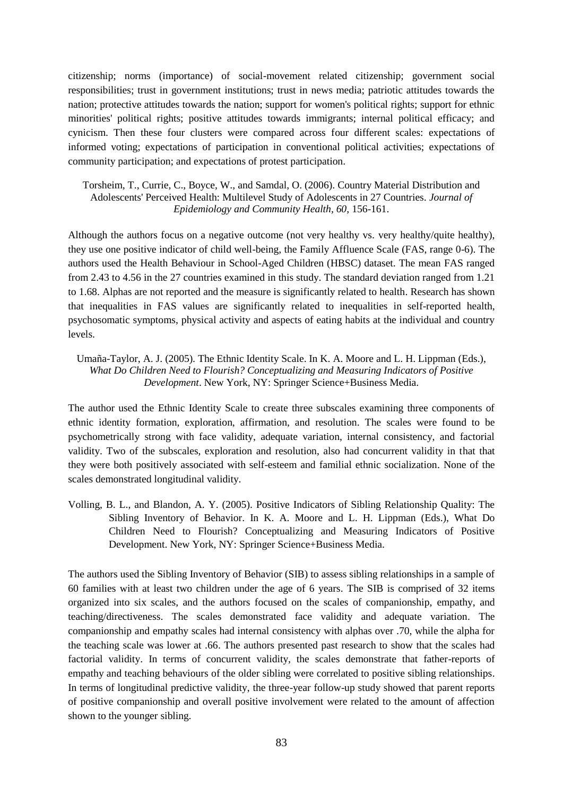citizenship; norms (importance) of social-movement related citizenship; government social responsibilities; trust in government institutions; trust in news media; patriotic attitudes towards the nation; protective attitudes towards the nation; support for women's political rights; support for ethnic minorities' political rights; positive attitudes towards immigrants; internal political efficacy; and cynicism. Then these four clusters were compared across four different scales: expectations of informed voting; expectations of participation in conventional political activities; expectations of community participation; and expectations of protest participation.

Torsheim, T., Currie, C., Boyce, W., and Samdal, O. (2006). Country Material Distribution and Adolescents' Perceived Health: Multilevel Study of Adolescents in 27 Countries. *Journal of Epidemiology and Community Health, 60*, 156-161.

Although the authors focus on a negative outcome (not very healthy vs. very healthy/quite healthy), they use one positive indicator of child well-being, the Family Affluence Scale (FAS, range 0-6). The authors used the Health Behaviour in School-Aged Children (HBSC) dataset. The mean FAS ranged from 2.43 to 4.56 in the 27 countries examined in this study. The standard deviation ranged from 1.21 to 1.68. Alphas are not reported and the measure is significantly related to health. Research has shown that inequalities in FAS values are significantly related to inequalities in self-reported health, psychosomatic symptoms, physical activity and aspects of eating habits at the individual and country levels.

Umaña-Taylor, A. J. (2005). The Ethnic Identity Scale. In K. A. Moore and L. H. Lippman (Eds.), *What Do Children Need to Flourish? Conceptualizing and Measuring Indicators of Positive Development*. New York, NY: Springer Science+Business Media.

The author used the Ethnic Identity Scale to create three subscales examining three components of ethnic identity formation, exploration, affirmation, and resolution. The scales were found to be psychometrically strong with face validity, adequate variation, internal consistency, and factorial validity. Two of the subscales, exploration and resolution, also had concurrent validity in that that they were both positively associated with self-esteem and familial ethnic socialization. None of the scales demonstrated longitudinal validity.

Volling, B. L., and Blandon, A. Y. (2005). Positive Indicators of Sibling Relationship Quality: The Sibling Inventory of Behavior. In K. A. Moore and L. H. Lippman (Eds.), What Do Children Need to Flourish? Conceptualizing and Measuring Indicators of Positive Development. New York, NY: Springer Science+Business Media.

The authors used the Sibling Inventory of Behavior (SIB) to assess sibling relationships in a sample of 60 families with at least two children under the age of 6 years. The SIB is comprised of 32 items organized into six scales, and the authors focused on the scales of companionship, empathy, and teaching/directiveness. The scales demonstrated face validity and adequate variation. The companionship and empathy scales had internal consistency with alphas over .70, while the alpha for the teaching scale was lower at .66. The authors presented past research to show that the scales had factorial validity. In terms of concurrent validity, the scales demonstrate that father-reports of empathy and teaching behaviours of the older sibling were correlated to positive sibling relationships. In terms of longitudinal predictive validity, the three-year follow-up study showed that parent reports of positive companionship and overall positive involvement were related to the amount of affection shown to the younger sibling.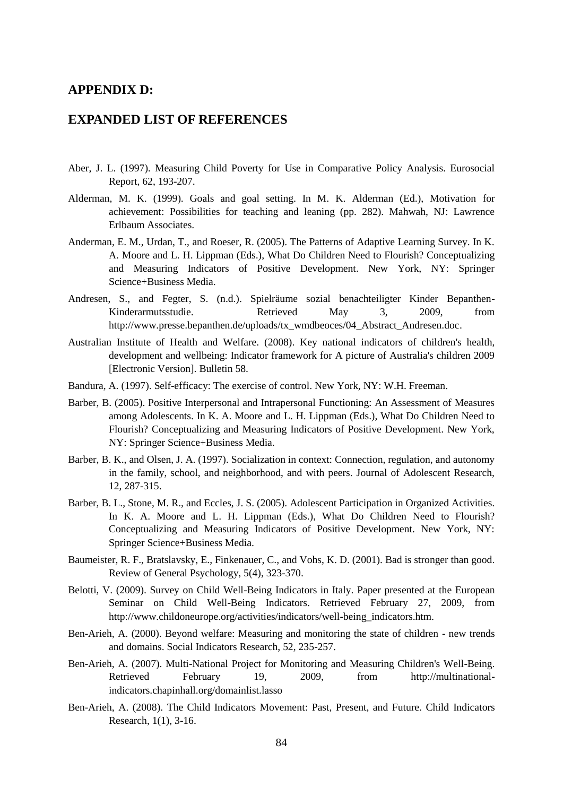# **APPENDIX D:**

# **EXPANDED LIST OF REFERENCES**

- Aber, J. L. (1997). Measuring Child Poverty for Use in Comparative Policy Analysis. Eurosocial Report, 62, 193-207.
- Alderman, M. K. (1999). Goals and goal setting. In M. K. Alderman (Ed.), Motivation for achievement: Possibilities for teaching and leaning (pp. 282). Mahwah, NJ: Lawrence Erlbaum Associates.
- Anderman, E. M., Urdan, T., and Roeser, R. (2005). The Patterns of Adaptive Learning Survey. In K. A. Moore and L. H. Lippman (Eds.), What Do Children Need to Flourish? Conceptualizing and Measuring Indicators of Positive Development. New York, NY: Springer Science+Business Media.
- Andresen, S., and Fegter, S. (n.d.). Spielräume sozial benachteiligter Kinder Bepanthen-Kinderarmutsstudie. Retrieved May 3, 2009, from [http://www.presse.bepanthen.de/uploads/tx\\_wmdbeoces/04\\_Abstract\\_Andresen.doc.](http://www.presse.bepanthen.de/uploads/tx_wmdbeoces/04_Abstract_Andresen.doc)
- Australian Institute of Health and Welfare. (2008). Key national indicators of children's health, development and wellbeing: Indicator framework for A picture of Australia's children 2009 [Electronic Version]. Bulletin 58.
- Bandura, A. (1997). Self-efficacy: The exercise of control. New York, NY: W.H. Freeman.
- Barber, B. (2005). Positive Interpersonal and Intrapersonal Functioning: An Assessment of Measures among Adolescents. In K. A. Moore and L. H. Lippman (Eds.), What Do Children Need to Flourish? Conceptualizing and Measuring Indicators of Positive Development. New York, NY: Springer Science+Business Media.
- Barber, B. K., and Olsen, J. A. (1997). Socialization in context: Connection, regulation, and autonomy in the family, school, and neighborhood, and with peers. Journal of Adolescent Research, 12, 287-315.
- Barber, B. L., Stone, M. R., and Eccles, J. S. (2005). Adolescent Participation in Organized Activities. In K. A. Moore and L. H. Lippman (Eds.), What Do Children Need to Flourish? Conceptualizing and Measuring Indicators of Positive Development. New York, NY: Springer Science+Business Media.
- Baumeister, R. F., Bratslavsky, E., Finkenauer, C., and Vohs, K. D. (2001). Bad is stronger than good. Review of General Psychology, 5(4), 323-370.
- Belotti, V. (2009). Survey on Child Well-Being Indicators in Italy. Paper presented at the European Seminar on Child Well-Being Indicators. Retrieved February 27, 2009, from [http://www.childoneurope.org/activities/indicators/well-being\\_indicators.htm.](http://www.childoneurope.org/activities/indicators/well-being_indicators.htm)
- Ben-Arieh, A. (2000). Beyond welfare: Measuring and monitoring the state of children new trends and domains. Social Indicators Research, 52, 235-257.
- Ben-Arieh, A. (2007). Multi-National Project for Monitoring and Measuring Children's Well-Being. Retrieved February 19, 2009, from [http://multinational](http://multinational-indicators.chapinhall.org/domainlist.lasso)[indicators.chapinhall.org/domainlist.lasso](http://multinational-indicators.chapinhall.org/domainlist.lasso)
- Ben-Arieh, A. (2008). The Child Indicators Movement: Past, Present, and Future. Child Indicators Research, 1(1), 3-16.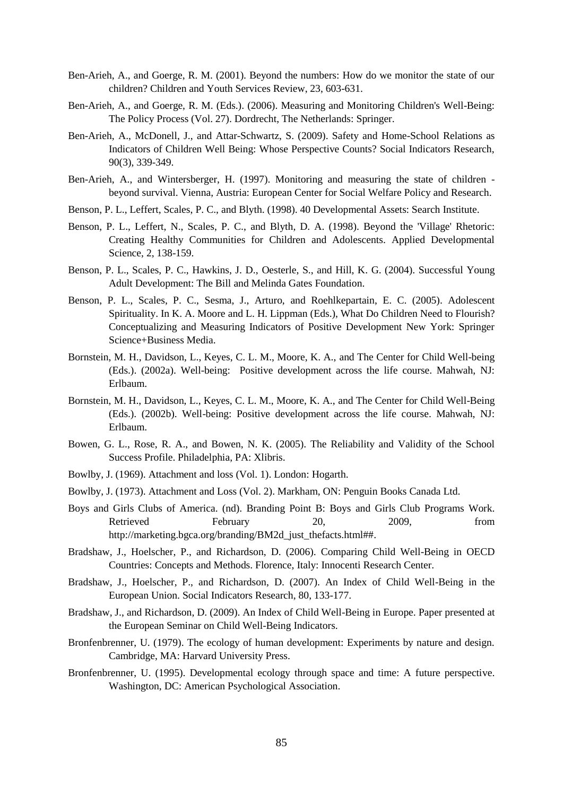- Ben-Arieh, A., and Goerge, R. M. (2001). Beyond the numbers: How do we monitor the state of our children? Children and Youth Services Review, 23, 603-631.
- Ben-Arieh, A., and Goerge, R. M. (Eds.). (2006). Measuring and Monitoring Children's Well-Being: The Policy Process (Vol. 27). Dordrecht, The Netherlands: Springer.
- Ben-Arieh, A., McDonell, J., and Attar-Schwartz, S. (2009). Safety and Home-School Relations as Indicators of Children Well Being: Whose Perspective Counts? Social Indicators Research, 90(3), 339-349.
- Ben-Arieh, A., and Wintersberger, H. (1997). Monitoring and measuring the state of children beyond survival. Vienna, Austria: European Center for Social Welfare Policy and Research.
- Benson, P. L., Leffert, Scales, P. C., and Blyth. (1998). 40 Developmental Assets: Search Institute.
- Benson, P. L., Leffert, N., Scales, P. C., and Blyth, D. A. (1998). Beyond the 'Village' Rhetoric: Creating Healthy Communities for Children and Adolescents. Applied Developmental Science, 2, 138-159.
- Benson, P. L., Scales, P. C., Hawkins, J. D., Oesterle, S., and Hill, K. G. (2004). Successful Young Adult Development: The Bill and Melinda Gates Foundation.
- Benson, P. L., Scales, P. C., Sesma, J., Arturo, and Roehlkepartain, E. C. (2005). Adolescent Spirituality. In K. A. Moore and L. H. Lippman (Eds.), What Do Children Need to Flourish? Conceptualizing and Measuring Indicators of Positive Development New York: Springer Science+Business Media.
- Bornstein, M. H., Davidson, L., Keyes, C. L. M., Moore, K. A., and The Center for Child Well-being (Eds.). (2002a). Well-being: Positive development across the life course. Mahwah, NJ: Erlbaum.
- Bornstein, M. H., Davidson, L., Keyes, C. L. M., Moore, K. A., and The Center for Child Well-Being (Eds.). (2002b). Well-being: Positive development across the life course. Mahwah, NJ: Erlbaum.
- Bowen, G. L., Rose, R. A., and Bowen, N. K. (2005). The Reliability and Validity of the School Success Profile. Philadelphia, PA: Xlibris.
- Bowlby, J. (1969). Attachment and loss (Vol. 1). London: Hogarth.
- Bowlby, J. (1973). Attachment and Loss (Vol. 2). Markham, ON: Penguin Books Canada Ltd.
- Boys and Girls Clubs of America. (nd). Branding Point B: Boys and Girls Club Programs Work. Retrieved February 20, 2009, from [http://marketing.bgca.org/branding/BM2d\\_just\\_thefacts.html##.](http://marketing.bgca.org/branding/BM2d_just_thefacts.html)
- Bradshaw, J., Hoelscher, P., and Richardson, D. (2006). Comparing Child Well-Being in OECD Countries: Concepts and Methods. Florence, Italy: Innocenti Research Center.
- Bradshaw, J., Hoelscher, P., and Richardson, D. (2007). An Index of Child Well-Being in the European Union. Social Indicators Research, 80, 133-177.
- Bradshaw, J., and Richardson, D. (2009). An Index of Child Well-Being in Europe. Paper presented at the European Seminar on Child Well-Being Indicators.
- Bronfenbrenner, U. (1979). The ecology of human development: Experiments by nature and design. Cambridge, MA: Harvard University Press.
- Bronfenbrenner, U. (1995). Developmental ecology through space and time: A future perspective. Washington, DC: American Psychological Association.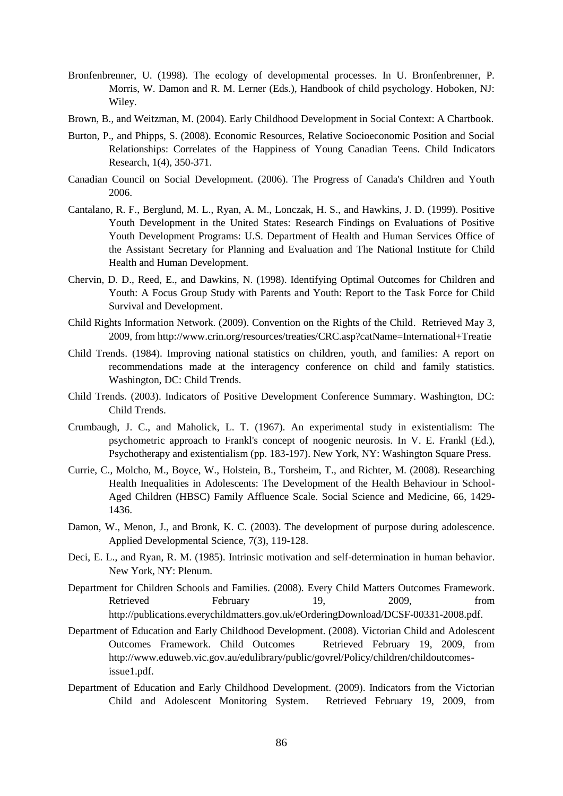- Bronfenbrenner, U. (1998). The ecology of developmental processes. In U. Bronfenbrenner, P. Morris, W. Damon and R. M. Lerner (Eds.), Handbook of child psychology. Hoboken, NJ: Wiley.
- Brown, B., and Weitzman, M. (2004). Early Childhood Development in Social Context: A Chartbook.
- Burton, P., and Phipps, S. (2008). Economic Resources, Relative Socioeconomic Position and Social Relationships: Correlates of the Happiness of Young Canadian Teens. Child Indicators Research, 1(4), 350-371.
- Canadian Council on Social Development. (2006). The Progress of Canada's Children and Youth 2006.
- Cantalano, R. F., Berglund, M. L., Ryan, A. M., Lonczak, H. S., and Hawkins, J. D. (1999). Positive Youth Development in the United States: Research Findings on Evaluations of Positive Youth Development Programs: U.S. Department of Health and Human Services Office of the Assistant Secretary for Planning and Evaluation and The National Institute for Child Health and Human Development.
- Chervin, D. D., Reed, E., and Dawkins, N. (1998). Identifying Optimal Outcomes for Children and Youth: A Focus Group Study with Parents and Youth: Report to the Task Force for Child Survival and Development.
- Child Rights Information Network. (2009). Convention on the Rights of the Child. Retrieved May 3, 2009, fro[m http://www.crin.org/resources/treaties/CRC.asp?catName=International+Treatie](http://www.crin.org/resources/treaties/CRC.asp?catName=International+Treatie)
- Child Trends. (1984). Improving national statistics on children, youth, and families: A report on recommendations made at the interagency conference on child and family statistics. Washington, DC: Child Trends.
- Child Trends. (2003). Indicators of Positive Development Conference Summary. Washington, DC: Child Trends.
- Crumbaugh, J. C., and Maholick, L. T. (1967). An experimental study in existentialism: The psychometric approach to Frankl's concept of noogenic neurosis. In V. E. Frankl (Ed.), Psychotherapy and existentialism (pp. 183-197). New York, NY: Washington Square Press.
- Currie, C., Molcho, M., Boyce, W., Holstein, B., Torsheim, T., and Richter, M. (2008). Researching Health Inequalities in Adolescents: The Development of the Health Behaviour in School-Aged Children (HBSC) Family Affluence Scale. Social Science and Medicine, 66, 1429- 1436.
- Damon, W., Menon, J., and Bronk, K. C. (2003). The development of purpose during adolescence. Applied Developmental Science, 7(3), 119-128.
- Deci, E. L., and Ryan, R. M. (1985). Intrinsic motivation and self-determination in human behavior. New York, NY: Plenum.
- Department for Children Schools and Families. (2008). Every Child Matters Outcomes Framework. Retrieved February 19, 2009, from [http://publications.everychildmatters.gov.uk/eOrderingDownload/DCSF-00331-2008.pdf.](http://publications.everychildmatters.gov.uk/eOrderingDownload/DCSF-00331-2008.pdf)
- Department of Education and Early Childhood Development. (2008). Victorian Child and Adolescent Outcomes Framework. Child Outcomes Retrieved February 19, 2009, from [http://www.eduweb.vic.gov.au/edulibrary/public/govrel/Policy/children/childoutcomes](http://www.eduweb.vic.gov.au/edulibrary/public/govrel/Policy/children/childoutcomes-issue1.pdf)[issue1.pdf.](http://www.eduweb.vic.gov.au/edulibrary/public/govrel/Policy/children/childoutcomes-issue1.pdf)
- Department of Education and Early Childhood Development. (2009). Indicators from the Victorian Child and Adolescent Monitoring System. Retrieved February 19, 2009, from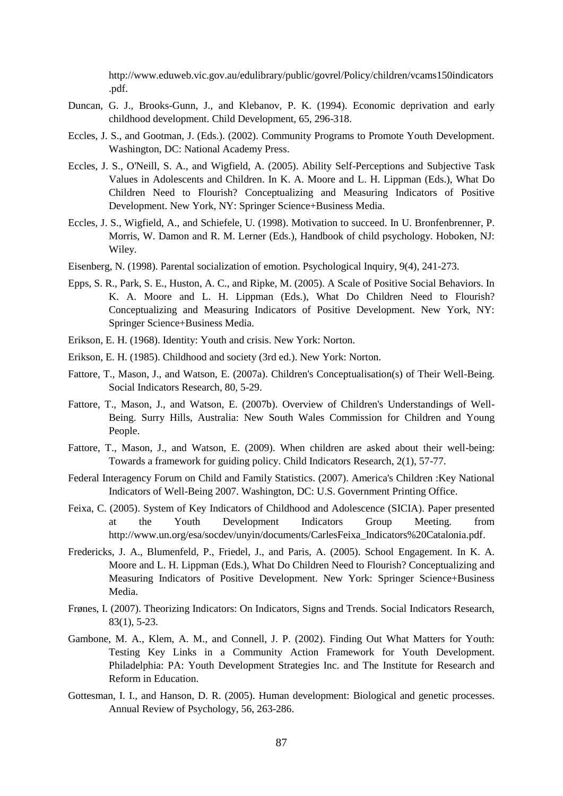[http://www.eduweb.vic.gov.au/edulibrary/public/govrel/Policy/children/vcams150indicators](http://www.eduweb.vic.gov.au/edulibrary/public/govrel/Policy/children/vcams150indicators.pdf) [.pdf.](http://www.eduweb.vic.gov.au/edulibrary/public/govrel/Policy/children/vcams150indicators.pdf)

- Duncan, G. J., Brooks-Gunn, J., and Klebanov, P. K. (1994). Economic deprivation and early childhood development. Child Development, 65, 296-318.
- Eccles, J. S., and Gootman, J. (Eds.). (2002). Community Programs to Promote Youth Development. Washington, DC: National Academy Press.
- Eccles, J. S., O'Neill, S. A., and Wigfield, A. (2005). Ability Self-Perceptions and Subjective Task Values in Adolescents and Children. In K. A. Moore and L. H. Lippman (Eds.), What Do Children Need to Flourish? Conceptualizing and Measuring Indicators of Positive Development. New York, NY: Springer Science+Business Media.
- Eccles, J. S., Wigfield, A., and Schiefele, U. (1998). Motivation to succeed. In U. Bronfenbrenner, P. Morris, W. Damon and R. M. Lerner (Eds.), Handbook of child psychology. Hoboken, NJ: Wiley.
- Eisenberg, N. (1998). Parental socialization of emotion. Psychological Inquiry, 9(4), 241-273.
- Epps, S. R., Park, S. E., Huston, A. C., and Ripke, M. (2005). A Scale of Positive Social Behaviors. In K. A. Moore and L. H. Lippman (Eds.), What Do Children Need to Flourish? Conceptualizing and Measuring Indicators of Positive Development. New York, NY: Springer Science+Business Media.
- Erikson, E. H. (1968). Identity: Youth and crisis. New York: Norton.
- Erikson, E. H. (1985). Childhood and society (3rd ed.). New York: Norton.
- Fattore, T., Mason, J., and Watson, E. (2007a). Children's Conceptualisation(s) of Their Well-Being. Social Indicators Research, 80, 5-29.
- Fattore, T., Mason, J., and Watson, E. (2007b). Overview of Children's Understandings of Well-Being. Surry Hills, Australia: New South Wales Commission for Children and Young People.
- Fattore, T., Mason, J., and Watson, E. (2009). When children are asked about their well-being: Towards a framework for guiding policy. Child Indicators Research, 2(1), 57-77.
- Federal Interagency Forum on Child and Family Statistics. (2007). America's Children :Key National Indicators of Well-Being 2007. Washington, DC: U.S. Government Printing Office.
- Feixa, C. (2005). System of Key Indicators of Childhood and Adolescence (SICIA). Paper presented at the Youth Development Indicators Group Meeting. from [http://www.un.org/esa/socdev/unyin/documents/CarlesFeixa\\_Indicators%20Catalonia.pdf.](http://www.un.org/esa/socdev/unyin/documents/CarlesFeixa_Indicators%20Catalonia.pdf)
- Fredericks, J. A., Blumenfeld, P., Friedel, J., and Paris, A. (2005). School Engagement. In K. A. Moore and L. H. Lippman (Eds.), What Do Children Need to Flourish? Conceptualizing and Measuring Indicators of Positive Development. New York: Springer Science+Business Media.
- Frønes, I. (2007). Theorizing Indicators: On Indicators, Signs and Trends. Social Indicators Research, 83(1), 5-23.
- Gambone, M. A., Klem, A. M., and Connell, J. P. (2002). Finding Out What Matters for Youth: Testing Key Links in a Community Action Framework for Youth Development. Philadelphia: PA: Youth Development Strategies Inc. and The Institute for Research and Reform in Education.
- Gottesman, I. I., and Hanson, D. R. (2005). Human development: Biological and genetic processes. Annual Review of Psychology, 56, 263-286.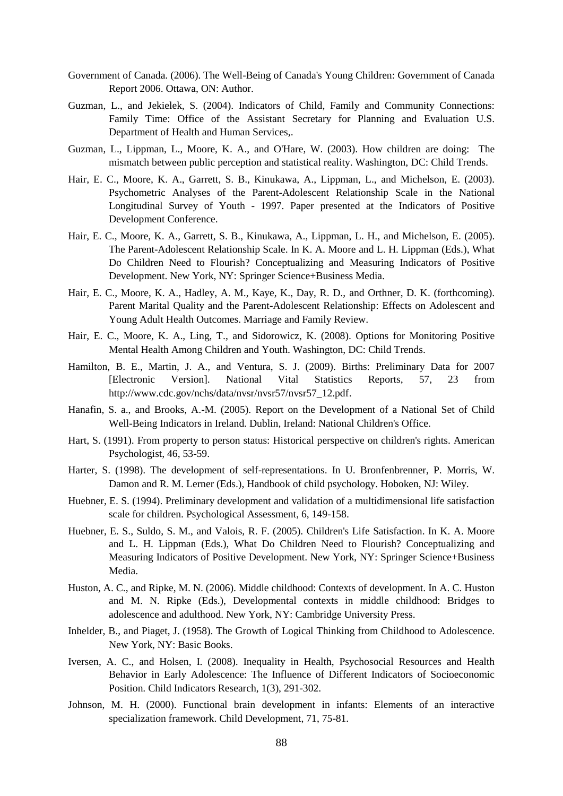- Government of Canada. (2006). The Well-Being of Canada's Young Children: Government of Canada Report 2006. Ottawa, ON: Author.
- Guzman, L., and Jekielek, S. (2004). Indicators of Child, Family and Community Connections: Family Time: Office of the Assistant Secretary for Planning and Evaluation U.S. Department of Health and Human Services,.
- Guzman, L., Lippman, L., Moore, K. A., and O'Hare, W. (2003). How children are doing: The mismatch between public perception and statistical reality. Washington, DC: Child Trends.
- Hair, E. C., Moore, K. A., Garrett, S. B., Kinukawa, A., Lippman, L., and Michelson, E. (2003). Psychometric Analyses of the Parent-Adolescent Relationship Scale in the National Longitudinal Survey of Youth - 1997. Paper presented at the Indicators of Positive Development Conference.
- Hair, E. C., Moore, K. A., Garrett, S. B., Kinukawa, A., Lippman, L. H., and Michelson, E. (2005). The Parent-Adolescent Relationship Scale. In K. A. Moore and L. H. Lippman (Eds.), What Do Children Need to Flourish? Conceptualizing and Measuring Indicators of Positive Development. New York, NY: Springer Science+Business Media.
- Hair, E. C., Moore, K. A., Hadley, A. M., Kaye, K., Day, R. D., and Orthner, D. K. (forthcoming). Parent Marital Quality and the Parent-Adolescent Relationship: Effects on Adolescent and Young Adult Health Outcomes. Marriage and Family Review.
- Hair, E. C., Moore, K. A., Ling, T., and Sidorowicz, K. (2008). Options for Monitoring Positive Mental Health Among Children and Youth. Washington, DC: Child Trends.
- Hamilton, B. E., Martin, J. A., and Ventura, S. J. (2009). Births: Preliminary Data for 2007 [Electronic Version]. National Vital Statistics Reports, 57, 23 from [http://www.cdc.gov/nchs/data/nvsr/nvsr57/nvsr57\\_12.pdf.](http://www.cdc.gov/nchs/data/nvsr/nvsr57/nvsr57_12.pdf)
- Hanafin, S. a., and Brooks, A.-M. (2005). Report on the Development of a National Set of Child Well-Being Indicators in Ireland. Dublin, Ireland: National Children's Office.
- Hart, S. (1991). From property to person status: Historical perspective on children's rights. American Psychologist, 46, 53-59.
- Harter, S. (1998). The development of self-representations. In U. Bronfenbrenner, P. Morris, W. Damon and R. M. Lerner (Eds.), Handbook of child psychology. Hoboken, NJ: Wiley.
- Huebner, E. S. (1994). Preliminary development and validation of a multidimensional life satisfaction scale for children. Psychological Assessment, 6, 149-158.
- Huebner, E. S., Suldo, S. M., and Valois, R. F. (2005). Children's Life Satisfaction. In K. A. Moore and L. H. Lippman (Eds.), What Do Children Need to Flourish? Conceptualizing and Measuring Indicators of Positive Development. New York, NY: Springer Science+Business Media.
- Huston, A. C., and Ripke, M. N. (2006). Middle childhood: Contexts of development. In A. C. Huston and M. N. Ripke (Eds.), Developmental contexts in middle childhood: Bridges to adolescence and adulthood. New York, NY: Cambridge University Press.
- Inhelder, B., and Piaget, J. (1958). The Growth of Logical Thinking from Childhood to Adolescence. New York, NY: Basic Books.
- Iversen, A. C., and Holsen, I. (2008). Inequality in Health, Psychosocial Resources and Health Behavior in Early Adolescence: The Influence of Different Indicators of Socioeconomic Position. Child Indicators Research, 1(3), 291-302.
- Johnson, M. H. (2000). Functional brain development in infants: Elements of an interactive specialization framework. Child Development, 71, 75-81.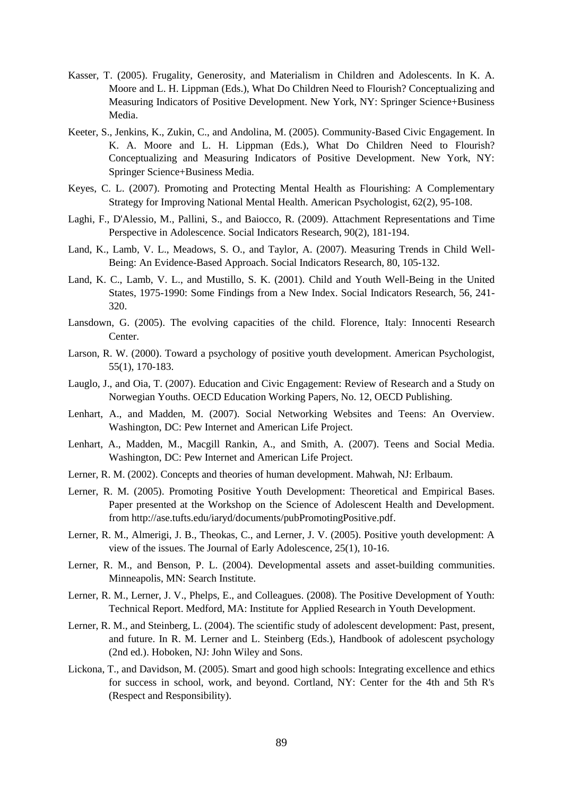- Kasser, T. (2005). Frugality, Generosity, and Materialism in Children and Adolescents. In K. A. Moore and L. H. Lippman (Eds.), What Do Children Need to Flourish? Conceptualizing and Measuring Indicators of Positive Development. New York, NY: Springer Science+Business Media.
- Keeter, S., Jenkins, K., Zukin, C., and Andolina, M. (2005). Community-Based Civic Engagement. In K. A. Moore and L. H. Lippman (Eds.), What Do Children Need to Flourish? Conceptualizing and Measuring Indicators of Positive Development. New York, NY: Springer Science+Business Media.
- Keyes, C. L. (2007). Promoting and Protecting Mental Health as Flourishing: A Complementary Strategy for Improving National Mental Health. American Psychologist, 62(2), 95-108.
- Laghi, F., D'Alessio, M., Pallini, S., and Baiocco, R. (2009). Attachment Representations and Time Perspective in Adolescence. Social Indicators Research, 90(2), 181-194.
- Land, K., Lamb, V. L., Meadows, S. O., and Taylor, A. (2007). Measuring Trends in Child Well-Being: An Evidence-Based Approach. Social Indicators Research, 80, 105-132.
- Land, K. C., Lamb, V. L., and Mustillo, S. K. (2001). Child and Youth Well-Being in the United States, 1975-1990: Some Findings from a New Index. Social Indicators Research, 56, 241- 320.
- Lansdown, G. (2005). The evolving capacities of the child. Florence, Italy: Innocenti Research Center.
- Larson, R. W. (2000). Toward a psychology of positive youth development. American Psychologist, 55(1), 170-183.
- Lauglo, J., and Oia, T. (2007). Education and Civic Engagement: Review of Research and a Study on Norwegian Youths. OECD Education Working Papers, No. 12, OECD Publishing.
- Lenhart, A., and Madden, M. (2007). Social Networking Websites and Teens: An Overview. Washington, DC: Pew Internet and American Life Project.
- Lenhart, A., Madden, M., Macgill Rankin, A., and Smith, A. (2007). Teens and Social Media. Washington, DC: Pew Internet and American Life Project.
- Lerner, R. M. (2002). Concepts and theories of human development. Mahwah, NJ: Erlbaum.
- Lerner, R. M. (2005). Promoting Positive Youth Development: Theoretical and Empirical Bases. Paper presented at the Workshop on the Science of Adolescent Health and Development. from [http://ase.tufts.edu/iaryd/documents/pubPromotingPositive.pdf.](http://ase.tufts.edu/iaryd/documents/pubPromotingPositive.pdf)
- Lerner, R. M., Almerigi, J. B., Theokas, C., and Lerner, J. V. (2005). Positive youth development: A view of the issues. The Journal of Early Adolescence, 25(1), 10-16.
- Lerner, R. M., and Benson, P. L. (2004). Developmental assets and asset-building communities. Minneapolis, MN: Search Institute.
- Lerner, R. M., Lerner, J. V., Phelps, E., and Colleagues. (2008). The Positive Development of Youth: Technical Report. Medford, MA: Institute for Applied Research in Youth Development.
- Lerner, R. M., and Steinberg, L. (2004). The scientific study of adolescent development: Past, present, and future. In R. M. Lerner and L. Steinberg (Eds.), Handbook of adolescent psychology (2nd ed.). Hoboken, NJ: John Wiley and Sons.
- Lickona, T., and Davidson, M. (2005). Smart and good high schools: Integrating excellence and ethics for success in school, work, and beyond. Cortland, NY: Center for the 4th and 5th R's (Respect and Responsibility).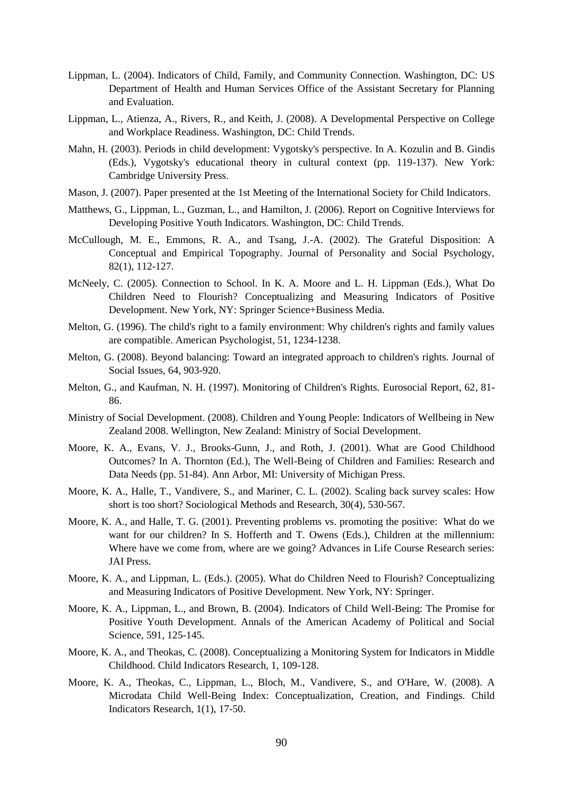- Lippman, L. (2004). Indicators of Child, Family, and Community Connection. Washington, DC: US Department of Health and Human Services Office of the Assistant Secretary for Planning and Evaluation.
- Lippman, L., Atienza, A., Rivers, R., and Keith, J. (2008). A Developmental Perspective on College and Workplace Readiness. Washington, DC: Child Trends.
- Mahn, H. (2003). Periods in child development: Vygotsky's perspective. In A. Kozulin and B. Gindis (Eds.), Vygotsky's educational theory in cultural context (pp. 119-137). New York: Cambridge University Press.
- Mason, J. (2007). Paper presented at the 1st Meeting of the International Society for Child Indicators.
- Matthews, G., Lippman, L., Guzman, L., and Hamilton, J. (2006). Report on Cognitive Interviews for Developing Positive Youth Indicators. Washington, DC: Child Trends.
- McCullough, M. E., Emmons, R. A., and Tsang, J.-A. (2002). The Grateful Disposition: A Conceptual and Empirical Topography. Journal of Personality and Social Psychology, 82(1), 112-127.
- McNeely, C. (2005). Connection to School. In K. A. Moore and L. H. Lippman (Eds.), What Do Children Need to Flourish? Conceptualizing and Measuring Indicators of Positive Development. New York, NY: Springer Science+Business Media.
- Melton, G. (1996). The child's right to a family environment: Why children's rights and family values are compatible. American Psychologist, 51, 1234-1238.
- Melton, G. (2008). Beyond balancing: Toward an integrated approach to children's rights. Journal of Social Issues, 64, 903-920.
- Melton, G., and Kaufman, N. H. (1997). Monitoring of Children's Rights. Eurosocial Report, 62, 81- 86.
- Ministry of Social Development. (2008). Children and Young People: Indicators of Wellbeing in New Zealand 2008. Wellington, New Zealand: Ministry of Social Development.
- Moore, K. A., Evans, V. J., Brooks-Gunn, J., and Roth, J. (2001). What are Good Childhood Outcomes? In A. Thornton (Ed.), The Well-Being of Children and Families: Research and Data Needs (pp. 51-84). Ann Arbor, MI: University of Michigan Press.
- Moore, K. A., Halle, T., Vandivere, S., and Mariner, C. L. (2002). Scaling back survey scales: How short is too short? Sociological Methods and Research, 30(4), 530-567.
- Moore, K. A., and Halle, T. G. (2001). Preventing problems vs. promoting the positive: What do we want for our children? In S. Hofferth and T. Owens (Eds.), Children at the millennium: Where have we come from, where are we going? Advances in Life Course Research series: JAI Press.
- Moore, K. A., and Lippman, L. (Eds.). (2005). What do Children Need to Flourish? Conceptualizing and Measuring Indicators of Positive Development. New York, NY: Springer.
- Moore, K. A., Lippman, L., and Brown, B. (2004). Indicators of Child Well-Being: The Promise for Positive Youth Development. Annals of the American Academy of Political and Social Science, 591, 125-145.
- Moore, K. A., and Theokas, C. (2008). Conceptualizing a Monitoring System for Indicators in Middle Childhood. Child Indicators Research, 1, 109-128.
- Moore, K. A., Theokas, C., Lippman, L., Bloch, M., Vandivere, S., and O'Hare, W. (2008). A Microdata Child Well-Being Index: Conceptualization, Creation, and Findings. Child Indicators Research, 1(1), 17-50.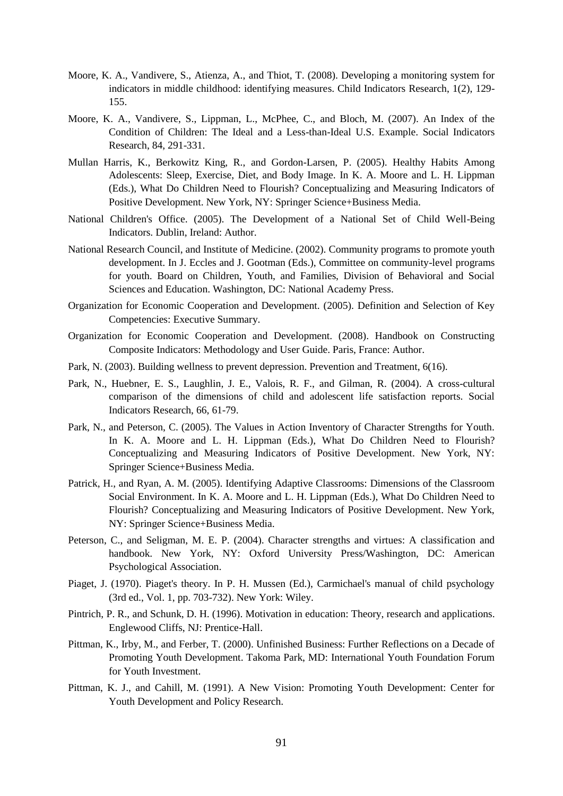- Moore, K. A., Vandivere, S., Atienza, A., and Thiot, T. (2008). Developing a monitoring system for indicators in middle childhood: identifying measures. Child Indicators Research, 1(2), 129- 155.
- Moore, K. A., Vandivere, S., Lippman, L., McPhee, C., and Bloch, M. (2007). An Index of the Condition of Children: The Ideal and a Less-than-Ideal U.S. Example. Social Indicators Research, 84, 291-331.
- Mullan Harris, K., Berkowitz King, R., and Gordon-Larsen, P. (2005). Healthy Habits Among Adolescents: Sleep, Exercise, Diet, and Body Image. In K. A. Moore and L. H. Lippman (Eds.), What Do Children Need to Flourish? Conceptualizing and Measuring Indicators of Positive Development. New York, NY: Springer Science+Business Media.
- National Children's Office. (2005). The Development of a National Set of Child Well-Being Indicators. Dublin, Ireland: Author.
- National Research Council, and Institute of Medicine. (2002). Community programs to promote youth development. In J. Eccles and J. Gootman (Eds.), Committee on community-level programs for youth. Board on Children, Youth, and Families, Division of Behavioral and Social Sciences and Education. Washington, DC: National Academy Press.
- Organization for Economic Cooperation and Development. (2005). Definition and Selection of Key Competencies: Executive Summary.
- Organization for Economic Cooperation and Development. (2008). Handbook on Constructing Composite Indicators: Methodology and User Guide. Paris, France: Author.
- Park, N. (2003). Building wellness to prevent depression. Prevention and Treatment, 6(16).
- Park, N., Huebner, E. S., Laughlin, J. E., Valois, R. F., and Gilman, R. (2004). A cross-cultural comparison of the dimensions of child and adolescent life satisfaction reports. Social Indicators Research, 66, 61-79.
- Park, N., and Peterson, C. (2005). The Values in Action Inventory of Character Strengths for Youth. In K. A. Moore and L. H. Lippman (Eds.), What Do Children Need to Flourish? Conceptualizing and Measuring Indicators of Positive Development. New York, NY: Springer Science+Business Media.
- Patrick, H., and Ryan, A. M. (2005). Identifying Adaptive Classrooms: Dimensions of the Classroom Social Environment. In K. A. Moore and L. H. Lippman (Eds.), What Do Children Need to Flourish? Conceptualizing and Measuring Indicators of Positive Development. New York, NY: Springer Science+Business Media.
- Peterson, C., and Seligman, M. E. P. (2004). Character strengths and virtues: A classification and handbook. New York, NY: Oxford University Press/Washington, DC: American Psychological Association.
- Piaget, J. (1970). Piaget's theory. In P. H. Mussen (Ed.), Carmichael's manual of child psychology (3rd ed., Vol. 1, pp. 703-732). New York: Wiley.
- Pintrich, P. R., and Schunk, D. H. (1996). Motivation in education: Theory, research and applications. Englewood Cliffs, NJ: Prentice-Hall.
- Pittman, K., Irby, M., and Ferber, T. (2000). Unfinished Business: Further Reflections on a Decade of Promoting Youth Development. Takoma Park, MD: International Youth Foundation Forum for Youth Investment.
- Pittman, K. J., and Cahill, M. (1991). A New Vision: Promoting Youth Development: Center for Youth Development and Policy Research.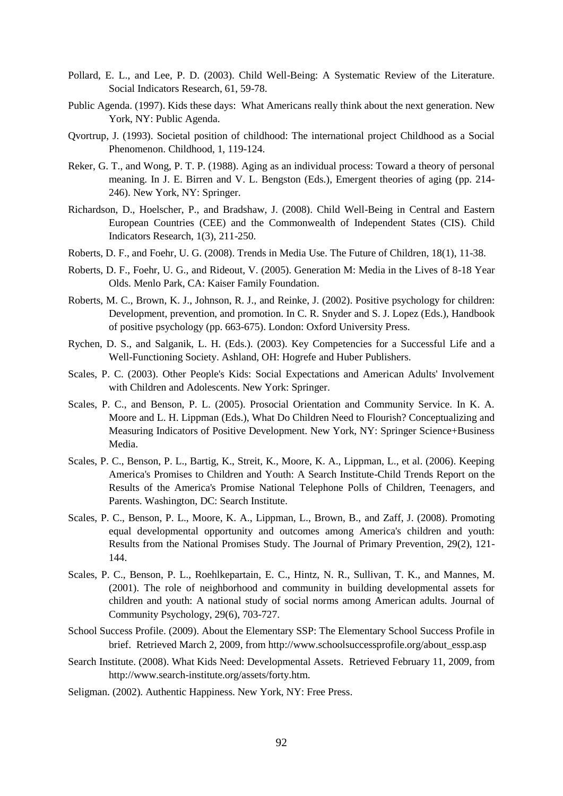- Pollard, E. L., and Lee, P. D. (2003). Child Well-Being: A Systematic Review of the Literature. Social Indicators Research, 61, 59-78.
- Public Agenda. (1997). Kids these days: What Americans really think about the next generation. New York, NY: Public Agenda.
- Qvortrup, J. (1993). Societal position of childhood: The international project Childhood as a Social Phenomenon. Childhood, 1, 119-124.
- Reker, G. T., and Wong, P. T. P. (1988). Aging as an individual process: Toward a theory of personal meaning. In J. E. Birren and V. L. Bengston (Eds.), Emergent theories of aging (pp. 214- 246). New York, NY: Springer.
- Richardson, D., Hoelscher, P., and Bradshaw, J. (2008). Child Well-Being in Central and Eastern European Countries (CEE) and the Commonwealth of Independent States (CIS). Child Indicators Research, 1(3), 211-250.
- Roberts, D. F., and Foehr, U. G. (2008). Trends in Media Use. The Future of Children, 18(1), 11-38.
- Roberts, D. F., Foehr, U. G., and Rideout, V. (2005). Generation M: Media in the Lives of 8-18 Year Olds. Menlo Park, CA: Kaiser Family Foundation.
- Roberts, M. C., Brown, K. J., Johnson, R. J., and Reinke, J. (2002). Positive psychology for children: Development, prevention, and promotion. In C. R. Snyder and S. J. Lopez (Eds.), Handbook of positive psychology (pp. 663-675). London: Oxford University Press.
- Rychen, D. S., and Salganik, L. H. (Eds.). (2003). Key Competencies for a Successful Life and a Well-Functioning Society. Ashland, OH: Hogrefe and Huber Publishers.
- Scales, P. C. (2003). Other People's Kids: Social Expectations and American Adults' Involvement with Children and Adolescents. New York: Springer.
- Scales, P. C., and Benson, P. L. (2005). Prosocial Orientation and Community Service. In K. A. Moore and L. H. Lippman (Eds.), What Do Children Need to Flourish? Conceptualizing and Measuring Indicators of Positive Development. New York, NY: Springer Science+Business Media.
- Scales, P. C., Benson, P. L., Bartig, K., Streit, K., Moore, K. A., Lippman, L., et al. (2006). Keeping America's Promises to Children and Youth: A Search Institute-Child Trends Report on the Results of the America's Promise National Telephone Polls of Children, Teenagers, and Parents. Washington, DC: Search Institute.
- Scales, P. C., Benson, P. L., Moore, K. A., Lippman, L., Brown, B., and Zaff, J. (2008). Promoting equal developmental opportunity and outcomes among America's children and youth: Results from the National Promises Study. The Journal of Primary Prevention, 29(2), 121- 144.
- Scales, P. C., Benson, P. L., Roehlkepartain, E. C., Hintz, N. R., Sullivan, T. K., and Mannes, M. (2001). The role of neighborhood and community in building developmental assets for children and youth: A national study of social norms among American adults. Journal of Community Psychology, 29(6), 703-727.
- School Success Profile. (2009). About the Elementary SSP: The Elementary School Success Profile in brief. Retrieved March 2, 2009, fro[m http://www.schoolsuccessprofile.org/about\\_essp.asp](http://www.schoolsuccessprofile.org/about_essp.asp)
- Search Institute. (2008). What Kids Need: Developmental Assets. Retrieved February 11, 2009, from [http://www.search-institute.org/assets/forty.htm.](http://www.search-institute.org/assets/forty.htm)
- Seligman. (2002). Authentic Happiness. New York, NY: Free Press.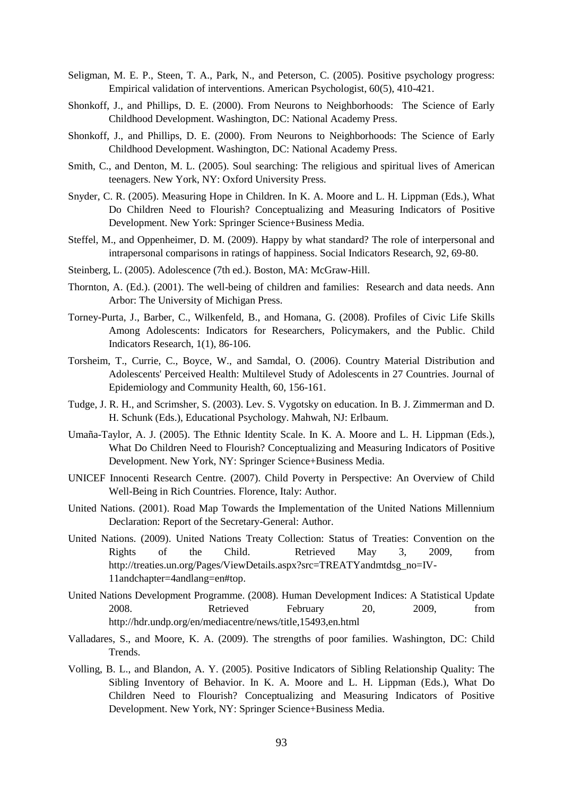- Seligman, M. E. P., Steen, T. A., Park, N., and Peterson, C. (2005). Positive psychology progress: Empirical validation of interventions. American Psychologist, 60(5), 410-421.
- Shonkoff, J., and Phillips, D. E. (2000). From Neurons to Neighborhoods: The Science of Early Childhood Development. Washington, DC: National Academy Press.
- Shonkoff, J., and Phillips, D. E. (2000). From Neurons to Neighborhoods: The Science of Early Childhood Development. Washington, DC: National Academy Press.
- Smith, C., and Denton, M. L. (2005). Soul searching: The religious and spiritual lives of American teenagers. New York, NY: Oxford University Press.
- Snyder, C. R. (2005). Measuring Hope in Children. In K. A. Moore and L. H. Lippman (Eds.), What Do Children Need to Flourish? Conceptualizing and Measuring Indicators of Positive Development. New York: Springer Science+Business Media.
- Steffel, M., and Oppenheimer, D. M. (2009). Happy by what standard? The role of interpersonal and intrapersonal comparisons in ratings of happiness. Social Indicators Research, 92, 69-80.
- Steinberg, L. (2005). Adolescence (7th ed.). Boston, MA: McGraw-Hill.
- Thornton, A. (Ed.). (2001). The well-being of children and families: Research and data needs. Ann Arbor: The University of Michigan Press.
- Torney-Purta, J., Barber, C., Wilkenfeld, B., and Homana, G. (2008). Profiles of Civic Life Skills Among Adolescents: Indicators for Researchers, Policymakers, and the Public. Child Indicators Research, 1(1), 86-106.
- Torsheim, T., Currie, C., Boyce, W., and Samdal, O. (2006). Country Material Distribution and Adolescents' Perceived Health: Multilevel Study of Adolescents in 27 Countries. Journal of Epidemiology and Community Health, 60, 156-161.
- Tudge, J. R. H., and Scrimsher, S. (2003). Lev. S. Vygotsky on education. In B. J. Zimmerman and D. H. Schunk (Eds.), Educational Psychology. Mahwah, NJ: Erlbaum.
- Umaña-Taylor, A. J. (2005). The Ethnic Identity Scale. In K. A. Moore and L. H. Lippman (Eds.), What Do Children Need to Flourish? Conceptualizing and Measuring Indicators of Positive Development. New York, NY: Springer Science+Business Media.
- UNICEF Innocenti Research Centre. (2007). Child Poverty in Perspective: An Overview of Child Well-Being in Rich Countries. Florence, Italy: Author.
- United Nations. (2001). Road Map Towards the Implementation of the United Nations Millennium Declaration: Report of the Secretary-General: Author.
- United Nations. (2009). United Nations Treaty Collection: Status of Treaties: Convention on the Rights of the Child. Retrieved May 3, 2009, from [http://treaties.un.org/Pages/ViewDetails.aspx?src=TREATYandmtdsg\\_no=IV-](http://treaties.un.org/Pages/ViewDetails.aspx?src=TREATY&mtdsg_no=IV-11&chapter=4&lang=en#top)[11andchapter=4andlang=en#top.](http://treaties.un.org/Pages/ViewDetails.aspx?src=TREATY&mtdsg_no=IV-11&chapter=4&lang=en#top)
- United Nations Development Programme. (2008). Human Development Indices: A Statistical Update 2008. Retrieved February 20, 2009, from <http://hdr.undp.org/en/mediacentre/news/title,15493,en.html>
- Valladares, S., and Moore, K. A. (2009). The strengths of poor families. Washington, DC: Child Trends.
- Volling, B. L., and Blandon, A. Y. (2005). Positive Indicators of Sibling Relationship Quality: The Sibling Inventory of Behavior. In K. A. Moore and L. H. Lippman (Eds.), What Do Children Need to Flourish? Conceptualizing and Measuring Indicators of Positive Development. New York, NY: Springer Science+Business Media.